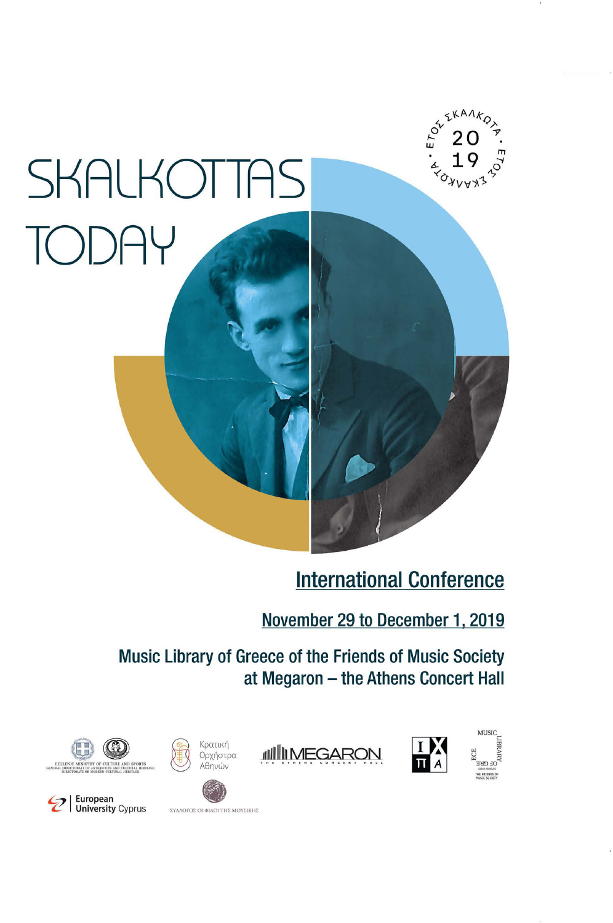

**International Conference** 

November 29 to December 1, 2019

Music Library of Greece of the Friends of Music Society at Megaron - the Athens Concert Hall



HE FRIENDS O





Κρατική





ΣΥΛΛΟΓΟΣ ΟΙ ΦΙΛΟΙ ΤΗΣ ΜΟΥΣΙΚΗΣ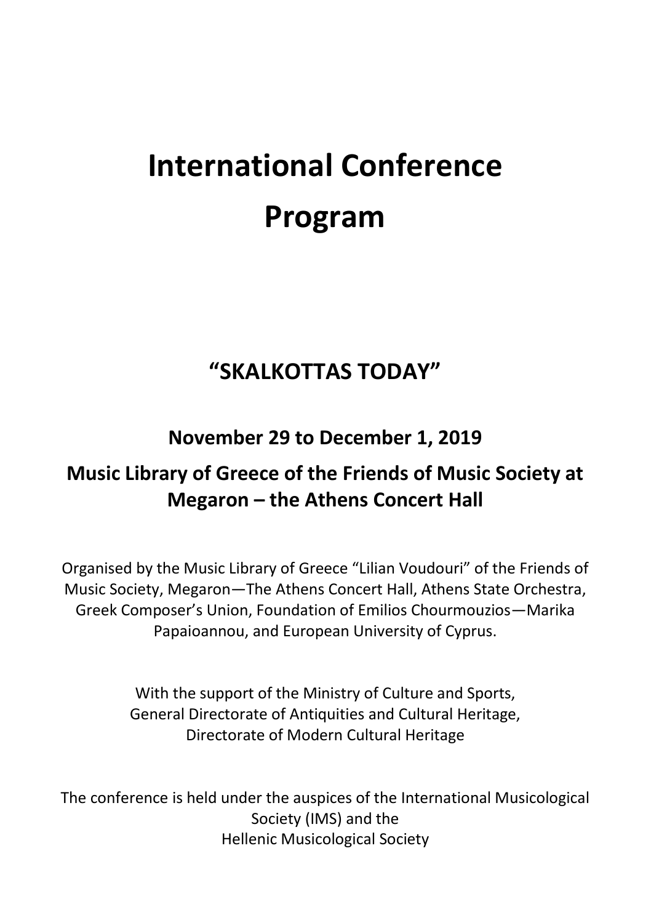# **International Conference Program**

# **"SKALKOTTAS TODAY"**

# **November 29 to December 1, 2019**

# **Music Library of Greece of the Friends of Music Society at Megaron – the Athens Concert Hall**

Organised by the Music Library of Greece "Lilian Voudouri" of the Friends of Music Society, Megaron—The Athens Concert Hall, Athens State Orchestra, Greek Composer's Union, Foundation of Emilios Chourmouzios—Marika Papaioannou, and European University of Cyprus.

> With the support of the Ministry of Culture and Sports, General Directorate of Antiquities and Cultural Heritage, Directorate of Modern Cultural Heritage

The conference is held under the auspices of the International Musicological Society (IMS) and the Hellenic Musicological Society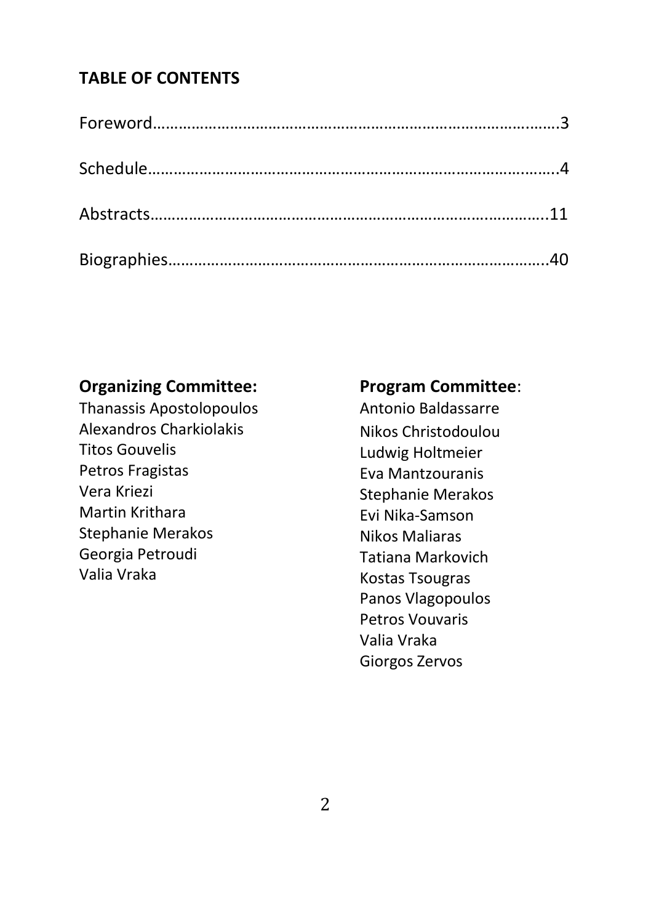# **TABLE OF CONTENTS**

# **Organizing Committee:**

Thanassis Apostolopoulos Alexandros Charkiolakis Titos Gouvelis Petros Fragistas Vera Kriezi Martin Krithara Stephanie Merakos Georgia Petroudi Valia Vraka

# **Program Committee**:

Antonio Baldassarre Nikos Christodoulou Ludwig Holtmeier Eva Mantzouranis Stephanie Merakos Evi Nika-Samson Nikos Maliaras Tatiana Markovich Kostas Tsougras Panos Vlagopoulos Petros Vouvaris Valia Vraka Giorgos Zervos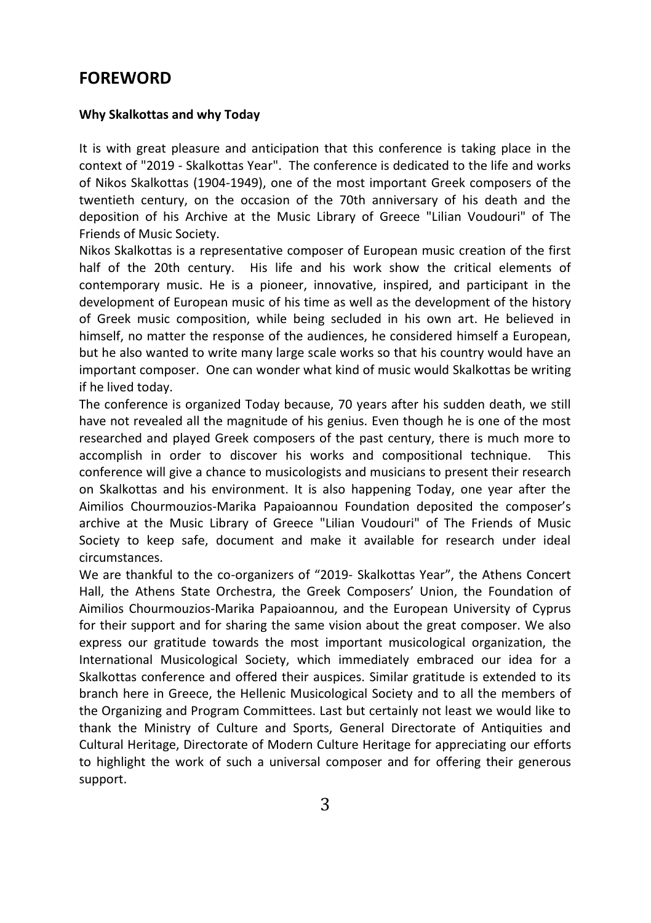# **FOREWORD**

#### **Why Skalkottas and why Today**

It is with great pleasure and anticipation that this conference is taking place in the context of "2019 - Skalkottas Year". The conference is dedicated to the life and works of Nikos Skalkottas (1904-1949), one of the most important Greek composers of the twentieth century, on the occasion of the 70th anniversary of his death and the deposition of his Archive at the Music Library of Greece "Lilian Voudouri" of The Friends of Music Society.

Nikos Skalkottas is a representative composer of European music creation of the first half of the 20th century. His life and his work show the critical elements of contemporary music. He is a pioneer, innovative, inspired, and participant in the development of European music of his time as well as the development of the history of Greek music composition, while being secluded in his own art. He believed in himself, no matter the response of the audiences, he considered himself a European, but he also wanted to write many large scale works so that his country would have an important composer. One can wonder what kind of music would Skalkottas be writing if he lived today.

The conference is organized Today because, 70 years after his sudden death, we still have not revealed all the magnitude of his genius. Even though he is one of the most researched and played Greek composers of the past century, there is much more to accomplish in order to discover his works and compositional technique. This conference will give a chance to musicologists and musicians to present their research on Skalkottas and his environment. It is also happening Today, one year after the Aimilios Chourmouzios-Marika Papaioannou Foundation deposited the composer's archive at the Music Library of Greece "Lilian Voudouri" of The Friends of Music Society to keep safe, document and make it available for research under ideal circumstances.

We are thankful to the co-organizers of "2019- Skalkottas Year", the Athens Concert Hall, the Athens State Orchestra, the Greek Composers' Union, the Foundation of Aimilios Chourmouzios-Marika Papaioannou, and the European University of Cyprus for their support and for sharing the same vision about the great composer. We also express our gratitude towards the most important musicological organization, the International Musicological Society, which immediately embraced our idea for a Skalkottas conference and offered their auspices. Similar gratitude is extended to its branch here in Greece, the Hellenic Musicological Society and to all the members of the Organizing and Program Committees. Last but certainly not least we would like to thank the Ministry of Culture and Sports, General Directorate of Antiquities and Cultural Heritage, Directorate of Modern Culture Heritage for appreciating our efforts to highlight the work of such a universal composer and for offering their generous support.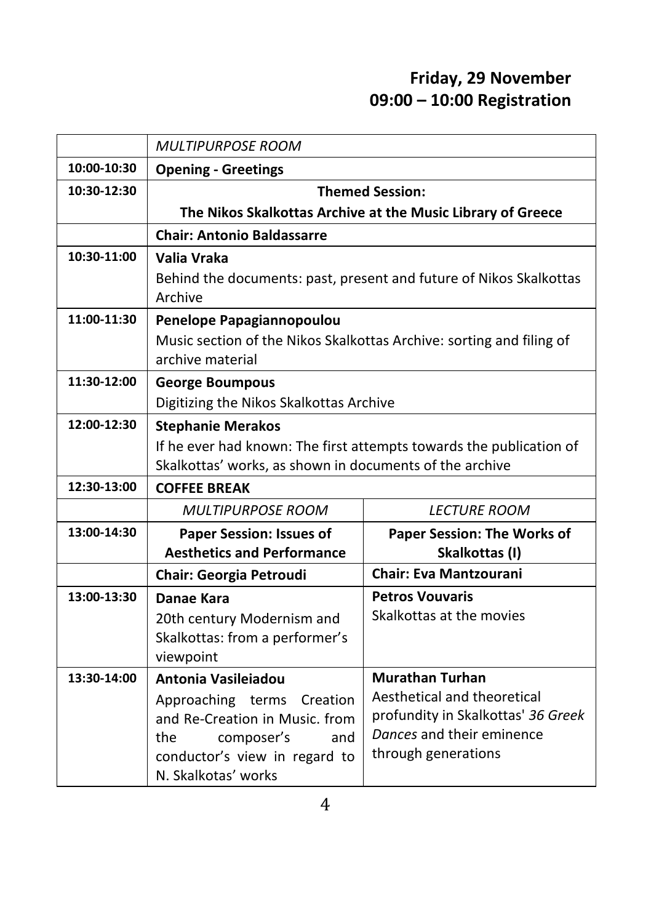# **Friday, 29 November 09:00 – 10:00 Registration**

|             | <b>MULTIPURPOSE ROOM</b>                                                                                                       |                                                                    |
|-------------|--------------------------------------------------------------------------------------------------------------------------------|--------------------------------------------------------------------|
| 10:00-10:30 | <b>Opening - Greetings</b>                                                                                                     |                                                                    |
| 10:30-12:30 |                                                                                                                                | <b>Themed Session:</b>                                             |
|             |                                                                                                                                | The Nikos Skalkottas Archive at the Music Library of Greece        |
|             | <b>Chair: Antonio Baldassarre</b>                                                                                              |                                                                    |
| 10:30-11:00 | Valia Vraka                                                                                                                    |                                                                    |
|             | Archive                                                                                                                        | Behind the documents: past, present and future of Nikos Skalkottas |
| 11:00-11:30 | Penelope Papagiannopoulou                                                                                                      |                                                                    |
|             | Music section of the Nikos Skalkottas Archive: sorting and filing of                                                           |                                                                    |
|             | archive material                                                                                                               |                                                                    |
| 11:30-12:00 | <b>George Boumpous</b>                                                                                                         |                                                                    |
|             | Digitizing the Nikos Skalkottas Archive                                                                                        |                                                                    |
| 12:00-12:30 | <b>Stephanie Merakos</b>                                                                                                       |                                                                    |
|             | If he ever had known: The first attempts towards the publication of<br>Skalkottas' works, as shown in documents of the archive |                                                                    |
| 12:30-13:00 | <b>COFFEE BREAK</b>                                                                                                            |                                                                    |
|             | <b>MULTIPURPOSE ROOM</b>                                                                                                       | <b>LECTURE ROOM</b>                                                |
| 13:00-14:30 | <b>Paper Session: Issues of</b>                                                                                                | <b>Paper Session: The Works of</b>                                 |
|             | <b>Aesthetics and Performance</b>                                                                                              | Skalkottas (I)                                                     |
|             | <b>Chair: Georgia Petroudi</b>                                                                                                 | <b>Chair: Eva Mantzourani</b>                                      |
| 13:00-13:30 | Danae Kara                                                                                                                     | <b>Petros Vouvaris</b>                                             |
|             | 20th century Modernism and                                                                                                     | Skalkottas at the movies                                           |
|             | Skalkottas: from a performer's                                                                                                 |                                                                    |
|             | viewpoint                                                                                                                      |                                                                    |
| 13:30-14:00 | Antonia Vasileiadou                                                                                                            | <b>Murathan Turhan</b>                                             |
|             | Approaching terms Creation                                                                                                     | Aesthetical and theoretical<br>profundity in Skalkottas' 36 Greek  |
|             | and Re-Creation in Music. from<br>composer's<br>the<br>and                                                                     | Dances and their eminence                                          |
|             | conductor's view in regard to                                                                                                  | through generations                                                |
|             | N. Skalkotas' works                                                                                                            |                                                                    |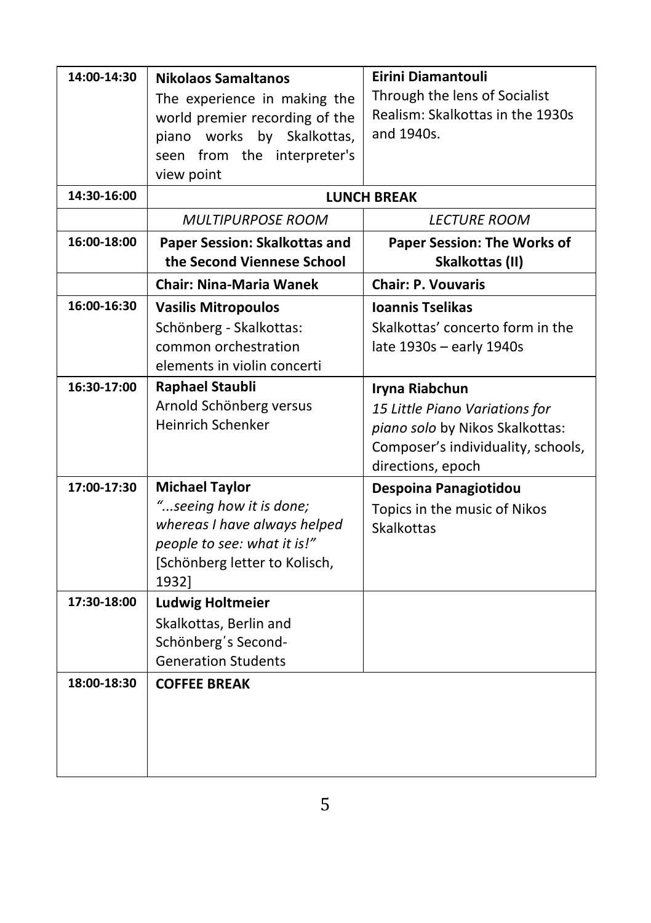| 14:00-14:30 | <b>Nikolaos Samaltanos</b>     | Eirini Diamantouli                 |
|-------------|--------------------------------|------------------------------------|
|             | The experience in making the   | Through the lens of Socialist      |
|             | world premier recording of the | Realism: Skalkottas in the 1930s   |
|             | piano works by Skalkottas,     | and 1940s.                         |
|             | seen from the interpreter's    |                                    |
|             | view point                     |                                    |
| 14:30-16:00 |                                | <b>LUNCH BREAK</b>                 |
|             | <b>MULTIPURPOSE ROOM</b>       | <b>LECTURE ROOM</b>                |
| 16:00-18:00 | Paper Session: Skalkottas and  | <b>Paper Session: The Works of</b> |
|             | the Second Viennese School     | Skalkottas (II)                    |
|             | <b>Chair: Nina-Maria Wanek</b> | <b>Chair: P. Vouvaris</b>          |
| 16:00-16:30 | <b>Vasilis Mitropoulos</b>     | <b>Ioannis Tselikas</b>            |
|             | Schönberg - Skalkottas:        | Skalkottas' concerto form in the   |
|             | common orchestration           | late 1930s - early 1940s           |
|             | elements in violin concerti    |                                    |
| 16:30-17:00 | <b>Raphael Staubli</b>         | Iryna Riabchun                     |
|             | Arnold Schönberg versus        | 15 Little Piano Variations for     |
|             | <b>Heinrich Schenker</b>       | piano solo by Nikos Skalkottas:    |
|             |                                | Composer's individuality, schools, |
|             |                                | directions, epoch                  |
| 17:00-17:30 | <b>Michael Taylor</b>          | Despoina Panagiotidou              |
|             | "seeing how it is done;        | Topics in the music of Nikos       |
|             | whereas I have always helped   | <b>Skalkottas</b>                  |
|             | people to see: what it is!"    |                                    |
|             | [Schönberg letter to Kolisch,  |                                    |
|             | 1932]                          |                                    |
| 17:30-18:00 | <b>Ludwig Holtmeier</b>        |                                    |
|             | Skalkottas, Berlin and         |                                    |
|             | Schönberg's Second-            |                                    |
|             | <b>Generation Students</b>     |                                    |
| 18:00-18:30 | <b>COFFEE BREAK</b>            |                                    |
|             |                                |                                    |
|             |                                |                                    |
|             |                                |                                    |
|             |                                |                                    |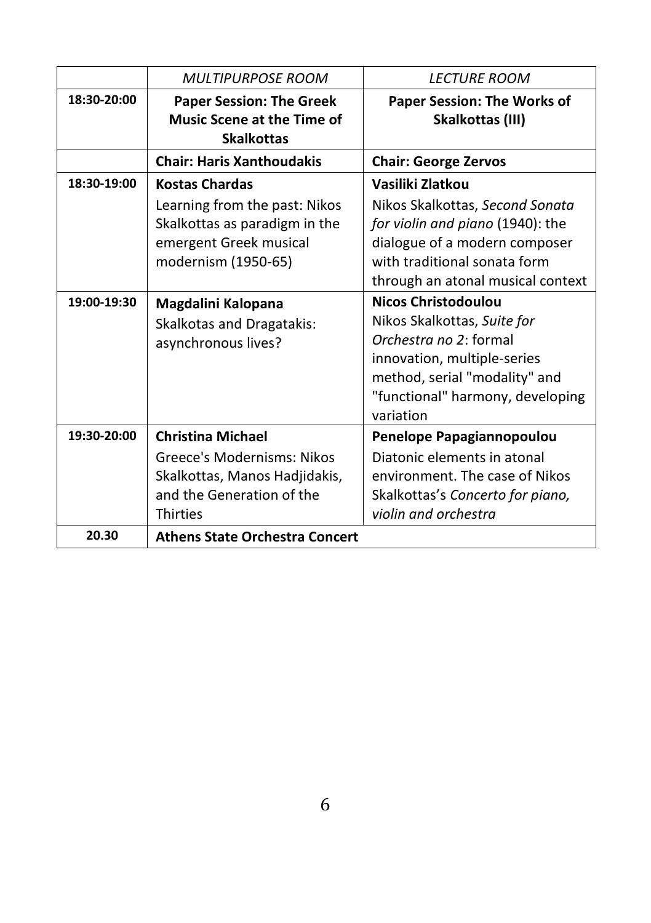|             | <b>MULTIPURPOSE ROOM</b>              | <b>LECTURE ROOM</b>                |
|-------------|---------------------------------------|------------------------------------|
| 18:30-20:00 | <b>Paper Session: The Greek</b>       | <b>Paper Session: The Works of</b> |
|             | <b>Music Scene at the Time of</b>     | Skalkottas (III)                   |
|             | <b>Skalkottas</b>                     |                                    |
|             | <b>Chair: Haris Xanthoudakis</b>      | <b>Chair: George Zervos</b>        |
| 18:30-19:00 | <b>Kostas Chardas</b>                 | Vasiliki Zlatkou                   |
|             | Learning from the past: Nikos         | Nikos Skalkottas, Second Sonata    |
|             | Skalkottas as paradigm in the         | for violin and piano (1940): the   |
|             | emergent Greek musical                | dialogue of a modern composer      |
|             | modernism (1950-65)                   | with traditional sonata form       |
|             |                                       | through an atonal musical context  |
| 19:00-19:30 | Magdalini Kalopana                    | <b>Nicos Christodoulou</b>         |
|             | <b>Skalkotas and Dragatakis:</b>      | Nikos Skalkottas, Suite for        |
|             | asynchronous lives?                   | Orchestra no 2: formal             |
|             |                                       | innovation, multiple-series        |
|             |                                       | method, serial "modality" and      |
|             |                                       | "functional" harmony, developing   |
|             |                                       | variation                          |
| 19:30-20:00 | <b>Christina Michael</b>              | Penelope Papagiannopoulou          |
|             | Greece's Modernisms: Nikos            | Diatonic elements in atonal        |
|             | Skalkottas, Manos Hadjidakis,         | environment. The case of Nikos     |
|             | and the Generation of the             | Skalkottas's Concerto for piano,   |
|             | <b>Thirties</b>                       | violin and orchestra               |
| 20.30       | <b>Athens State Orchestra Concert</b> |                                    |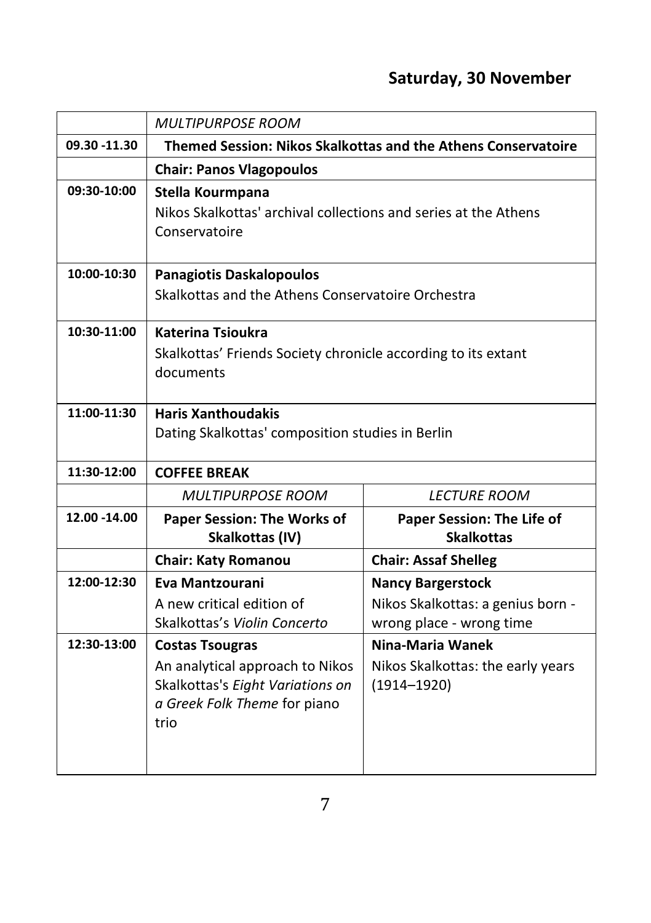# **Saturday, 30 November**

|               | <b>MULTIPURPOSE ROOM</b>                                                         |                                                               |
|---------------|----------------------------------------------------------------------------------|---------------------------------------------------------------|
| 09.30 -11.30  |                                                                                  | Themed Session: Nikos Skalkottas and the Athens Conservatoire |
|               | <b>Chair: Panos Vlagopoulos</b>                                                  |                                                               |
| 09:30-10:00   | Stella Kourmpana                                                                 |                                                               |
|               | Nikos Skalkottas' archival collections and series at the Athens<br>Conservatoire |                                                               |
|               |                                                                                  |                                                               |
| 10:00-10:30   | <b>Panagiotis Daskalopoulos</b>                                                  |                                                               |
|               | Skalkottas and the Athens Conservatoire Orchestra                                |                                                               |
| 10:30-11:00   | <b>Katerina Tsioukra</b>                                                         |                                                               |
|               | Skalkottas' Friends Society chronicle according to its extant                    |                                                               |
|               | documents                                                                        |                                                               |
| 11:00-11:30   | <b>Haris Xanthoudakis</b>                                                        |                                                               |
|               | Dating Skalkottas' composition studies in Berlin                                 |                                                               |
| 11:30-12:00   | <b>COFFEE BREAK</b>                                                              |                                                               |
|               | <b>MULTIPURPOSE ROOM</b>                                                         | <b>LECTURE ROOM</b>                                           |
| 12.00 - 14.00 | <b>Paper Session: The Works of</b>                                               | Paper Session: The Life of                                    |
|               | Skalkottas (IV)                                                                  | <b>Skalkottas</b>                                             |
|               | <b>Chair: Katy Romanou</b>                                                       | <b>Chair: Assaf Shelleg</b>                                   |
| 12:00-12:30   | Eva Mantzourani                                                                  | <b>Nancy Bargerstock</b>                                      |
|               | A new critical edition of                                                        | Nikos Skalkottas: a genius born -                             |
|               | Skalkottas's Violin Concerto                                                     | wrong place - wrong time                                      |
| 12:30-13:00   | <b>Costas Tsougras</b>                                                           | Nina-Maria Wanek                                              |
|               | An analytical approach to Nikos                                                  | Nikos Skalkottas: the early years                             |
|               | Skalkottas's Eight Variations on                                                 | $(1914 - 1920)$                                               |
|               | a Greek Folk Theme for piano<br>trio                                             |                                                               |
|               |                                                                                  |                                                               |
|               |                                                                                  |                                                               |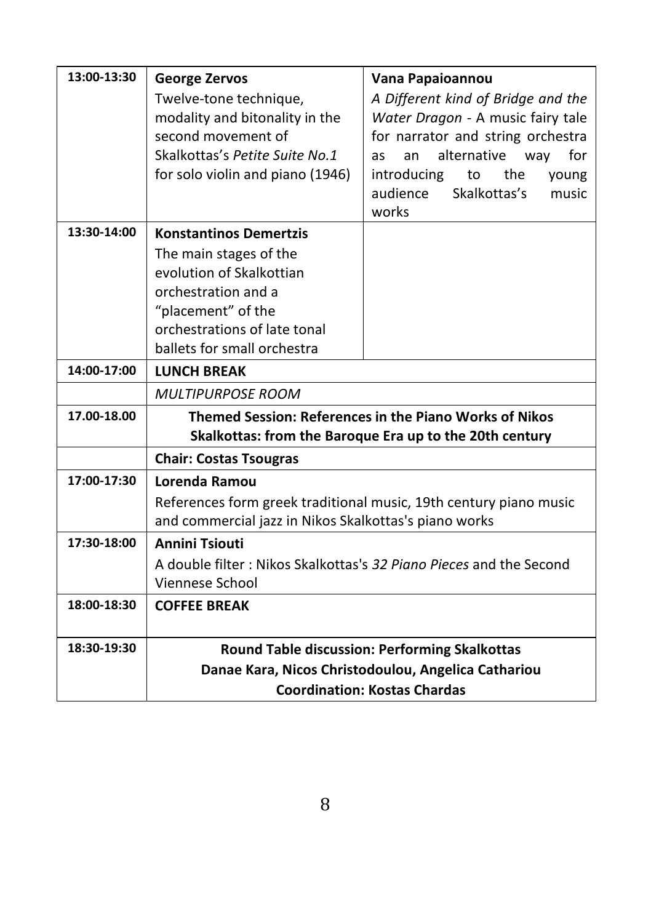| 13:00-13:30 | <b>George Zervos</b><br>Twelve-tone technique,<br>modality and bitonality in the<br>second movement of<br>Skalkottas's Petite Suite No.1<br>for solo violin and piano (1946) | Vana Papaioannou<br>A Different kind of Bridge and the<br>Water Dragon - A music fairy tale<br>for narrator and string orchestra<br>alternative<br>for<br><b>as</b><br>an<br>way<br>the<br>introducing<br>to<br>young |
|-------------|------------------------------------------------------------------------------------------------------------------------------------------------------------------------------|-----------------------------------------------------------------------------------------------------------------------------------------------------------------------------------------------------------------------|
|             |                                                                                                                                                                              | audience<br>Skalkottas's<br>music<br>works                                                                                                                                                                            |
| 13:30-14:00 | <b>Konstantinos Demertzis</b><br>The main stages of the                                                                                                                      |                                                                                                                                                                                                                       |
|             | evolution of Skalkottian                                                                                                                                                     |                                                                                                                                                                                                                       |
|             | orchestration and a<br>"placement" of the                                                                                                                                    |                                                                                                                                                                                                                       |
|             | orchestrations of late tonal                                                                                                                                                 |                                                                                                                                                                                                                       |
|             | ballets for small orchestra                                                                                                                                                  |                                                                                                                                                                                                                       |
| 14:00-17:00 | <b>LUNCH BREAK</b>                                                                                                                                                           |                                                                                                                                                                                                                       |
|             | <b>MULTIPURPOSE ROOM</b>                                                                                                                                                     |                                                                                                                                                                                                                       |
| 17.00-18.00 | Themed Session: References in the Piano Works of Nikos                                                                                                                       |                                                                                                                                                                                                                       |
|             | Skalkottas: from the Baroque Era up to the 20th century                                                                                                                      |                                                                                                                                                                                                                       |
| 17:00-17:30 | <b>Chair: Costas Tsougras</b>                                                                                                                                                |                                                                                                                                                                                                                       |
|             | Lorenda Ramou<br>References form greek traditional music, 19th century piano music                                                                                           |                                                                                                                                                                                                                       |
|             | and commercial jazz in Nikos Skalkottas's piano works                                                                                                                        |                                                                                                                                                                                                                       |
| 17:30-18:00 | <b>Annini Tsiouti</b>                                                                                                                                                        |                                                                                                                                                                                                                       |
|             | A double filter: Nikos Skalkottas's 32 Piano Pieces and the Second                                                                                                           |                                                                                                                                                                                                                       |
|             | Viennese School                                                                                                                                                              |                                                                                                                                                                                                                       |
| 18:00-18:30 | <b>COFFEE BREAK</b>                                                                                                                                                          |                                                                                                                                                                                                                       |
| 18:30-19:30 | <b>Round Table discussion: Performing Skalkottas</b>                                                                                                                         |                                                                                                                                                                                                                       |
|             | Danae Kara, Nicos Christodoulou, Angelica Cathariou<br><b>Coordination: Kostas Chardas</b>                                                                                   |                                                                                                                                                                                                                       |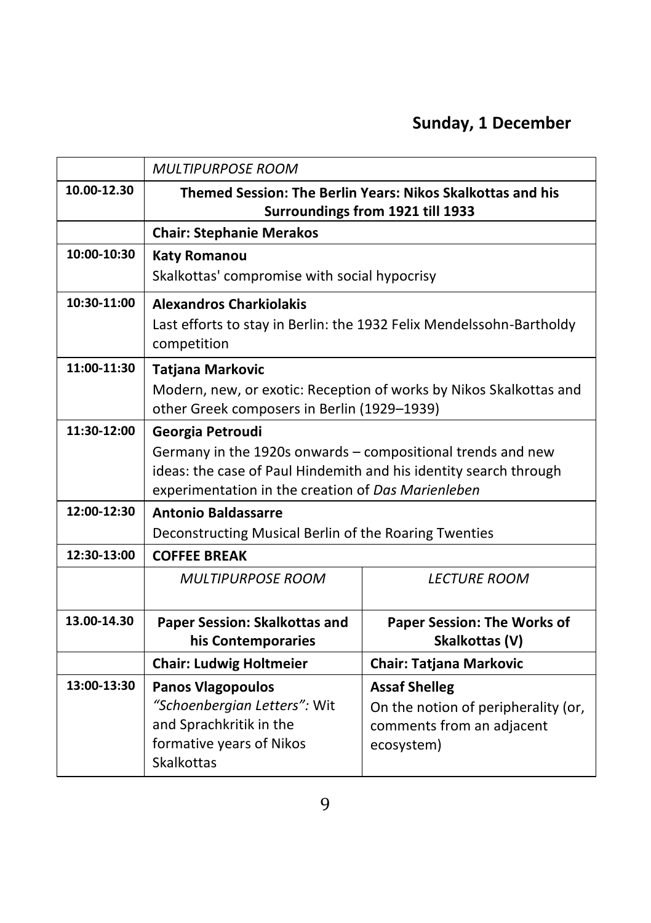# **Sunday, 1 December**

|             | <b>MULTIPURPOSE ROOM</b>                                                                       |                                     |
|-------------|------------------------------------------------------------------------------------------------|-------------------------------------|
| 10.00-12.30 | Themed Session: The Berlin Years: Nikos Skalkottas and his<br>Surroundings from 1921 till 1933 |                                     |
|             | <b>Chair: Stephanie Merakos</b>                                                                |                                     |
| 10:00-10:30 | <b>Katy Romanou</b>                                                                            |                                     |
|             | Skalkottas' compromise with social hypocrisy                                                   |                                     |
| 10:30-11:00 | <b>Alexandros Charkiolakis</b>                                                                 |                                     |
|             | Last efforts to stay in Berlin: the 1932 Felix Mendelssohn-Bartholdy<br>competition            |                                     |
| 11:00-11:30 | <b>Tatjana Markovic</b>                                                                        |                                     |
|             | Modern, new, or exotic: Reception of works by Nikos Skalkottas and                             |                                     |
|             | other Greek composers in Berlin (1929-1939)                                                    |                                     |
| 11:30-12:00 | Georgia Petroudi                                                                               |                                     |
|             | Germany in the 1920s onwards - compositional trends and new                                    |                                     |
|             | ideas: the case of Paul Hindemith and his identity search through                              |                                     |
|             | experimentation in the creation of Das Marienleben                                             |                                     |
| 12:00-12:30 | <b>Antonio Baldassarre</b>                                                                     |                                     |
|             | Deconstructing Musical Berlin of the Roaring Twenties                                          |                                     |
| 12:30-13:00 | <b>COFFEE BREAK</b>                                                                            |                                     |
|             | <b>MULTIPURPOSE ROOM</b>                                                                       | <b>LECTURE ROOM</b>                 |
|             |                                                                                                |                                     |
| 13.00-14.30 | Paper Session: Skalkottas and                                                                  | <b>Paper Session: The Works of</b>  |
|             | his Contemporaries                                                                             | Skalkottas (V)                      |
|             | <b>Chair: Ludwig Holtmeier</b>                                                                 | <b>Chair: Tatjana Markovic</b>      |
| 13:00-13:30 | <b>Panos Vlagopoulos</b>                                                                       | <b>Assaf Shelleg</b>                |
|             | "Schoenbergian Letters": Wit                                                                   | On the notion of peripherality (or, |
|             | and Sprachkritik in the                                                                        | comments from an adjacent           |
|             | formative years of Nikos                                                                       | ecosystem)                          |
|             | <b>Skalkottas</b>                                                                              |                                     |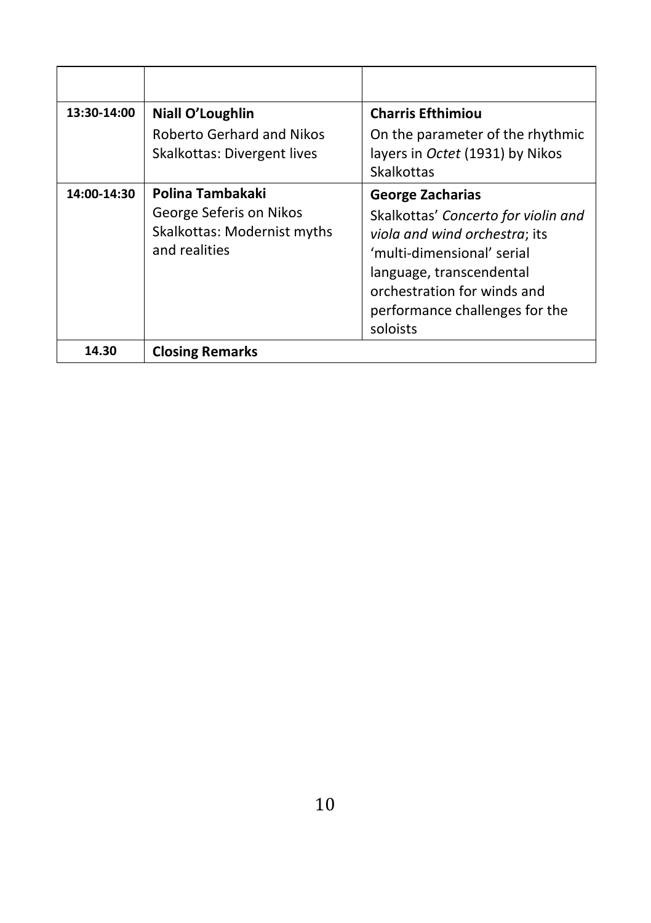| 13:30-14:00 | Niall O'Loughlin<br>Roberto Gerhard and Nikos<br>Skalkottas: Divergent lives                | <b>Charris Efthimiou</b><br>On the parameter of the rhythmic<br>layers in Octet (1931) by Nikos                                                                                                                                                      |
|-------------|---------------------------------------------------------------------------------------------|------------------------------------------------------------------------------------------------------------------------------------------------------------------------------------------------------------------------------------------------------|
| 14:00-14:30 | Polina Tambakaki<br>George Seferis on Nikos<br>Skalkottas: Modernist myths<br>and realities | Skalkottas<br><b>George Zacharias</b><br>Skalkottas' Concerto for violin and<br>viola and wind orchestra; its<br>'multi-dimensional' serial<br>language, transcendental<br>orchestration for winds and<br>performance challenges for the<br>soloists |
| 14.30       | <b>Closing Remarks</b>                                                                      |                                                                                                                                                                                                                                                      |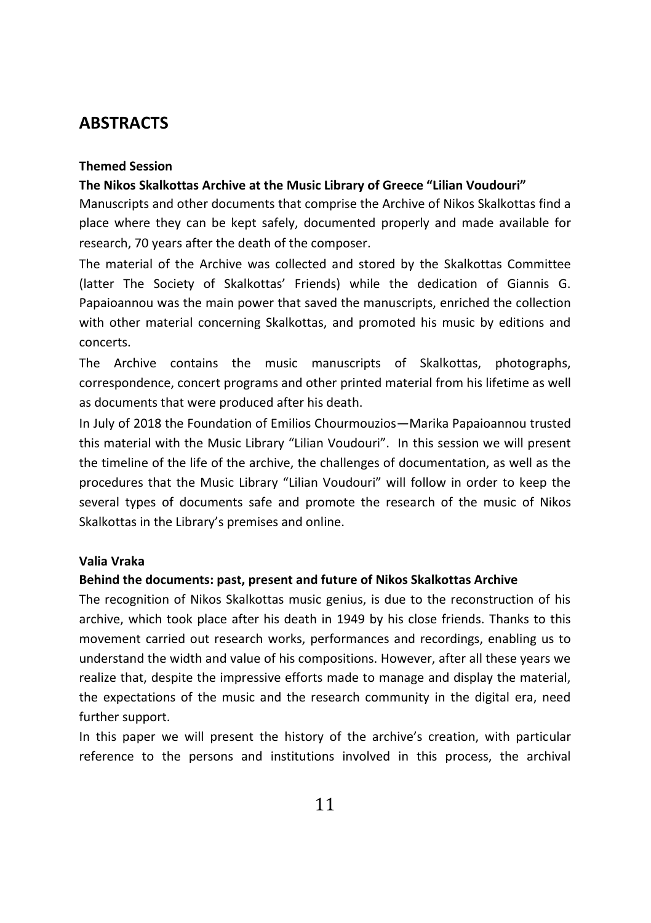# **ABSTRACTS**

#### **Themed Session**

#### **The Nikos Skalkottas Archive at the Music Library of Greece "Lilian Voudouri"**

Manuscripts and other documents that comprise the Archive of Nikos Skalkottas find a place where they can be kept safely, documented properly and made available for research, 70 years after the death of the composer.

The material of the Archive was collected and stored by the Skalkottas Committee (latter The Society of Skalkottas' Friends) while the dedication of Giannis G. Papaioannou was the main power that saved the manuscripts, enriched the collection with other material concerning Skalkottas, and promoted his music by editions and concerts.

The Archive contains the music manuscripts of Skalkottas, photographs, correspondence, concert programs and other printed material from his lifetime as well as documents that were produced after his death.

In July of 2018 the Foundation of Emilios Chourmouzios—Marika Papaioannou trusted this material with the Music Library "Lilian Voudouri". In this session we will present the timeline of the life of the archive, the challenges of documentation, as well as the procedures that the Music Library "Lilian Voudouri" will follow in order to keep the several types of documents safe and promote the research of the music of Nikos Skalkottas in the Library's premises and online.

#### **Valia Vraka**

#### **Behind the documents: past, present and future of Nikos Skalkottas Archive**

The recognition of Nikos Skalkottas music genius, is due to the reconstruction of his archive, which took place after his death in 1949 by his close friends. Thanks to this movement carried out research works, performances and recordings, enabling us to understand the width and value of his compositions. However, after all these years we realize that, despite the impressive efforts made to manage and display the material, the expectations of the music and the research community in the digital era, need further support.

In this paper we will present the history of the archive's creation, with particular reference to the persons and institutions involved in this process, the archival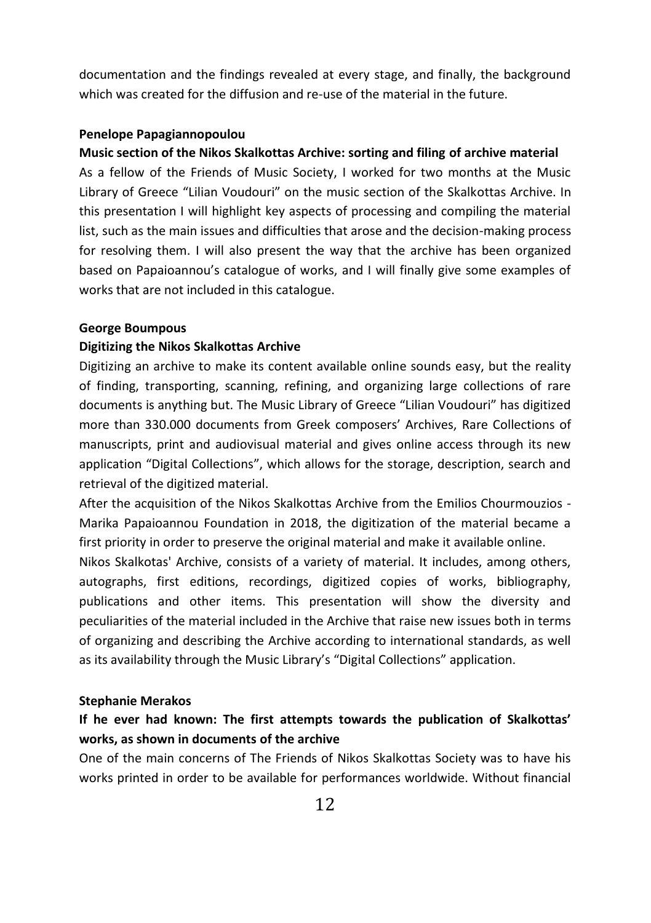documentation and the findings revealed at every stage, and finally, the background which was created for the diffusion and re-use of the material in the future.

#### **Penelope Papagiannopoulou**

#### **Music section of the Nikos Skalkottas Archive: sorting and filing of archive material**

As a fellow of the Friends of Music Society, I worked for two months at the Music Library of Greece "Lilian Voudouri" on the music section of the Skalkottas Archive. In this presentation I will highlight key aspects of processing and compiling the material list, such as the main issues and difficulties that arose and the decision-making process for resolving them. I will also present the way that the archive has been organized based on Papaioannou's catalogue of works, and I will finally give some examples of works that are not included in this catalogue.

#### **George Boumpous**

#### **Digitizing the Nikos Skalkottas Archive**

Digitizing an archive to make its content available online sounds easy, but the reality of finding, transporting, scanning, refining, and organizing large collections of rare documents is anything but. The Music Library of Greece "Lilian Voudouri" has digitized more than 330.000 documents from Greek composers' Archives, Rare Collections of manuscripts, print and audiovisual material and gives online access through its new application "Digital Collections", which allows for the storage, description, search and retrieval of the digitized material.

After the acquisition of the Nikos Skalkottas Archive from the Emilios Chourmouzios - Marika Papaioannou Foundation in 2018, the digitization of the material became a first priority in order to preserve the original material and make it available online.

Nikos Skalkotas' Archive, consists of a variety of material. It includes, among others, autographs, first editions, recordings, digitized copies of works, bibliography, publications and other items. This presentation will show the diversity and peculiarities of the material included in the Archive that raise new issues both in terms of organizing and describing the Archive according to international standards, as well as its availability through the Music Library's "Digital Collections" application.

#### **Stephanie Merakos**

# **If he ever had known: The first attempts towards the publication of Skalkottas' works, as shown in documents of the archive**

One of the main concerns of The Friends of Nikos Skalkottas Society was to have his works printed in order to be available for performances worldwide. Without financial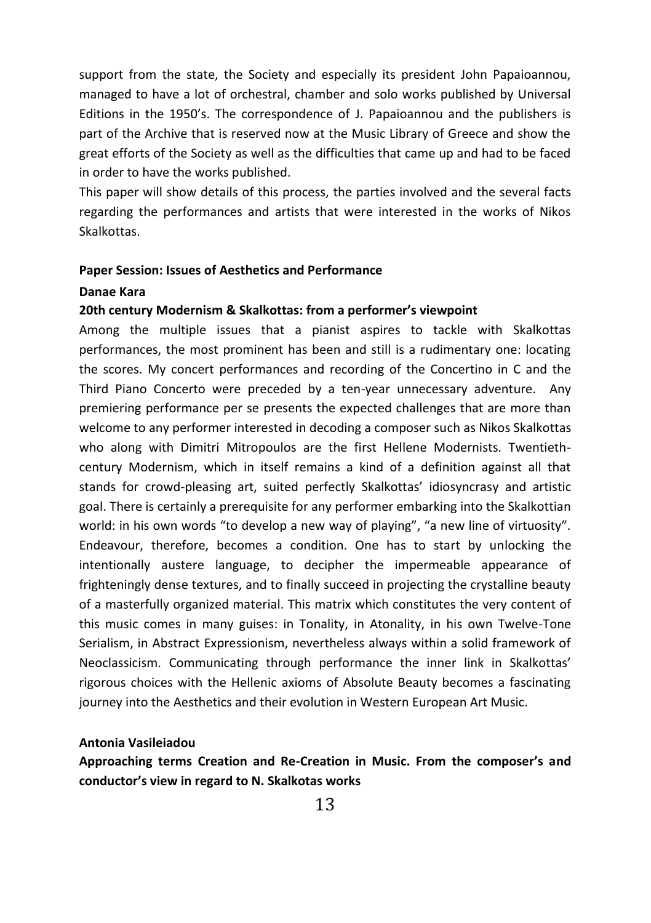support from the state, the Society and especially its president John Papaioannou, managed to have a lot of orchestral, chamber and solo works published by Universal Editions in the 1950's. The correspondence of J. Papaioannou and the publishers is part of the Archive that is reserved now at the Music Library of Greece and show the great efforts of the Society as well as the difficulties that came up and had to be faced in order to have the works published.

This paper will show details of this process, the parties involved and the several facts regarding the performances and artists that were interested in the works of Nikos Skalkottas.

#### **Paper Session: Issues of Aesthetics and Performance**

#### **Danae Kara**

#### **20th century Modernism & Skalkottas: from a performer's viewpoint**

Among the multiple issues that a pianist aspires to tackle with Skalkottas performances, the most prominent has been and still is a rudimentary one: locating the scores. My concert performances and recording of the Concertino in C and the Third Piano Concerto were preceded by a ten-year unnecessary adventure. Any premiering performance per se presents the expected challenges that are more than welcome to any performer interested in decoding a composer such as Nikos Skalkottas who along with Dimitri Mitropoulos are the first Hellene Modernists. Twentiethcentury Modernism, which in itself remains a kind of a definition against all that stands for crowd-pleasing art, suited perfectly Skalkottas' idiosyncrasy and artistic goal. There is certainly a prerequisite for any performer embarking into the Skalkottian world: in his own words "to develop a new way of playing", "a new line of virtuosity". Endeavour, therefore, becomes a condition. One has to start by unlocking the intentionally austere language, to decipher the impermeable appearance of frighteningly dense textures, and to finally succeed in projecting the crystalline beauty of a masterfully organized material. This matrix which constitutes the very content of this music comes in many guises: in Tonality, in Atonality, in his own Twelve-Tone Serialism, in Abstract Expressionism, nevertheless always within a solid framework of Neoclassicism. Communicating through performance the inner link in Skalkottas' rigorous choices with the Hellenic axioms of Absolute Beauty becomes a fascinating journey into the Aesthetics and their evolution in Western European Art Music.

### **Antonia Vasileiadou**

**Approaching terms Creation and Re-Creation in Music. From the composer's and conductor's view in regard to N. Skalkotas works**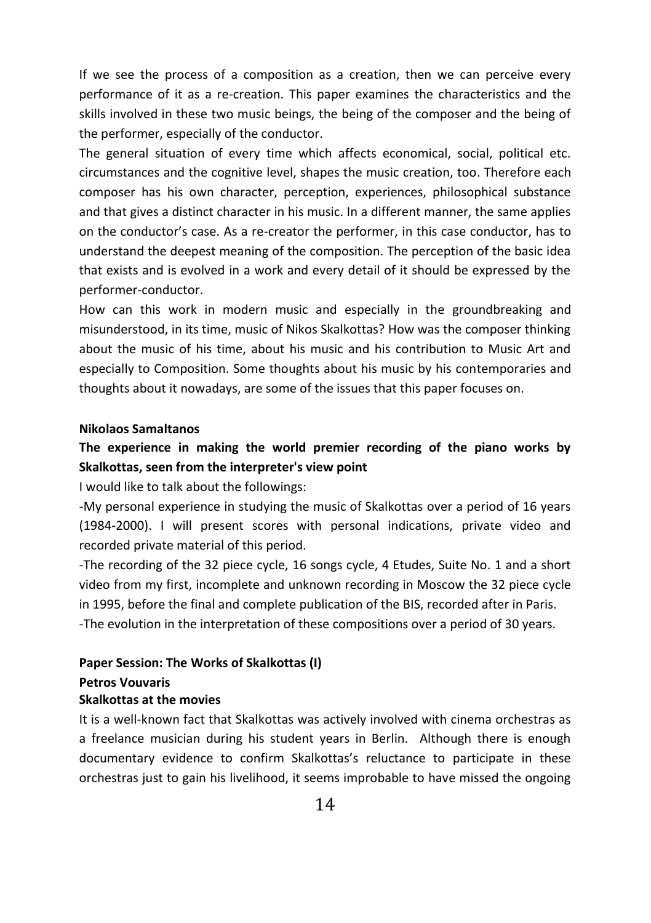If we see the process of a composition as a creation, then we can perceive every performance of it as a re-creation. This paper examines the characteristics and the skills involved in these two music beings, the being of the composer and the being of the performer, especially of the conductor.

The general situation of every time which affects economical, social, political etc. circumstances and the cognitive level, shapes the music creation, too. Therefore each composer has his own character, perception, experiences, philosophical substance and that gives a distinct character in his music. In a different manner, the same applies on the conductor's case. As a re-creator the performer, in this case conductor, has to understand the deepest meaning of the composition. The perception of the basic idea that exists and is evolved in a work and every detail of it should be expressed by the performer-conductor.

How can this work in modern music and especially in the groundbreaking and misunderstood, in its time, music of Nikos Skalkottas? How was the composer thinking about the music of his time, about his music and his contribution to Music Art and especially to Composition. Some thoughts about his music by his contemporaries and thoughts about it nowadays, are some of the issues that this paper focuses on.

### **Nikolaos Samaltanos**

# **The experience in making the world premier recording of the piano works by Skalkottas, seen from the interpreter's view point**

I would like to talk about the followings:

-My personal experience in studying the music of Skalkottas over a period of 16 years (1984-2000). I will present scores with personal indications, private video and recorded private material of this period.

-The recording of the 32 piece cycle, 16 songs cycle, 4 Etudes, Suite No. 1 and a short video from my first, incomplete and unknown recording in Moscow the 32 piece cycle in 1995, before the final and complete publication of the BIS, recorded after in Paris. -The evolution in the interpretation of these compositions over a period of 30 years.

#### **Paper Session: The Works of Skalkottas (I)**

# **Petros Vouvaris**

# **Skalkottas at the movies**

It is a well-known fact that Skalkottas was actively involved with cinema orchestras as a freelance musician during his student years in Berlin. Although there is enough documentary evidence to confirm Skalkottas's reluctance to participate in these orchestras just to gain his livelihood, it seems improbable to have missed the ongoing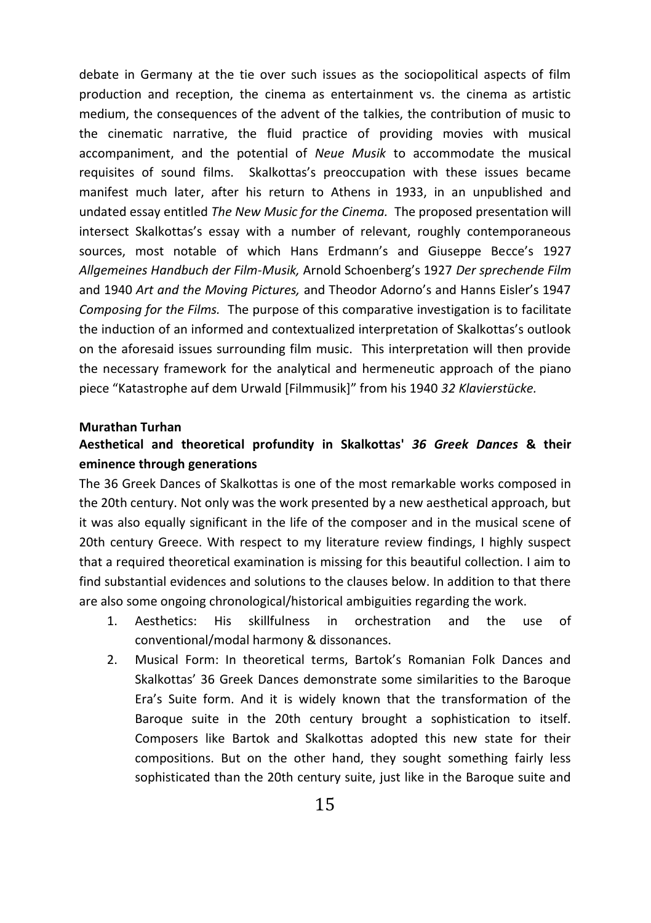debate in Germany at the tie over such issues as the sociopolitical aspects of film production and reception, the cinema as entertainment vs. the cinema as artistic medium, the consequences of the advent of the talkies, the contribution of music to the cinematic narrative, the fluid practice of providing movies with musical accompaniment, and the potential of *Neue Musik* to accommodate the musical requisites of sound films. Skalkottas's preoccupation with these issues became manifest much later, after his return to Athens in 1933, in an unpublished and undated essay entitled *The New Music for the Cinema.* The proposed presentation will intersect Skalkottas's essay with a number of relevant, roughly contemporaneous sources, most notable of which Hans Erdmann's and Giuseppe Becce's 1927 *Allgemeines Handbuch der Film-Musik,* Arnold Schoenberg's 1927 *Der sprechende Film*  and 1940 *Art and the Moving Pictures,* and Theodor Adorno's and Hanns Eisler's 1947 *Composing for the Films.* The purpose of this comparative investigation is to facilitate the induction of an informed and contextualized interpretation of Skalkottas's outlook on the aforesaid issues surrounding film music. This interpretation will then provide the necessary framework for the analytical and hermeneutic approach of the piano piece "Katastrophe auf dem Urwald [Filmmusik]" from his 1940 *32 Klavierstücke.*

#### **Murathan Turhan**

# **Aesthetical and theoretical profundity in Skalkottas'** *36 Greek Dances* **& their eminence through generations**

The 36 Greek Dances of Skalkottas is one of the most remarkable works composed in the 20th century. Not only was the work presented by a new aesthetical approach, but it was also equally significant in the life of the composer and in the musical scene of 20th century Greece. With respect to my literature review findings, I highly suspect that a required theoretical examination is missing for this beautiful collection. I aim to find substantial evidences and solutions to the clauses below. In addition to that there are also some ongoing chronological/historical ambiguities regarding the work.

- 1. Aesthetics: His skillfulness in orchestration and the use of conventional/modal harmony & dissonances.
- 2. Musical Form: In theoretical terms, Bartok's Romanian Folk Dances and Skalkottas' 36 Greek Dances demonstrate some similarities to the Baroque Era's Suite form. And it is widely known that the transformation of the Baroque suite in the 20th century brought a sophistication to itself. Composers like Bartok and Skalkottas adopted this new state for their compositions. But on the other hand, they sought something fairly less sophisticated than the 20th century suite, just like in the Baroque suite and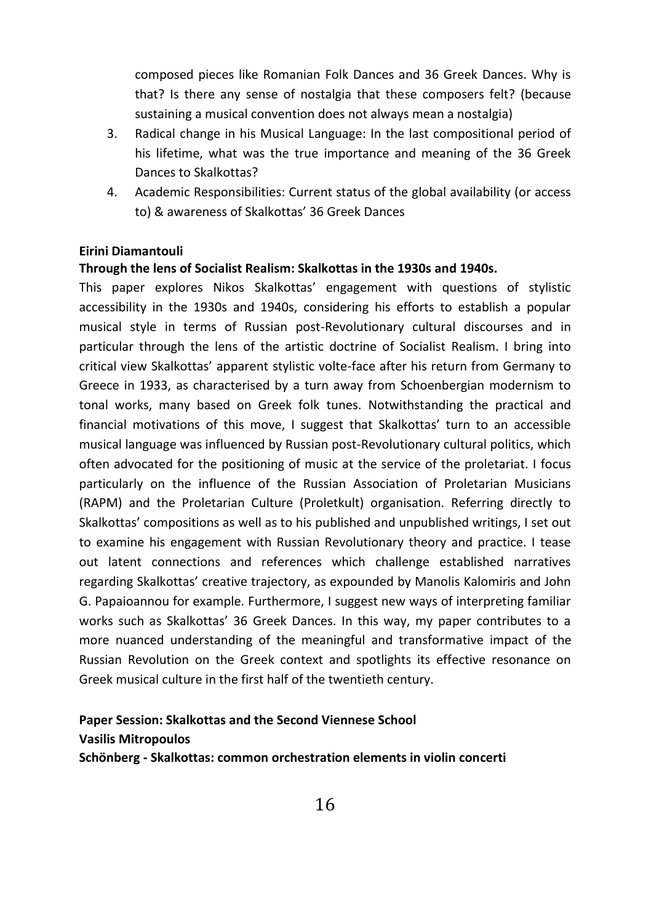composed pieces like Romanian Folk Dances and 36 Greek Dances. Why is that? Is there any sense of nostalgia that these composers felt? (because sustaining a musical convention does not always mean a nostalgia)

- 3. Radical change in his Musical Language: In the last compositional period of his lifetime, what was the true importance and meaning of the 36 Greek Dances to Skalkottas?
- 4. Academic Responsibilities: Current status of the global availability (or access to) & awareness of Skalkottas' 36 Greek Dances

#### **Eirini Diamantouli**

#### **Through the lens of Socialist Realism: Skalkottas in the 1930s and 1940s.**

This paper explores Nikos Skalkottas' engagement with questions of stylistic accessibility in the 1930s and 1940s, considering his efforts to establish a popular musical style in terms of Russian post-Revolutionary cultural discourses and in particular through the lens of the artistic doctrine of Socialist Realism. I bring into critical view Skalkottas' apparent stylistic volte-face after his return from Germany to Greece in 1933, as characterised by a turn away from Schoenbergian modernism to tonal works, many based on Greek folk tunes. Notwithstanding the practical and financial motivations of this move, I suggest that Skalkottas' turn to an accessible musical language was influenced by Russian post-Revolutionary cultural politics, which often advocated for the positioning of music at the service of the proletariat. I focus particularly on the influence of the Russian Association of Proletarian Musicians (RAPM) and the Proletarian Culture (Proletkult) organisation. Referring directly to Skalkottas' compositions as well as to his published and unpublished writings, I set out to examine his engagement with Russian Revolutionary theory and practice. I tease out latent connections and references which challenge established narratives regarding Skalkottas' creative trajectory, as expounded by Manolis Kalomiris and John G. Papaioannou for example. Furthermore, I suggest new ways of interpreting familiar works such as Skalkottas' 36 Greek Dances. In this way, my paper contributes to a more nuanced understanding of the meaningful and transformative impact of the Russian Revolution on the Greek context and spotlights its effective resonance on Greek musical culture in the first half of the twentieth century.

# **Paper Session: Skalkottas and the Second Viennese School Vasilis Mitropoulos Schönberg - Skalkottas: common orchestration elements in violin concerti**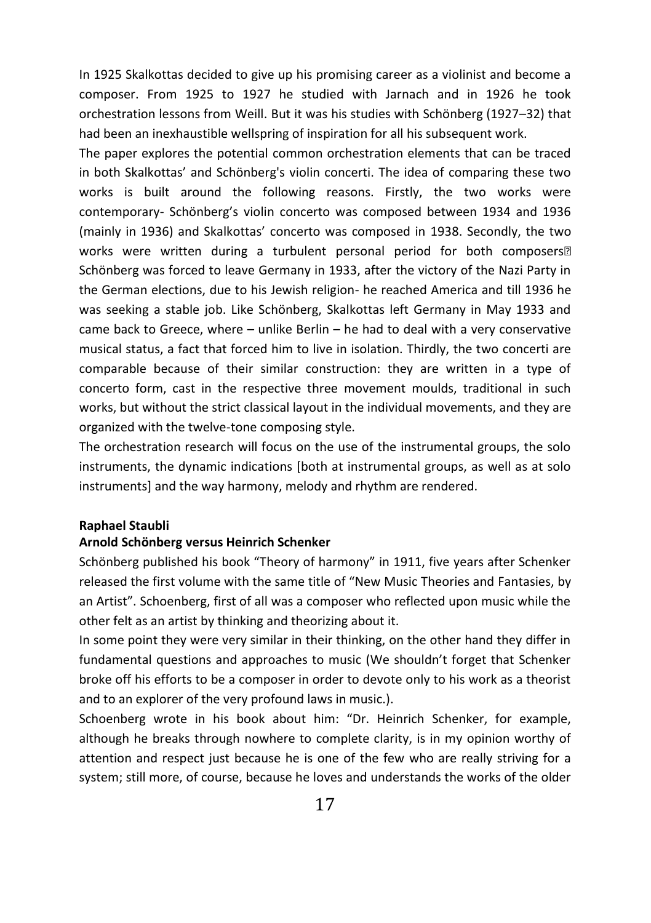In 1925 Skalkottas decided to give up his promising career as a violinist and become a composer. From 1925 to 1927 he studied with Jarnach and in 1926 he took orchestration lessons from Weill. But it was his studies with Schönberg (1927–32) that had been an inexhaustible wellspring of inspiration for all his subsequent work.

The paper explores the potential common orchestration elements that can be traced in both Skalkottas' and Schönberg's violin concerti. The idea of comparing these two works is built around the following reasons. Firstly, the two works were contemporary- Schönberg's violin concerto was composed between 1934 and 1936 (mainly in 1936) and Skalkottas' concerto was composed in 1938. Secondly, the two works were written during a turbulent personal period for both composers Schönberg was forced to leave Germany in 1933, after the victory of the Nazi Party in the German elections, due to his Jewish religion- he reached America and till 1936 he was seeking a stable job. Like Schönberg, Skalkottas left Germany in May 1933 and came back to Greece, where – unlike Berlin – he had to deal with a very conservative musical status, a fact that forced him to live in isolation. Thirdly, the two concerti are comparable because of their similar construction: they are written in a type of concerto form, cast in the respective three movement moulds, traditional in such works, but without the strict classical layout in the individual movements, and they are organized with the twelve-tone composing style.

The orchestration research will focus on the use of the instrumental groups, the solo instruments, the dynamic indications [both at instrumental groups, as well as at solo instruments] and the way harmony, melody and rhythm are rendered.

#### **Raphael Staubli**

#### **Arnold Schönberg versus Heinrich Schenker**

Schönberg published his book "Theory of harmony" in 1911, five years after Schenker released the first volume with the same title of "New Music Theories and Fantasies, by an Artist". Schoenberg, first of all was a composer who reflected upon music while the other felt as an artist by thinking and theorizing about it.

In some point they were very similar in their thinking, on the other hand they differ in fundamental questions and approaches to music (We shouldn't forget that Schenker broke off his efforts to be a composer in order to devote only to his work as a theorist and to an explorer of the very profound laws in music.).

Schoenberg wrote in his book about him: "Dr. Heinrich Schenker, for example, although he breaks through nowhere to complete clarity, is in my opinion worthy of attention and respect just because he is one of the few who are really striving for a system; still more, of course, because he loves and understands the works of the older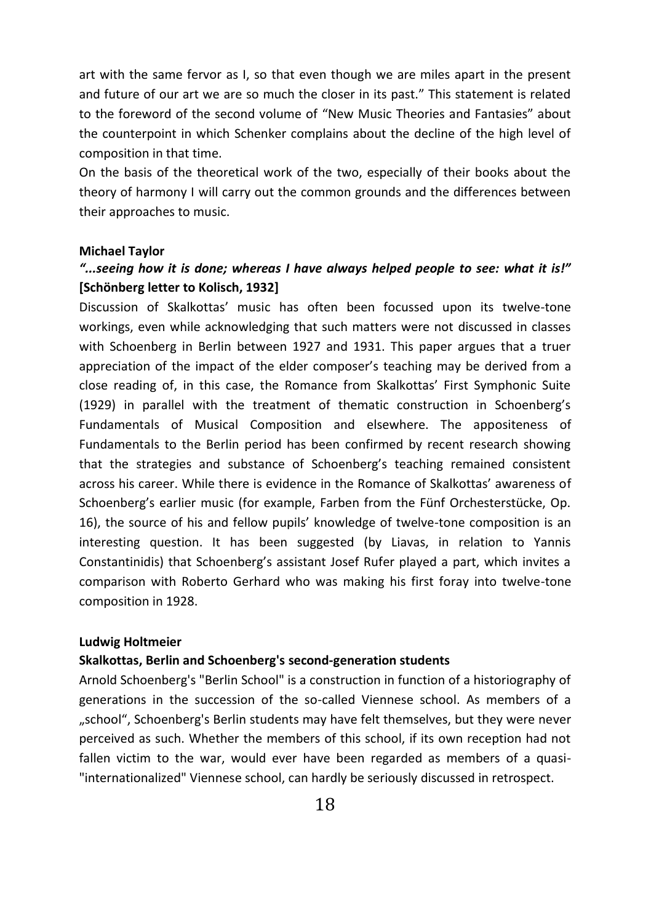art with the same fervor as I, so that even though we are miles apart in the present and future of our art we are so much the closer in its past." This statement is related to the foreword of the second volume of "New Music Theories and Fantasies" about the counterpoint in which Schenker complains about the decline of the high level of composition in that time.

On the basis of the theoretical work of the two, especially of their books about the theory of harmony I will carry out the common grounds and the differences between their approaches to music.

#### **Michael Taylor**

# *"...seeing how it is done; whereas I have always helped people to see: what it is!"*  **[Schönberg letter to Kolisch, 1932]**

Discussion of Skalkottas' music has often been focussed upon its twelve-tone workings, even while acknowledging that such matters were not discussed in classes with Schoenberg in Berlin between 1927 and 1931. This paper argues that a truer appreciation of the impact of the elder composer's teaching may be derived from a close reading of, in this case, the Romance from Skalkottas' First Symphonic Suite (1929) in parallel with the treatment of thematic construction in Schoenberg's Fundamentals of Musical Composition and elsewhere. The appositeness of Fundamentals to the Berlin period has been confirmed by recent research showing that the strategies and substance of Schoenberg's teaching remained consistent across his career. While there is evidence in the Romance of Skalkottas' awareness of Schoenberg's earlier music (for example, Farben from the Fünf Orchesterstücke, Op. 16), the source of his and fellow pupils' knowledge of twelve-tone composition is an interesting question. It has been suggested (by Liavas, in relation to Yannis Constantinidis) that Schoenberg's assistant Josef Rufer played a part, which invites a comparison with Roberto Gerhard who was making his first foray into twelve-tone composition in 1928.

#### **Ludwig Holtmeier**

#### **Skalkottas, Berlin and Schoenberg's second-generation students**

Arnold Schoenberg's "Berlin School" is a construction in function of a historiography of generations in the succession of the so-called Viennese school. As members of a "school", Schoenberg's Berlin students may have felt themselves, but they were never perceived as such. Whether the members of this school, if its own reception had not fallen victim to the war, would ever have been regarded as members of a quasi- "internationalized" Viennese school, can hardly be seriously discussed in retrospect.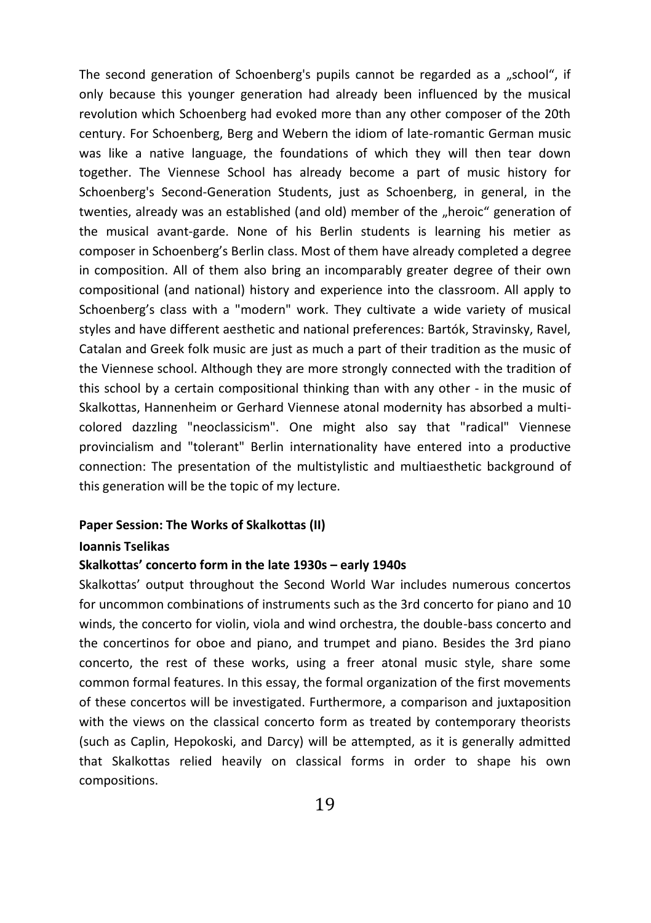The second generation of Schoenberg's pupils cannot be regarded as a "school", if only because this younger generation had already been influenced by the musical revolution which Schoenberg had evoked more than any other composer of the 20th century. For Schoenberg, Berg and Webern the idiom of late-romantic German music was like a native language, the foundations of which they will then tear down together. The Viennese School has already become a part of music history for Schoenberg's Second-Generation Students, just as Schoenberg, in general, in the twenties, already was an established (and old) member of the "heroic" generation of the musical avant-garde. None of his Berlin students is learning his metier as composer in Schoenberg's Berlin class. Most of them have already completed a degree in composition. All of them also bring an incomparably greater degree of their own compositional (and national) history and experience into the classroom. All apply to Schoenberg's class with a "modern" work. They cultivate a wide variety of musical styles and have different aesthetic and national preferences: Bartók, Stravinsky, Ravel, Catalan and Greek folk music are just as much a part of their tradition as the music of the Viennese school. Although they are more strongly connected with the tradition of this school by a certain compositional thinking than with any other - in the music of Skalkottas, Hannenheim or Gerhard Viennese atonal modernity has absorbed a multicolored dazzling "neoclassicism". One might also say that "radical" Viennese provincialism and "tolerant" Berlin internationality have entered into a productive connection: The presentation of the multistylistic and multiaesthetic background of this generation will be the topic of my lecture.

#### **Paper Session: The Works of Skalkottas (II)**

#### **Ioannis Tselikas**

#### **Skalkottas' concerto form in the late 1930s – early 1940s**

Skalkottas' output throughout the Second World War includes numerous concertos for uncommon combinations of instruments such as the 3rd concerto for piano and 10 winds, the concerto for violin, viola and wind orchestra, the double-bass concerto and the concertinos for oboe and piano, and trumpet and piano. Besides the 3rd piano concerto, the rest of these works, using a freer atonal music style, share some common formal features. In this essay, the formal organization of the first movements of these concertos will be investigated. Furthermore, a comparison and juxtaposition with the views on the classical concerto form as treated by contemporary theorists (such as Caplin, Hepokoski, and Darcy) will be attempted, as it is generally admitted that Skalkottas relied heavily on classical forms in order to shape his own compositions.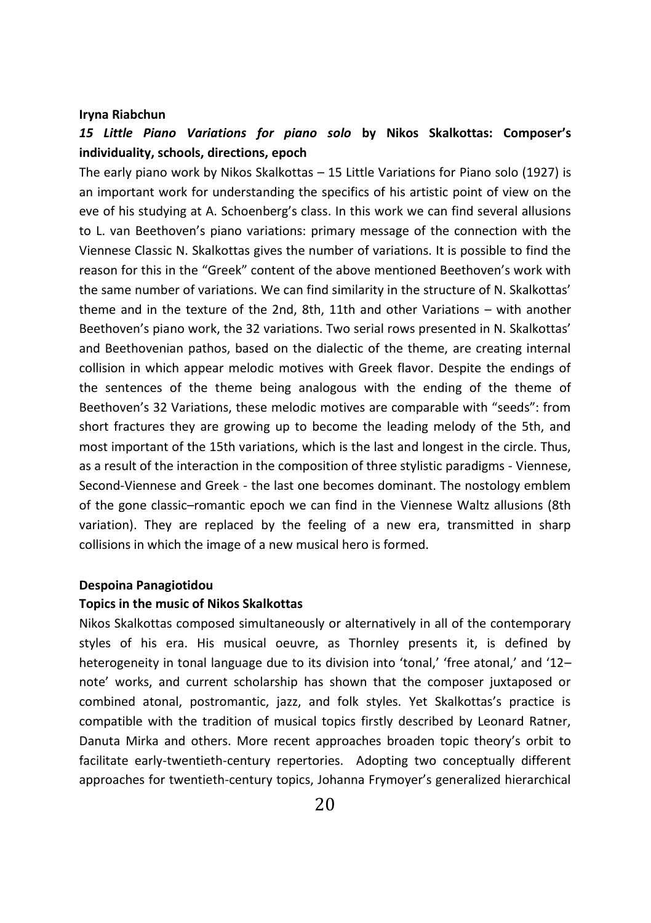#### **Iryna Riabchun**

# *15 Little Piano Variations for piano solo* **by Nikos Skalkottas: Composer's individuality, schools, directions, epoch**

The early piano work by Nikos Skalkottas – 15 Little Variations for Piano solo (1927) is an important work for understanding the specifics of his artistic point of view on the eve of his studying at A. Schoenberg's class. In this work we can find several allusions to L. van Beethoven's piano variations: primary message of the connection with the Viennese Classic N. Skalkottas gives the number of variations. It is possible to find the reason for this in the "Greek" content of the above mentioned Beethoven's work with the same number of variations. We can find similarity in the structure of N. Skalkottas' theme and in the texture of the 2nd, 8th, 11th and other Variations – with another Beethoven's piano work, the 32 variations. Two serial rows presented in N. Skalkottas' and Beethovenian pathos, based on the dialectic of the theme, are creating internal collision in which appear melodic motives with Greek flavor. Despite the endings of the sentences of the theme being analogous with the ending of the theme of Beethoven's 32 Variations, these melodic motives are comparable with "seeds": from short fractures they are growing up to become the leading melody of the 5th, and most important of the 15th variations, which is the last and longest in the circle. Thus, as a result of the interaction in the composition of three stylistic paradigms - Viennese, Second-Viennese and Greek - the last one becomes dominant. The nostology emblem of the gone classic–romantic epoch we can find in the Viennese Waltz allusions (8th variation). They are replaced by the feeling of a new era, transmitted in sharp collisions in which the image of a new musical hero is formed.

#### **Despoina Panagiotidou**

#### **Topics in the music of Nikos Skalkottas**

Nikos Skalkottas composed simultaneously or alternatively in all of the contemporary styles of his era. His musical oeuvre, as Thornley presents it, is defined by heterogeneity in tonal language due to its division into 'tonal,' 'free atonal,' and '12– note' works, and current scholarship has shown that the composer juxtaposed or combined atonal, postromantic, jazz, and folk styles. Yet Skalkottas's practice is compatible with the tradition of musical topics firstly described by Leonard Ratner, Danuta Mirka and others. More recent approaches broaden topic theory's orbit to facilitate early-twentieth-century repertories. Adopting two conceptually different approaches for twentieth-century topics, Johanna Frymoyer's generalized hierarchical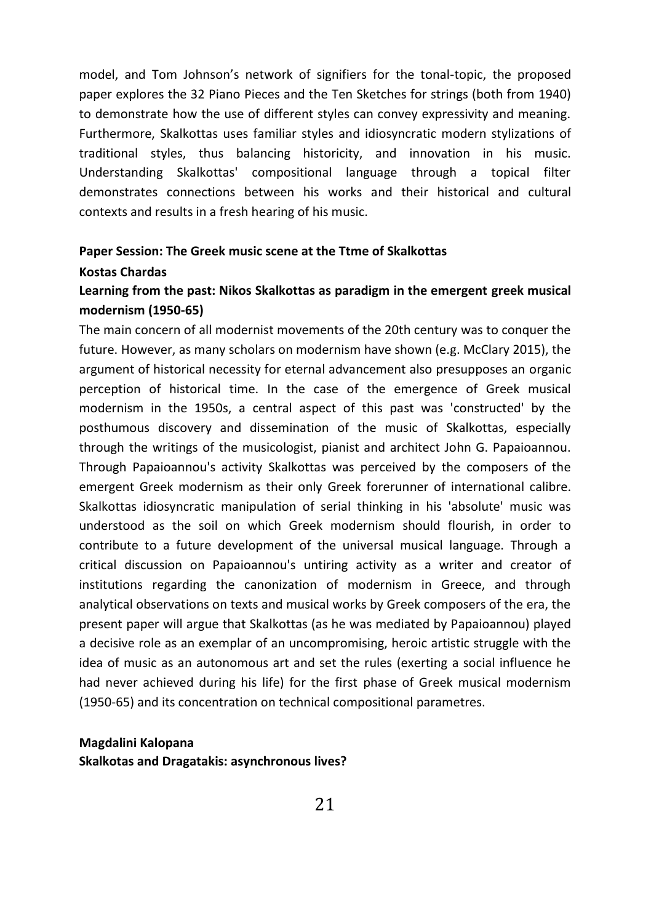model, and Tom Johnson's network of signifiers for the tonal-topic, the proposed paper explores the 32 Piano Pieces and the Ten Sketches for strings (both from 1940) to demonstrate how the use of different styles can convey expressivity and meaning. Furthermore, Skalkottas uses familiar styles and idiosyncratic modern stylizations of traditional styles, thus balancing historicity, and innovation in his music. Understanding Skalkottas' compositional language through a topical filter demonstrates connections between his works and their historical and cultural contexts and results in a fresh hearing of his music.

#### **Paper Session: The Greek music scene at the Ttme of Skalkottas**

#### **Kostas Chardas**

# **Learning from the past: Nikos Skalkottas as paradigm in the emergent greek musical modernism (1950-65)**

The main concern of all modernist movements of the 20th century was to conquer the future. However, as many scholars on modernism have shown (e.g. McClary 2015), the argument of historical necessity for eternal advancement also presupposes an organic perception of historical time. In the case of the emergence of Greek musical modernism in the 1950s, a central aspect of this past was 'constructed' by the posthumous discovery and dissemination of the music of Skalkottas, especially through the writings of the musicologist, pianist and architect John G. Papaioannou. Through Papaioannou's activity Skalkottas was perceived by the composers of the emergent Greek modernism as their only Greek forerunner of international calibre. Skalkottas idiosyncratic manipulation of serial thinking in his 'absolute' music was understood as the soil on which Greek modernism should flourish, in order to contribute to a future development of the universal musical language. Through a critical discussion on Papaioannou's untiring activity as a writer and creator of institutions regarding the canonization of modernism in Greece, and through analytical observations on texts and musical works by Greek composers of the era, the present paper will argue that Skalkottas (as he was mediated by Papaioannou) played a decisive role as an exemplar of an uncompromising, heroic artistic struggle with the idea of music as an autonomous art and set the rules (exerting a social influence he had never achieved during his life) for the first phase of Greek musical modernism (1950-65) and its concentration on technical compositional parametres.

#### **Magdalini Kalopana**

**Skalkotas and Dragatakis: asynchronous lives?**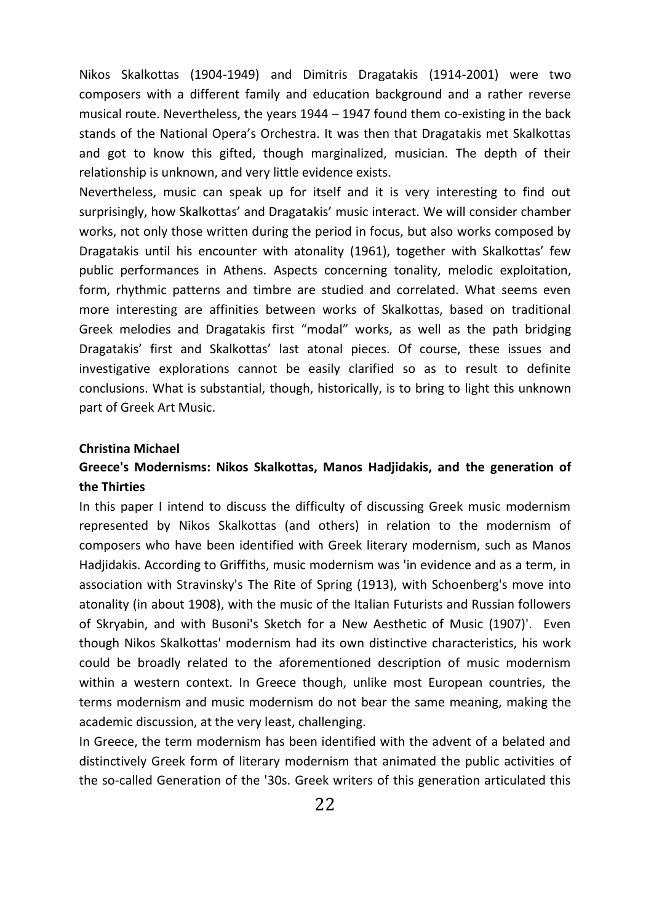Nikos Skalkottas (1904-1949) and Dimitris Dragatakis (1914-2001) were two composers with a different family and education background and a rather reverse musical route. Nevertheless, the years 1944 – 1947 found them co-existing in the back stands of the National Opera's Orchestra. It was then that Dragatakis met Skalkottas and got to know this gifted, though marginalized, musician. The depth of their relationship is unknown, and very little evidence exists.

Nevertheless, music can speak up for itself and it is very interesting to find out surprisingly, how Skalkottas' and Dragatakis' music interact. We will consider chamber works, not only those written during the period in focus, but also works composed by Dragatakis until his encounter with atonality (1961), together with Skalkottas' few public performances in Athens. Aspects concerning tonality, melodic exploitation, form, rhythmic patterns and timbre are studied and correlated. What seems even more interesting are affinities between works of Skalkottas, based on traditional Greek melodies and Dragatakis first "modal" works, as well as the path bridging Dragatakis' first and Skalkottas' last atonal pieces. Of course, these issues and investigative explorations cannot be easily clarified so as to result to definite conclusions. What is substantial, though, historically, is to bring to light this unknown part of Greek Art Music.

#### **Christina Michael**

# **Greece's Modernisms: Nikos Skalkottas, Manos Hadjidakis, and the generation of the Thirties**

In this paper I intend to discuss the difficulty of discussing Greek music modernism represented by Nikos Skalkottas (and others) in relation to the modernism of composers who have been identified with Greek literary modernism, such as Manos Hadjidakis. According to Griffiths, music modernism was 'in evidence and as a term, in association with Stravinsky's The Rite of Spring (1913), with Schoenberg's move into atonality (in about 1908), with the music of the Italian Futurists and Russian followers of Skryabin, and with Busoni's Sketch for a New Aesthetic of Music (1907)'. Even though Nikos Skalkottas' modernism had its own distinctive characteristics, his work could be broadly related to the aforementioned description of music modernism within a western context. In Greece though, unlike most European countries, the terms modernism and music modernism do not bear the same meaning, making the academic discussion, at the very least, challenging.

In Greece, the term modernism has been identified with the advent of a belated and distinctively Greek form of literary modernism that animated the public activities of the so-called Generation of the '30s. Greek writers of this generation articulated this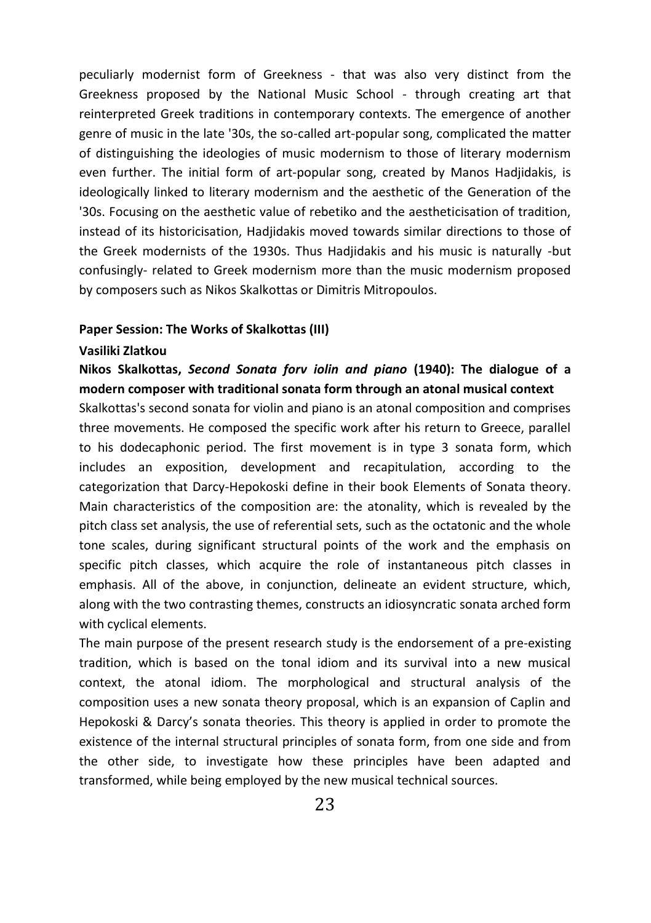peculiarly modernist form of Greekness - that was also very distinct from the Greekness proposed by the National Music School - through creating art that reinterpreted Greek traditions in contemporary contexts. The emergence of another genre of music in the late '30s, the so-called art-popular song, complicated the matter of distinguishing the ideologies of music modernism to those of literary modernism even further. The initial form of art-popular song, created by Manos Hadjidakis, is ideologically linked to literary modernism and the aesthetic of the Generation of the '30s. Focusing on the aesthetic value of rebetiko and the aestheticisation of tradition, instead of its historicisation, Hadjidakis moved towards similar directions to those of the Greek modernists of the 1930s. Thus Hadjidakis and his music is naturally -but confusingly- related to Greek modernism more than the music modernism proposed by composers such as Nikos Skalkottas or Dimitris Mitropoulos.

#### **Paper Session: The Works of Skalkottas (III)**

#### **Vasiliki Zlatkou**

**Nikos Skalkottas,** *Second Sonata forv iolin and piano* **(1940): The dialogue of a modern composer with traditional sonata form through an atonal musical context**

Skalkottas's second sonata for violin and piano is an atonal composition and comprises three movements. He composed the specific work after his return to Greece, parallel to his dodecaphonic period. The first movement is in type 3 sonata form, which includes an exposition, development and recapitulation, according to the categorization that Darcy-Hepokoski define in their book Elements of Sonata theory. Main characteristics of the composition are: the atonality, which is revealed by the pitch class set analysis, the use of referential sets, such as the octatonic and the whole tone scales, during significant structural points of the work and the emphasis on specific pitch classes, which acquire the role of instantaneous pitch classes in emphasis. All of the above, in conjunction, delineate an evident structure, which, along with the two contrasting themes, constructs an idiosyncratic sonata arched form with cyclical elements.

The main purpose of the present research study is the endorsement of a pre-existing tradition, which is based on the tonal idiom and its survival into a new musical context, the atonal idiom. The morphological and structural analysis of the composition uses a new sonata theory proposal, which is an expansion of Caplin and Hepokoski & Darcy's sonata theories. This theory is applied in order to promote the existence of the internal structural principles of sonata form, from one side and from the other side, to investigate how these principles have been adapted and transformed, while being employed by the new musical technical sources.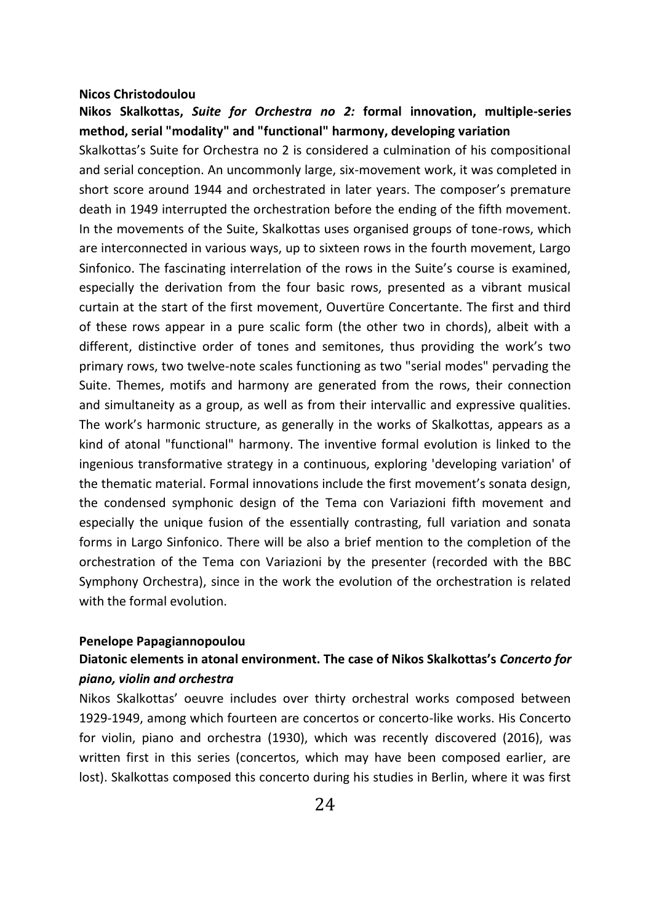#### **Nicos Christodoulou**

## **Nikos Skalkottas,** *Suite for Orchestra no 2:* **formal innovation, multiple-series method, serial "modality" and "functional" harmony, developing variation**

Skalkottas's Suite for Orchestra no 2 is considered a culmination of his compositional and serial conception. An uncommonly large, six-movement work, it was completed in short score around 1944 and orchestrated in later years. Τhe composer's premature death in 1949 interrupted the orchestration before the ending of the fifth movement. In the movements of the Suite, Skalkottas uses organised groups of tone-rows, which are interconnected in various ways, up to sixteen rows in the fourth movement, Largo Sinfonico. The fascinating interrelation of the rows in the Suite's course is examined, especially the derivation from the four basic rows, presented as a vibrant musical curtain at the start of the first movement, Ouvertüre Concertante. The first and third of these rows appear in a pure scalic form (the other two in chords), albeit with a different, distinctive order of tones and semitones, thus providing the work's two primary rows, two twelve-note scales functioning as two "serial modes" pervading the Suite. Themes, motifs and harmony are generated from the rows, their connection and simultaneity as a group, as well as from their intervallic and expressive qualities. The work's harmonic structure, as generally in the works of Skalkottas, appears as a kind of atonal "functional" harmony. The inventive formal evolution is linked to the ingenious transformative strategy in a continuous, exploring 'developing variation' of the thematic material. Formal innovations include the first movement's sonata design, the condensed symphonic design of the Tema con Variazioni fifth movement and especially the unique fusion of the essentially contrasting, full variation and sonata forms in Largo Sinfonico. There will be also a brief mention to the completion of the orchestration of the Tema con Variazioni by the presenter (recorded with the BBC Symphony Orchestra), since in the work the evolution of the orchestration is related with the formal evolution.

#### **Penelope Papagiannopoulou**

# **Diatonic elements in atonal environment. The case of Nikos Skalkottas's** *Concerto for piano, violin and orchestra*

Nikos Skalkottas' oeuvre includes over thirty orchestral works composed between 1929-1949, among which fourteen are concertos or concerto-like works. His Concerto for violin, piano and orchestra (1930), which was recently discovered (2016), was written first in this series (concertos, which may have been composed earlier, are lost). Skalkottas composed this concerto during his studies in Berlin, where it was first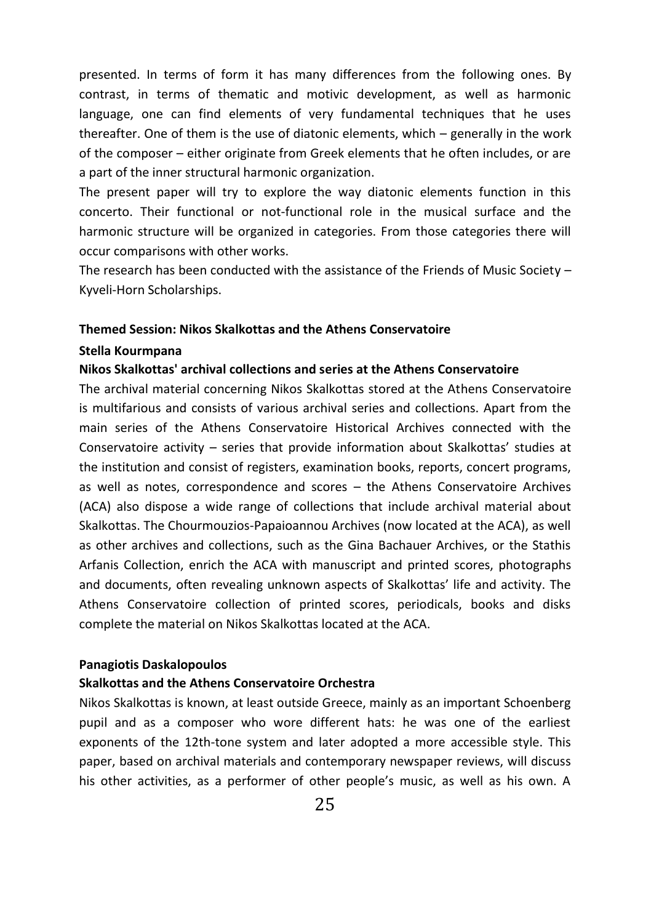presented. In terms of form it has many differences from the following ones. By contrast, in terms of thematic and motivic development, as well as harmonic language, one can find elements of very fundamental techniques that he uses thereafter. One of them is the use of diatonic elements, which – generally in the work of the composer – either originate from Greek elements that he often includes, or are a part of the inner structural harmonic organization.

The present paper will try to explore the way diatonic elements function in this concerto. Their functional or not-functional role in the musical surface and the harmonic structure will be organized in categories. From those categories there will occur comparisons with other works.

The research has been conducted with the assistance of the Friends of Music Society  $-$ Kyveli-Horn Scholarships.

#### **Themed Session: Nikos Skalkottas and the Athens Conservatoire**

#### **Stella Kourmpana**

#### **Nikos Skalkottas' archival collections and series at the Athens Conservatoire**

The archival material concerning Nikos Skalkottas stored at the Athens Conservatoire is multifarious and consists of various archival series and collections. Apart from the main series of the Athens Conservatoire Historical Archives connected with the Conservatoire activity – series that provide information about Skalkottas' studies at the institution and consist of registers, examination books, reports, concert programs, as well as notes, correspondence and scores – the Athens Conservatoire Archives (ACA) also dispose a wide range of collections that include archival material about Skalkottas. The Chourmouzios-Papaioannou Archives (now located at the ACA), as well as other archives and collections, such as the Gina Bachauer Archives, or the Stathis Arfanis Collection, enrich the ACA with manuscript and printed scores, photographs and documents, often revealing unknown aspects of Skalkottas' life and activity. The Athens Conservatoire collection of printed scores, periodicals, books and disks complete the material on Nikos Skalkottas located at the ACA.

#### **Panagiotis Daskalopoulos**

#### **Skalkottas and the Athens Conservatoire Orchestra**

Nikos Skalkottas is known, at least outside Greece, mainly as an important Schoenberg pupil and as a composer who wore different hats: he was one of the earliest exponents of the 12th-tone system and later adopted a more accessible style. This paper, based on archival materials and contemporary newspaper reviews, will discuss his other activities, as a performer of other people's music, as well as his own. A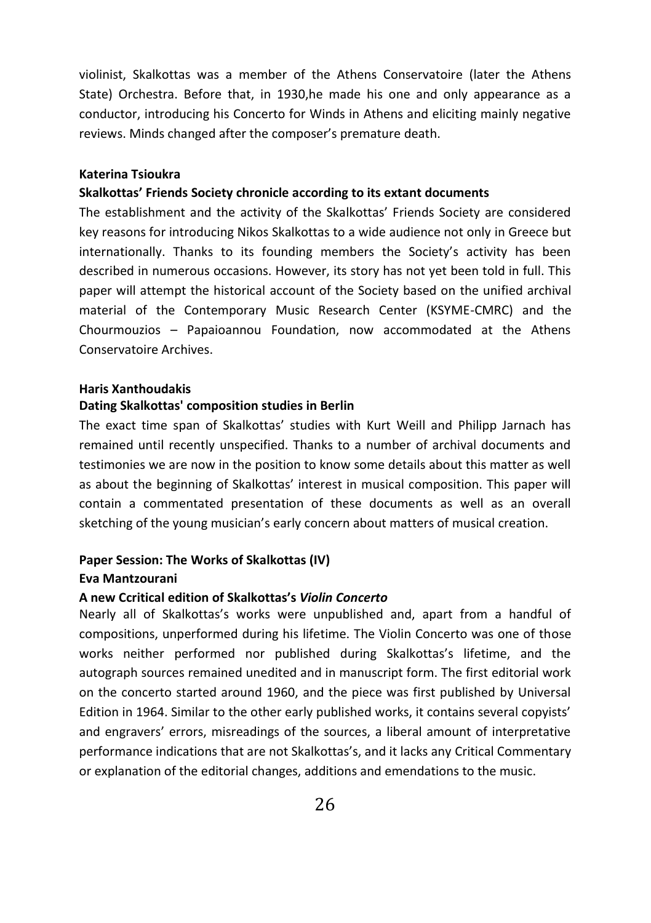violinist, Skalkottas was a member of the Athens Conservatoire (later the Athens State) Orchestra. Before that, in 1930,he made his one and only appearance as a conductor, introducing his Concerto for Winds in Athens and eliciting mainly negative reviews. Minds changed after the composer's premature death.

#### **Katerina Tsioukra**

#### **Skalkottas' Friends Society chronicle according to its extant documents**

The establishment and the activity of the Skalkottas' Friends Society are considered key reasons for introducing Nikos Skalkottas to a wide audience not only in Greece but internationally. Thanks to its founding members the Society's activity has been described in numerous occasions. However, its story has not yet been told in full. This paper will attempt the historical account of the Society based on the unified archival material of the Contemporary Music Research Center (KSYME-CMRC) and the Chourmouzios – Papaioannou Foundation, now accommodated at the Athens Conservatoire Archives.

#### **Haris Xanthoudakis**

#### **Dating Skalkottas' composition studies in Berlin**

The exact time span of Skalkottas' studies with Kurt Weill and Philipp Jarnach has remained until recently unspecified. Thanks to a number of archival documents and testimonies we are now in the position to know some details about this matter as well as about the beginning of Skalkottas' interest in musical composition. This paper will contain a commentated presentation of these documents as well as an overall sketching of the young musician's early concern about matters of musical creation.

#### **Paper Session: The Works of Skalkottas (IV)**

#### **Eva Mantzourani**

#### **A new Ccritical edition of Skalkottas's** *Violin Concerto*

Nearly all of Skalkottas's works were unpublished and, apart from a handful of compositions, unperformed during his lifetime. The Violin Concerto was one of those works neither performed nor published during Skalkottas's lifetime, and the autograph sources remained unedited and in manuscript form. The first editorial work on the concerto started around 1960, and the piece was first published by Universal Edition in 1964. Similar to the other early published works, it contains several copyists' and engravers' errors, misreadings of the sources, a liberal amount of interpretative performance indications that are not Skalkottas's, and it lacks any Critical Commentary or explanation of the editorial changes, additions and emendations to the music.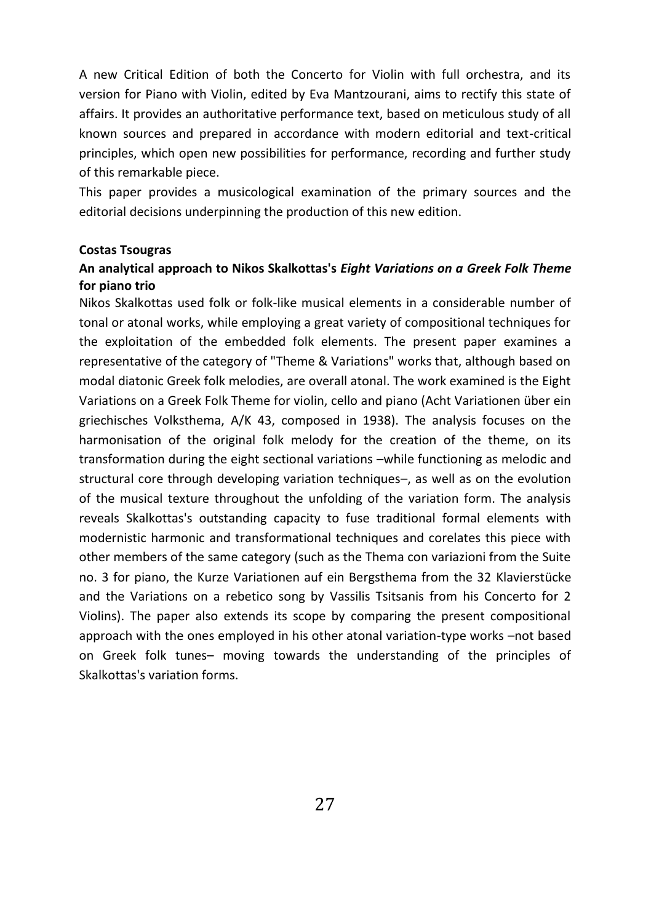A new Critical Edition of both the Concerto for Violin with full orchestra, and its version for Piano with Violin, edited by Eva Mantzourani, aims to rectify this state of affairs. It provides an authoritative performance text, based on meticulous study of all known sources and prepared in accordance with modern editorial and text-critical principles, which open new possibilities for performance, recording and further study of this remarkable piece.

This paper provides a musicological examination of the primary sources and the editorial decisions underpinning the production of this new edition.

#### **Costas Tsougras**

### **An analytical approach to Nikos Skalkottas's** *Eight Variations on a Greek Folk Theme* **for piano trio**

Nikos Skalkottas used folk or folk-like musical elements in a considerable number of tonal or atonal works, while employing a great variety of compositional techniques for the exploitation of the embedded folk elements. The present paper examines a representative of the category of "Theme & Variations" works that, although based on modal diatonic Greek folk melodies, are overall atonal. The work examined is the Eight Variations on a Greek Folk Theme for violin, cello and piano (Acht Variationen über ein griechisches Volksthema, A/K 43, composed in 1938). The analysis focuses on the harmonisation of the original folk melody for the creation of the theme, on its transformation during the eight sectional variations –while functioning as melodic and structural core through developing variation techniques–, as well as on the evolution of the musical texture throughout the unfolding of the variation form. The analysis reveals Skalkottas's outstanding capacity to fuse traditional formal elements with modernistic harmonic and transformational techniques and corelates this piece with other members of the same category (such as the Thema con variazioni from the Suite no. 3 for piano, the Kurze Variationen auf ein Bergsthema from the 32 Klavierstücke and the Variations on a rebetico song by Vassilis Tsitsanis from his Concerto for 2 Violins). The paper also extends its scope by comparing the present compositional approach with the ones employed in his other atonal variation-type works –not based on Greek folk tunes– moving towards the understanding of the principles of Skalkottas's variation forms.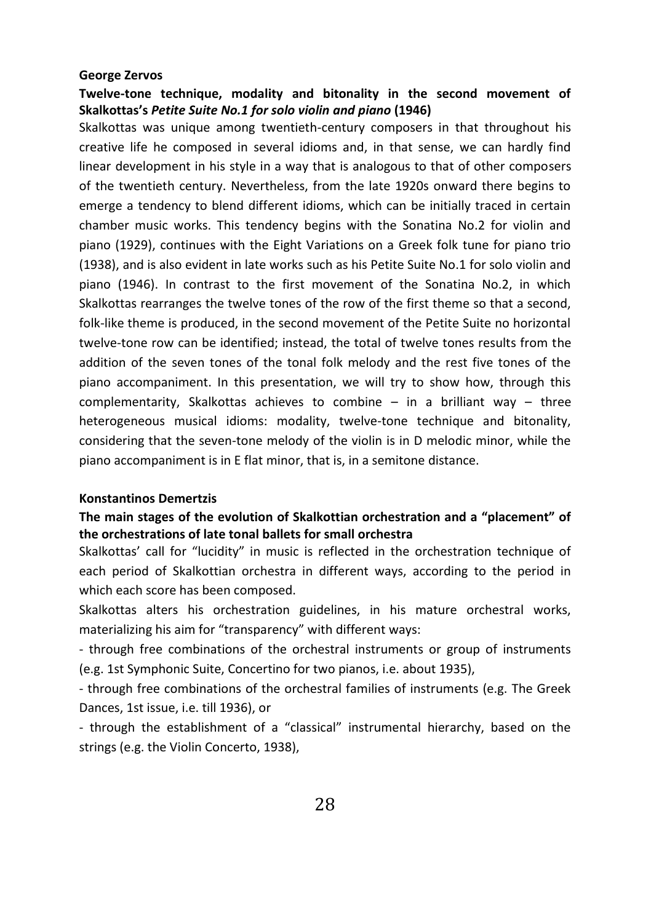#### **George Zervos**

# **Twelve-tone technique, modality and bitonality in the second movement of Skalkottas's** *Petite Suite No.1 for solo violin and piano* **(1946)**

Skalkottas was unique among twentieth-century composers in that throughout his creative life he composed in several idioms and, in that sense, we can hardly find linear development in his style in a way that is analogous to that of other composers of the twentieth century. Nevertheless, from the late 1920s onward there begins to emerge a tendency to blend different idioms, which can be initially traced in certain chamber music works. This tendency begins with the Sonatina No.2 for violin and piano (1929), continues with the Eight Variations on a Greek folk tune for piano trio (1938), and is also evident in late works such as his Petite Suite No.1 for solo violin and piano (1946). In contrast to the first movement of the Sonatina No.2, in which Skalkottas rearranges the twelve tones of the row of the first theme so that a second, folk-like theme is produced, in the second movement of the Petite Suite no horizontal twelve-tone row can be identified; instead, the total of twelve tones results from the addition of the seven tones of the tonal folk melody and the rest five tones of the piano accompaniment. In this presentation, we will try to show how, through this complementarity, Skalkottas achieves to combine – in a brilliant way – three heterogeneous musical idioms: modality, twelve-tone technique and bitonality, considering that the seven-tone melody of the violin is in D melodic minor, while the piano accompaniment is in E flat minor, that is, in a semitone distance.

#### **Konstantinos Demertzis**

#### **The main stages of the evolution of Skalkottian orchestration and a "placement" of the orchestrations of late tonal ballets for small orchestra**

Skalkottas' call for "lucidity" in music is reflected in the orchestration technique of each period of Skalkottian orchestra in different ways, according to the period in which each score has been composed.

Skalkottas alters his orchestration guidelines, in his mature orchestral works, materializing his aim for "transparency" with different ways:

- through free combinations of the orchestral instruments or group of instruments (e.g. 1st Symphonic Suite, Concertino for two pianos, i.e. about 1935),

- through free combinations of the orchestral families of instruments (e.g. The Greek Dances, 1st issue, i.e. till 1936), or

- through the establishment of a "classical" instrumental hierarchy, based on the strings (e.g. the Violin Concerto, 1938),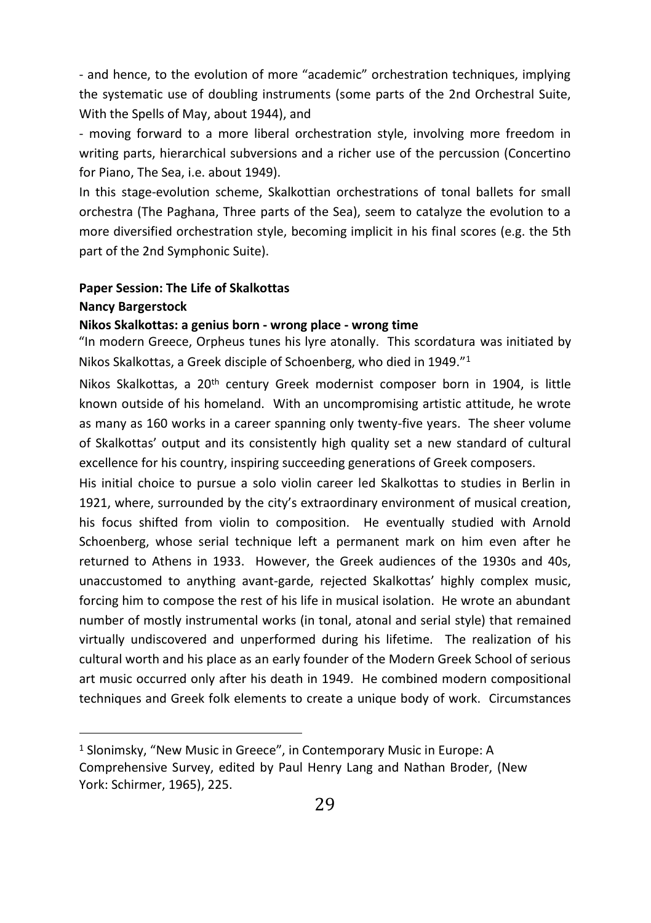- and hence, to the evolution of more "academic" orchestration techniques, implying the systematic use of doubling instruments (some parts of the 2nd Orchestral Suite, With the Spells of May, about 1944), and

- moving forward to a more liberal orchestration style, involving more freedom in writing parts, hierarchical subversions and a richer use of the percussion (Concertino for Piano, The Sea, i.e. about 1949).

In this stage-evolution scheme, Skalkottian orchestrations of tonal ballets for small orchestra (The Paghana, Three parts of the Sea), seem to catalyze the evolution to a more diversified orchestration style, becoming implicit in his final scores (e.g. the 5th part of the 2nd Symphonic Suite).

# **Paper Session: The Life of Skalkottas**

# **Nancy Bargerstock**

#### **Nikos Skalkottas: a genius born - wrong place - wrong time**

"In modern Greece, Orpheus tunes his lyre atonally. This scordatura was initiated by Nikos Skalkottas, a Greek disciple of Schoenberg, who died in 1949."<sup>1</sup>

Nikos Skalkottas, a 20th century Greek modernist composer born in 1904, is little known outside of his homeland. With an uncompromising artistic attitude, he wrote as many as 160 works in a career spanning only twenty-five years. The sheer volume of Skalkottas' output and its consistently high quality set a new standard of cultural excellence for his country, inspiring succeeding generations of Greek composers.

His initial choice to pursue a solo violin career led Skalkottas to studies in Berlin in 1921, where, surrounded by the city's extraordinary environment of musical creation, his focus shifted from violin to composition. He eventually studied with Arnold Schoenberg, whose serial technique left a permanent mark on him even after he returned to Athens in 1933. However, the Greek audiences of the 1930s and 40s, unaccustomed to anything avant-garde, rejected Skalkottas' highly complex music, forcing him to compose the rest of his life in musical isolation. He wrote an abundant number of mostly instrumental works (in tonal, atonal and serial style) that remained virtually undiscovered and unperformed during his lifetime. The realization of his cultural worth and his place as an early founder of the Modern Greek School of serious art music occurred only after his death in 1949. He combined modern compositional techniques and Greek folk elements to create a unique body of work. Circumstances

<sup>1</sup> Slonimsky, "New Music in Greece", in Contemporary Music in Europe: A Comprehensive Survey, edited by Paul Henry Lang and Nathan Broder, (New York: Schirmer, 1965), 225.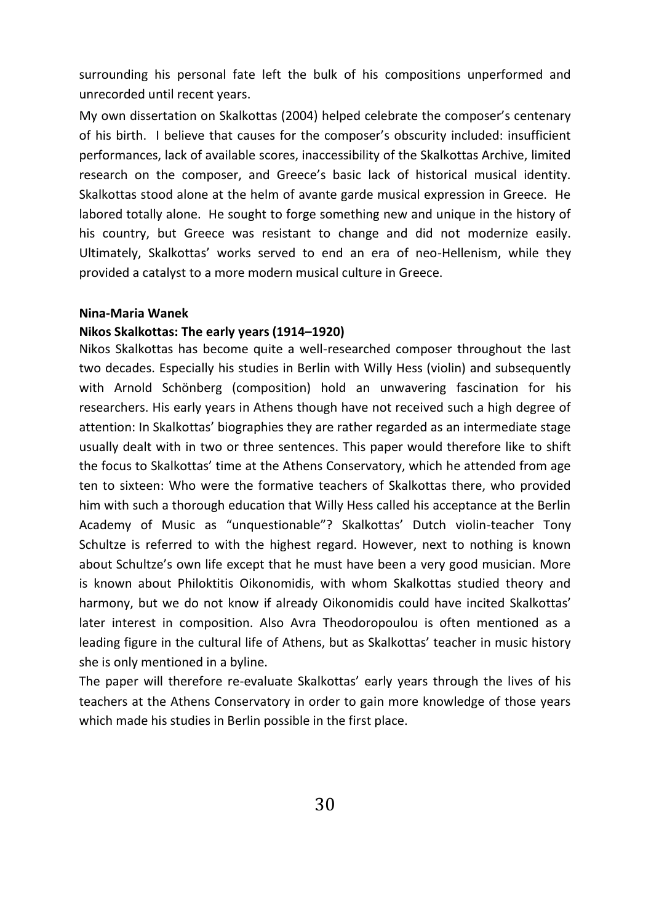surrounding his personal fate left the bulk of his compositions unperformed and unrecorded until recent years.

My own dissertation on Skalkottas (2004) helped celebrate the composer's centenary of his birth. I believe that causes for the composer's obscurity included: insufficient performances, lack of available scores, inaccessibility of the Skalkottas Archive, limited research on the composer, and Greece's basic lack of historical musical identity. Skalkottas stood alone at the helm of avante garde musical expression in Greece. He labored totally alone. He sought to forge something new and unique in the history of his country, but Greece was resistant to change and did not modernize easily. Ultimately, Skalkottas' works served to end an era of neo-Hellenism, while they provided a catalyst to a more modern musical culture in Greece.

#### **Nina-Maria Wanek**

#### **Nikos Skalkottas: The early years (1914–1920)**

Nikos Skalkottas has become quite a well-researched composer throughout the last two decades. Especially his studies in Berlin with Willy Hess (violin) and subsequently with Arnold Schönberg (composition) hold an unwavering fascination for his researchers. His early years in Athens though have not received such a high degree of attention: In Skalkottas' biographies they are rather regarded as an intermediate stage usually dealt with in two or three sentences. This paper would therefore like to shift the focus to Skalkottas' time at the Athens Conservatory, which he attended from age ten to sixteen: Who were the formative teachers of Skalkottas there, who provided him with such a thorough education that Willy Hess called his acceptance at the Berlin Academy of Music as "unquestionable"? Skalkottas' Dutch violin-teacher Tony Schultze is referred to with the highest regard. However, next to nothing is known about Schultze's own life except that he must have been a very good musician. More is known about Philoktitis Oikonomidis, with whom Skalkottas studied theory and harmony, but we do not know if already Oikonomidis could have incited Skalkottas' later interest in composition. Also Avra Theodoropoulou is often mentioned as a leading figure in the cultural life of Athens, but as Skalkottas' teacher in music history she is only mentioned in a byline.

The paper will therefore re-evaluate Skalkottas' early years through the lives of his teachers at the Athens Conservatory in order to gain more knowledge of those years which made his studies in Berlin possible in the first place.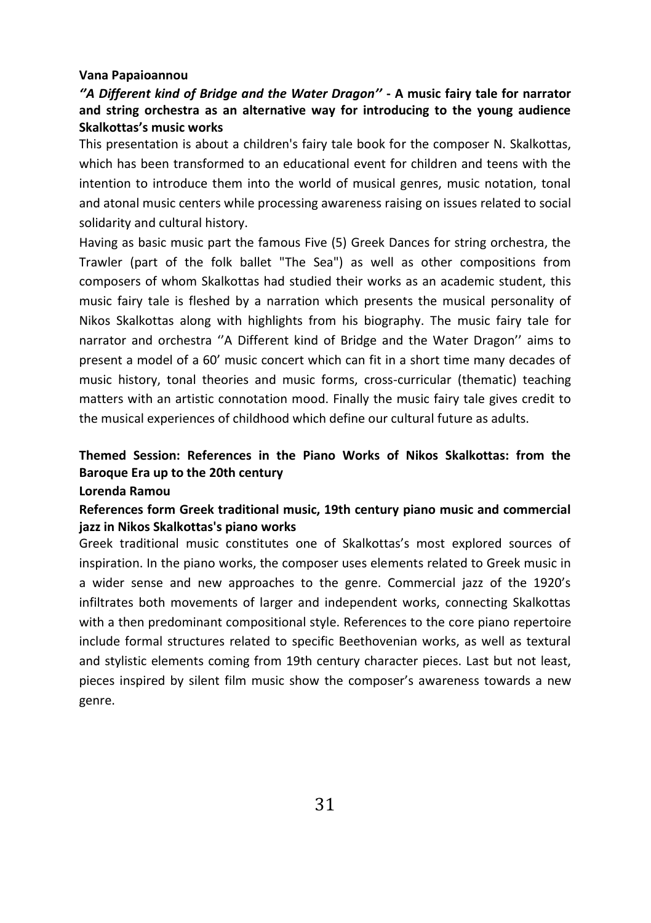#### **Vana Papaioannou**

# *''A Different kind of Bridge and the Water Dragon''* **- A music fairy tale for narrator and string orchestra as an alternative way for introducing to the young audience Skalkottas's music works**

This presentation is about a children's fairy tale book for the composer N. Skalkottas, which has been transformed to an educational event for children and teens with the intention to introduce them into the world of musical genres, music notation, tonal and atonal music centers while processing awareness raising on issues related to social solidarity and cultural history.

Having as basic music part the famous Five (5) Greek Dances for string orchestra, the Trawler (part of the folk ballet "The Sea") as well as other compositions from composers of whom Skalkottas had studied their works as an academic student, this music fairy tale is fleshed by a narration which presents the musical personality of Nikos Skalkottas along with highlights from his biography. The music fairy tale for narrator and orchestra ''A Different kind of Bridge and the Water Dragon'' aims to present a model of a 60' music concert which can fit in a short time many decades of music history, tonal theories and music forms, cross-curricular (thematic) teaching matters with an artistic connotation mood. Finally the music fairy tale gives credit to the musical experiences of childhood which define our cultural future as adults.

# **Themed Session: References in the Piano Works of Nikos Skalkottas: from the Baroque Era up to the 20th century**

#### **Lorenda Ramou**

# **References form Greek traditional music, 19th century piano music and commercial jazz in Nikos Skalkottas's piano works**

Greek traditional music constitutes one of Skalkottas's most explored sources of inspiration. In the piano works, the composer uses elements related to Greek music in a wider sense and new approaches to the genre. Commercial jazz of the 1920's infiltrates both movements of larger and independent works, connecting Skalkottas with a then predominant compositional style. References to the core piano repertoire include formal structures related to specific Beethovenian works, as well as textural and stylistic elements coming from 19th century character pieces. Last but not least, pieces inspired by silent film music show the composer's awareness towards a new genre.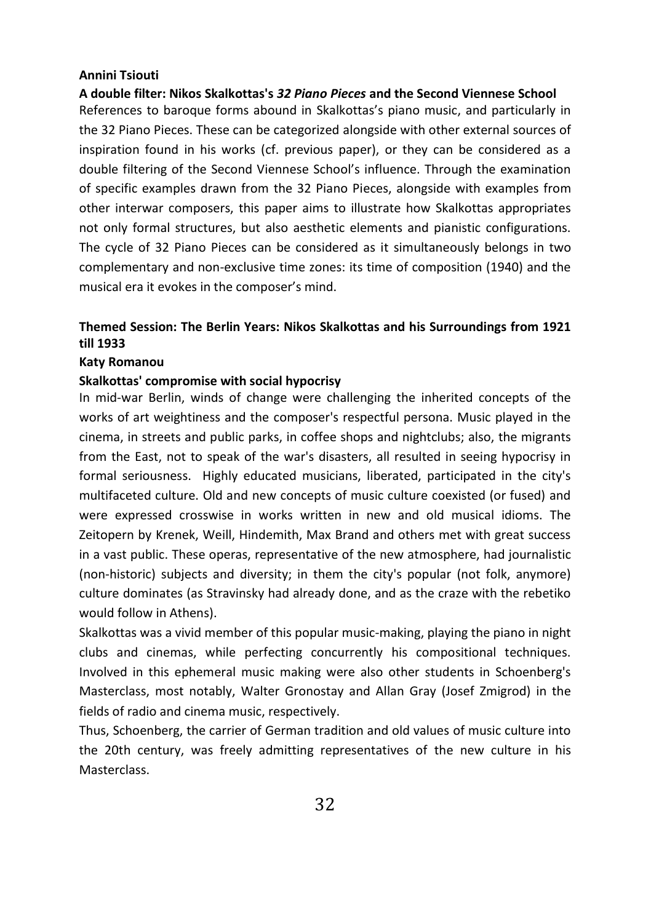#### **Annini Tsiouti**

**A double filter: Nikos Skalkottas's** *32 Piano Pieces* **and the Second Viennese School** References to baroque forms abound in Skalkottas's piano music, and particularly in the 32 Piano Pieces. These can be categorized alongside with other external sources of inspiration found in his works (cf. previous paper), or they can be considered as a double filtering of the Second Viennese School's influence. Through the examination of specific examples drawn from the 32 Piano Pieces, alongside with examples from other interwar composers, this paper aims to illustrate how Skalkottas appropriates not only formal structures, but also aesthetic elements and pianistic configurations. The cycle of 32 Piano Pieces can be considered as it simultaneously belongs in two complementary and non-exclusive time zones: its time of composition (1940) and the musical era it evokes in the composer's mind.

# **Themed Session: The Berlin Years: Nikos Skalkottas and his Surroundings from 1921 till 1933**

#### **Katy Romanou**

#### **Skalkottas' compromise with social hypocrisy**

In mid-war Berlin, winds of change were challenging the inherited concepts of the works of art weightiness and the composer's respectful persona. Music played in the cinema, in streets and public parks, in coffee shops and nightclubs; also, the migrants from the East, not to speak of the war's disasters, all resulted in seeing hypocrisy in formal seriousness. Highly educated musicians, liberated, participated in the city's multifaceted culture. Old and new concepts of music culture coexisted (or fused) and were expressed crosswise in works written in new and old musical idioms. The Zeitopern by Krenek, Weill, Hindemith, Max Brand and others met with great success in a vast public. These operas, representative of the new atmosphere, had journalistic (non-historic) subjects and diversity; in them the city's popular (not folk, anymore) culture dominates (as Stravinsky had already done, and as the craze with the rebetiko would follow in Athens).

Skalkottas was a vivid member of this popular music-making, playing the piano in night clubs and cinemas, while perfecting concurrently his compositional techniques. Involved in this ephemeral music making were also other students in Schoenberg's Masterclass, most notably, Walter Gronostay and Allan Gray (Josef Zmigrod) in the fields of radio and cinema music, respectively.

Thus, Schoenberg, the carrier of German tradition and old values of music culture into the 20th century, was freely admitting representatives of the new culture in his **Masterclass**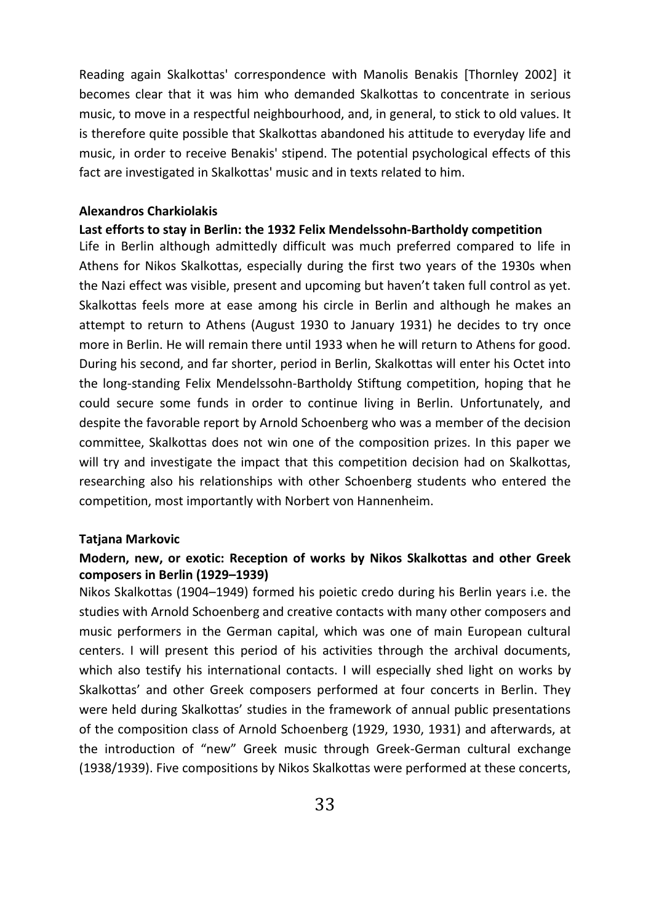Reading again Skalkottas' correspondence with Manolis Benakis [Thornley 2002] it becomes clear that it was him who demanded Skalkottas to concentrate in serious music, to move in a respectful neighbourhood, and, in general, to stick to old values. It is therefore quite possible that Skalkottas abandoned his attitude to everyday life and music, in order to receive Benakis' stipend. The potential psychological effects of this fact are investigated in Skalkottas' music and in texts related to him.

#### **Alexandros Charkiolakis**

### **Last efforts to stay in Berlin: the 1932 Felix Mendelssohn-Bartholdy competition**

Life in Berlin although admittedly difficult was much preferred compared to life in Athens for Nikos Skalkottas, especially during the first two years of the 1930s when the Nazi effect was visible, present and upcoming but haven't taken full control as yet. Skalkottas feels more at ease among his circle in Berlin and although he makes an attempt to return to Athens (August 1930 to January 1931) he decides to try once more in Berlin. He will remain there until 1933 when he will return to Athens for good. During his second, and far shorter, period in Berlin, Skalkottas will enter his Octet into the long-standing Felix Mendelssohn-Bartholdy Stiftung competition, hoping that he could secure some funds in order to continue living in Berlin. Unfortunately, and despite the favorable report by Arnold Schoenberg who was a member of the decision committee, Skalkottas does not win one of the composition prizes. In this paper we will try and investigate the impact that this competition decision had on Skalkottas, researching also his relationships with other Schoenberg students who entered the competition, most importantly with Norbert von Hannenheim.

#### **Tatjana Markovic**

# **Modern, new, or exotic: Reception of works by Nikos Skalkottas and other Greek composers in Berlin (1929–1939)**

Nikos Skalkottas (1904–1949) formed his poietic credo during his Berlin years i.e. the studies with Arnold Schoenberg and creative contacts with many other composers and music performers in the German capital, which was one of main European cultural centers. I will present this period of his activities through the archival documents, which also testify his international contacts. I will especially shed light on works by Skalkottas' and other Greek composers performed at four concerts in Berlin. They were held during Skalkottas' studies in the framework of annual public presentations of the composition class of Arnold Schoenberg (1929, 1930, 1931) and afterwards, at the introduction of "new" Greek music through Greek-German cultural exchange (1938/1939). Five compositions by Nikos Skalkottas were performed at these concerts,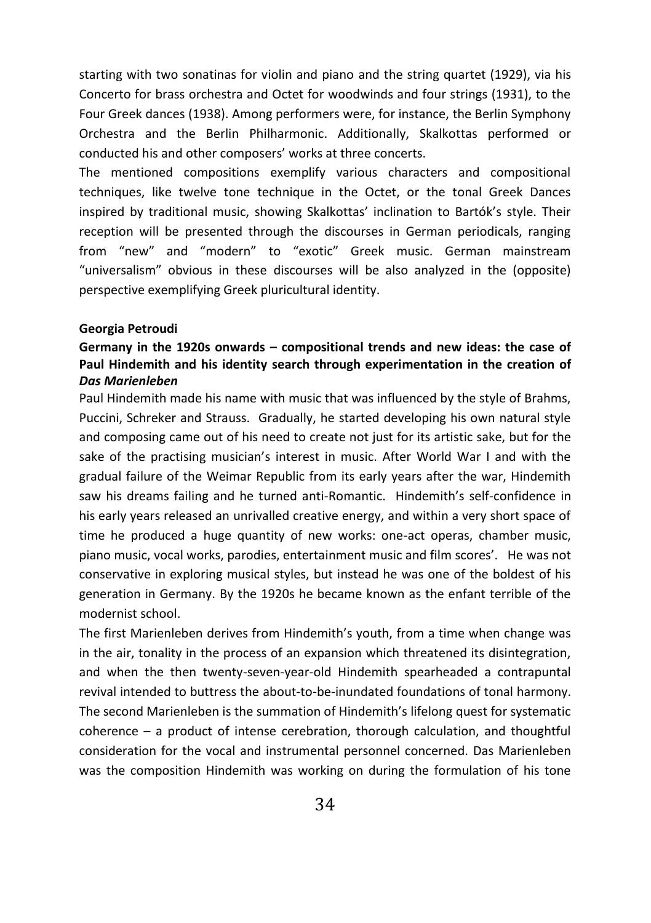starting with two sonatinas for violin and piano and the string quartet (1929), via his Concerto for brass orchestra and Octet for woodwinds and four strings (1931), to the Four Greek dances (1938). Among performers were, for instance, the Berlin Symphony Orchestra and the Berlin Philharmonic. Additionally, Skalkottas performed or conducted his and other composers' works at three concerts.

The mentioned compositions exemplify various characters and compositional techniques, like twelve tone technique in the Octet, or the tonal Greek Dances inspired by traditional music, showing Skalkottas' inclination to Bartók's style. Their reception will be presented through the discourses in German periodicals, ranging from "new" and "modern" to "exotic" Greek music. German mainstream "universalism" obvious in these discourses will be also analyzed in the (opposite) perspective exemplifying Greek pluricultural identity.

#### **Georgia Petroudi**

# **Germany in the 1920s onwards – compositional trends and new ideas: the case of Paul Hindemith and his identity search through experimentation in the creation of**  *Das Marienleben*

Paul Hindemith made his name with music that was influenced by the style of Brahms, Puccini, Schreker and Strauss. Gradually, he started developing his own natural style and composing came out of his need to create not just for its artistic sake, but for the sake of the practising musician's interest in music. After World War I and with the gradual failure of the Weimar Republic from its early years after the war, Hindemith saw his dreams failing and he turned anti-Romantic. Hindemith's self-confidence in his early years released an unrivalled creative energy, and within a very short space of time he produced a huge quantity of new works: one-act operas, chamber music, piano music, vocal works, parodies, entertainment music and film scores'. He was not conservative in exploring musical styles, but instead he was one of the boldest of his generation in Germany. By the 1920s he became known as the enfant terrible of the modernist school.

The first Marienleben derives from Hindemith's youth, from a time when change was in the air, tonality in the process of an expansion which threatened its disintegration, and when the then twenty-seven-year-old Hindemith spearheaded a contrapuntal revival intended to buttress the about-to-be-inundated foundations of tonal harmony. The second Marienleben is the summation of Hindemith's lifelong quest for systematic coherence – a product of intense cerebration, thorough calculation, and thoughtful consideration for the vocal and instrumental personnel concerned. Das Marienleben was the composition Hindemith was working on during the formulation of his tone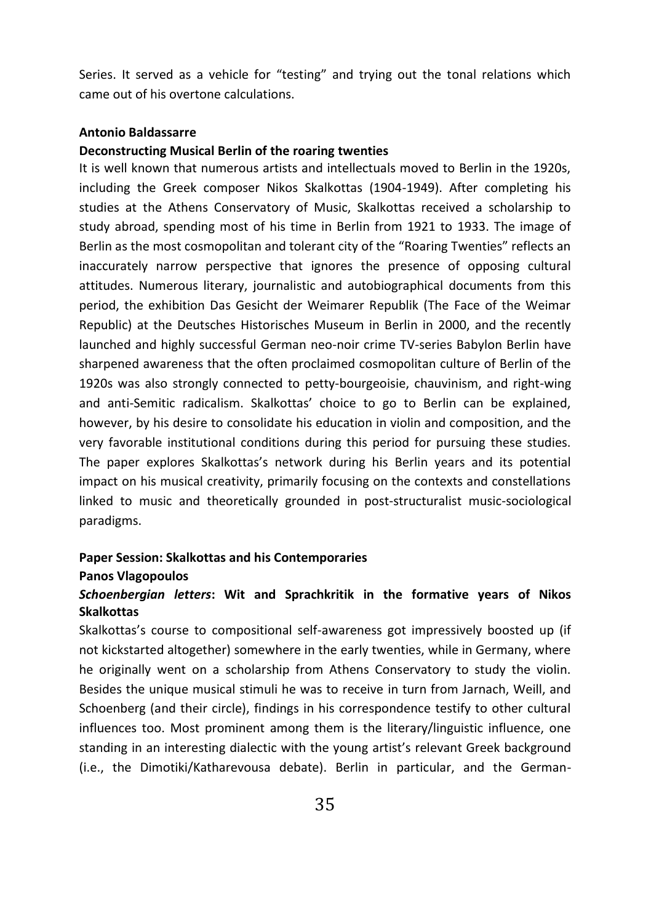Series. It served as a vehicle for "testing" and trying out the tonal relations which came out of his overtone calculations.

#### **Antonio Baldassarre**

#### **Deconstructing Musical Berlin of the roaring twenties**

It is well known that numerous artists and intellectuals moved to Berlin in the 1920s, including the Greek composer Nikos Skalkottas (1904-1949). After completing his studies at the Athens Conservatory of Music, Skalkottas received a scholarship to study abroad, spending most of his time in Berlin from 1921 to 1933. The image of Berlin as the most cosmopolitan and tolerant city of the "Roaring Twenties" reflects an inaccurately narrow perspective that ignores the presence of opposing cultural attitudes. Numerous literary, journalistic and autobiographical documents from this period, the exhibition Das Gesicht der Weimarer Republik (The Face of the Weimar Republic) at the Deutsches Historisches Museum in Berlin in 2000, and the recently launched and highly successful German neo-noir crime TV-series Babylon Berlin have sharpened awareness that the often proclaimed cosmopolitan culture of Berlin of the 1920s was also strongly connected to petty-bourgeoisie, chauvinism, and right-wing and anti-Semitic radicalism. Skalkottas' choice to go to Berlin can be explained, however, by his desire to consolidate his education in violin and composition, and the very favorable institutional conditions during this period for pursuing these studies. The paper explores Skalkottas's network during his Berlin years and its potential impact on his musical creativity, primarily focusing on the contexts and constellations linked to music and theoretically grounded in post-structuralist music-sociological paradigms.

#### **Paper Session: Skalkottas and his Contemporaries**

#### **Panos Vlagopoulos**

# *Schoenbergian letters***: Wit and Sprachkritik in the formative years of Nikos Skalkottas**

Skalkottas's course to compositional self-awareness got impressively boosted up (if not kickstarted altogether) somewhere in the early twenties, while in Germany, where he originally went on a scholarship from Athens Conservatory to study the violin. Besides the unique musical stimuli he was to receive in turn from Jarnach, Weill, and Schoenberg (and their circle), findings in his correspondence testify to other cultural influences too. Most prominent among them is the literary/linguistic influence, one standing in an interesting dialectic with the young artist's relevant Greek background (i.e., the Dimotiki/Katharevousa debate). Berlin in particular, and the German-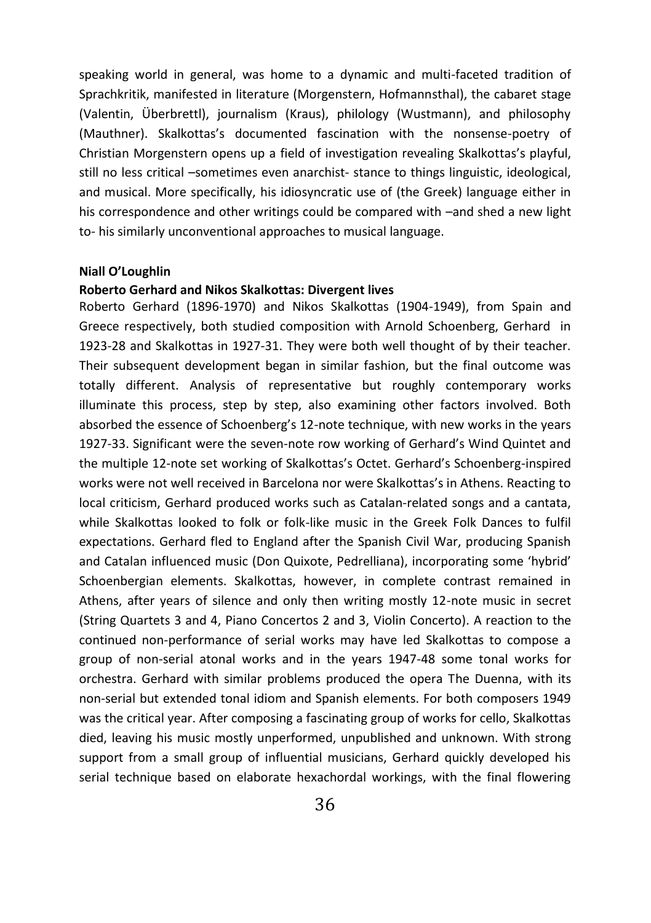speaking world in general, was home to a dynamic and multi-faceted tradition of Sprachkritik, manifested in literature (Morgenstern, Hofmannsthal), the cabaret stage (Valentin, Überbrettl), journalism (Kraus), philology (Wustmann), and philosophy (Mauthner). Skalkottas's documented fascination with the nonsense-poetry of Christian Morgenstern opens up a field of investigation revealing Skalkottas's playful, still no less critical –sometimes even anarchist- stance to things linguistic, ideological, and musical. More specifically, his idiosyncratic use of (the Greek) language either in his correspondence and other writings could be compared with –and shed a new light to- his similarly unconventional approaches to musical language.

### **Niall O'Loughlin**

#### **Roberto Gerhard and Nikos Skalkottas: Divergent lives**

Roberto Gerhard (1896-1970) and Nikos Skalkottas (1904-1949), from Spain and Greece respectively, both studied composition with Arnold Schoenberg, Gerhard in 1923-28 and Skalkottas in 1927-31. They were both well thought of by their teacher. Their subsequent development began in similar fashion, but the final outcome was totally different. Analysis of representative but roughly contemporary works illuminate this process, step by step, also examining other factors involved. Both absorbed the essence of Schoenberg's 12-note technique, with new works in the years 1927-33. Significant were the seven-note row working of Gerhard's Wind Quintet and the multiple 12-note set working of Skalkottas's Octet. Gerhard's Schoenberg-inspired works were not well received in Barcelona nor were Skalkottas's in Athens. Reacting to local criticism, Gerhard produced works such as Catalan-related songs and a cantata, while Skalkottas looked to folk or folk-like music in the Greek Folk Dances to fulfil expectations. Gerhard fled to England after the Spanish Civil War, producing Spanish and Catalan influenced music (Don Quixote, Pedrelliana), incorporating some 'hybrid' Schoenbergian elements. Skalkottas, however, in complete contrast remained in Athens, after years of silence and only then writing mostly 12-note music in secret (String Quartets 3 and 4, Piano Concertos 2 and 3, Violin Concerto). A reaction to the continued non-performance of serial works may have led Skalkottas to compose a group of non-serial atonal works and in the years 1947-48 some tonal works for orchestra. Gerhard with similar problems produced the opera The Duenna, with its non-serial but extended tonal idiom and Spanish elements. For both composers 1949 was the critical year. After composing a fascinating group of works for cello, Skalkottas died, leaving his music mostly unperformed, unpublished and unknown. With strong support from a small group of influential musicians, Gerhard quickly developed his serial technique based on elaborate hexachordal workings, with the final flowering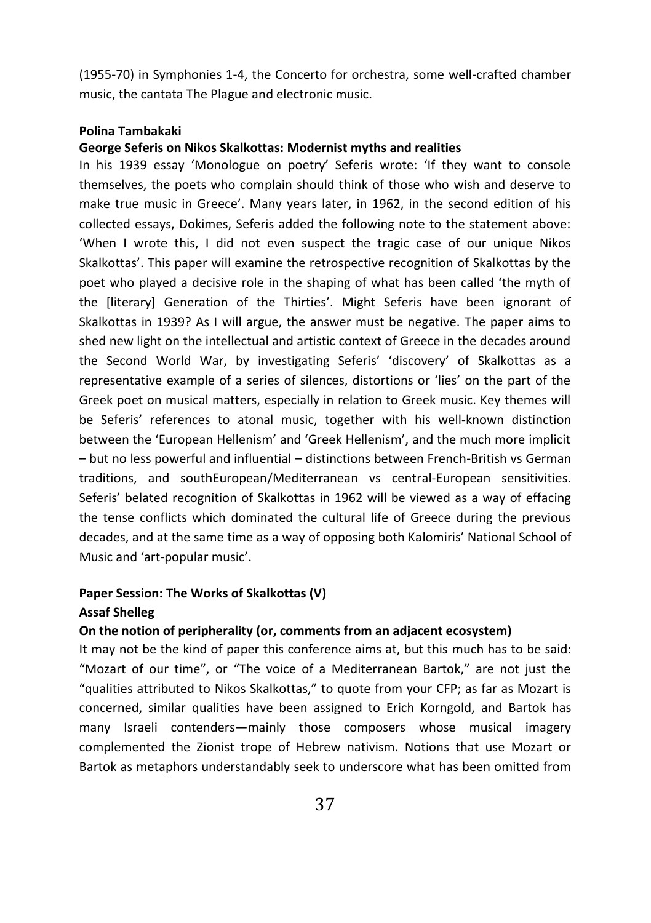(1955-70) in Symphonies 1-4, the Concerto for orchestra, some well-crafted chamber music, the cantata The Plague and electronic music.

#### **Polina Tambakaki**

#### **George Seferis on Nikos Skalkottas: Modernist myths and realities**

In his 1939 essay 'Monologue on poetry' Seferis wrote: 'Ιf they want to console themselves, the poets who complain should think of those who wish and deserve to make true music in Greece'. Many years later, in 1962, in the second edition of his collected essays, Dokimes, Seferis added the following note to the statement above: 'When I wrote this, I did not even suspect the tragic case of our unique Nikos Skalkottas'. This paper will examine the retrospective recognition of Skalkottas by the poet who played a decisive role in the shaping of what has been called 'the myth of the [literary] Generation of the Thirties'. Might Seferis have been ignorant of Skalkottas in 1939? As I will argue, the answer must be negative. The paper aims to shed new light on the intellectual and artistic context of Greece in the decades around the Second World War, by investigating Seferis' 'discovery' of Skalkottas as a representative example of a series of silences, distortions or 'lies' on the part of the Greek poet on musical matters, especially in relation to Greek music. Key themes will be Seferis' references to atonal music, together with his well-known distinction between the 'European Hellenism' and 'Greek Hellenism', and the much more implicit – but no less powerful and influential – distinctions between French-British vs German traditions, and southEuropean/Mediterranean vs central-European sensitivities. Seferis' belated recognition of Skalkottas in 1962 will be viewed as a way of effacing the tense conflicts which dominated the cultural life of Greece during the previous decades, and at the same time as a way of opposing both Kalomiris' National School of Music and 'art-popular music'.

# **Paper Session: The Works of Skalkottas (V) Assaf Shelleg**

#### **On the notion of peripherality (or, comments from an adjacent ecosystem)**

It may not be the kind of paper this conference aims at, but this much has to be said: "Mozart of our time", or "The voice of a Mediterranean Bartok," are not just the "qualities attributed to Nikos Skalkottas," to quote from your CFP; as far as Mozart is concerned, similar qualities have been assigned to Erich Korngold, and Bartok has many Israeli contenders—mainly those composers whose musical imagery complemented the Zionist trope of Hebrew nativism. Notions that use Mozart or Bartok as metaphors understandably seek to underscore what has been omitted from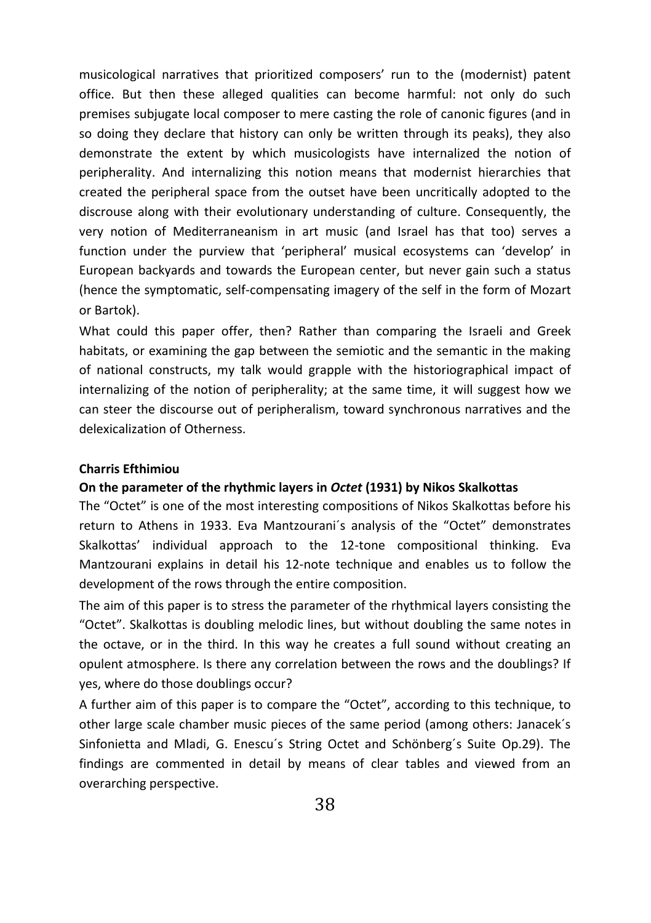musicological narratives that prioritized composers' run to the (modernist) patent office. But then these alleged qualities can become harmful: not only do such premises subjugate local composer to mere casting the role of canonic figures (and in so doing they declare that history can only be written through its peaks), they also demonstrate the extent by which musicologists have internalized the notion of peripherality. And internalizing this notion means that modernist hierarchies that created the peripheral space from the outset have been uncritically adopted to the discrouse along with their evolutionary understanding of culture. Consequently, the very notion of Mediterraneanism in art music (and Israel has that too) serves a function under the purview that 'peripheral' musical ecosystems can 'develop' in European backyards and towards the European center, but never gain such a status (hence the symptomatic, self-compensating imagery of the self in the form of Mozart or Bartok).

What could this paper offer, then? Rather than comparing the Israeli and Greek habitats, or examining the gap between the semiotic and the semantic in the making of national constructs, my talk would grapple with the historiographical impact of internalizing of the notion of peripherality; at the same time, it will suggest how we can steer the discourse out of peripheralism, toward synchronous narratives and the delexicalization of Otherness.

#### **Charris Efthimiou**

#### **On the parameter of the rhythmic layers in** *Octet* **(1931) by Nikos Skalkottas**

The "Octet" is one of the most interesting compositions of Nikos Skalkottas before his return to Athens in 1933. Eva Mantzourani´s analysis of the "Octet" demonstrates Skalkottas' individual approach to the 12-tone compositional thinking. Eva Mantzourani explains in detail his 12-note technique and enables us to follow the development of the rows through the entire composition.

The aim of this paper is to stress the parameter of the rhythmical layers consisting the "Octet". Skalkottas is doubling melodic lines, but without doubling the same notes in the octave, or in the third. In this way he creates a full sound without creating an opulent atmosphere. Is there any correlation between the rows and the doublings? If yes, where do those doublings occur?

A further aim of this paper is to compare the "Octet", according to this technique, to other large scale chamber music pieces of the same period (among others: Janacek´s Sinfonietta and Mladi, G. Enescu´s String Octet and Schönberg´s Suite Op.29). The findings are commented in detail by means of clear tables and viewed from an overarching perspective.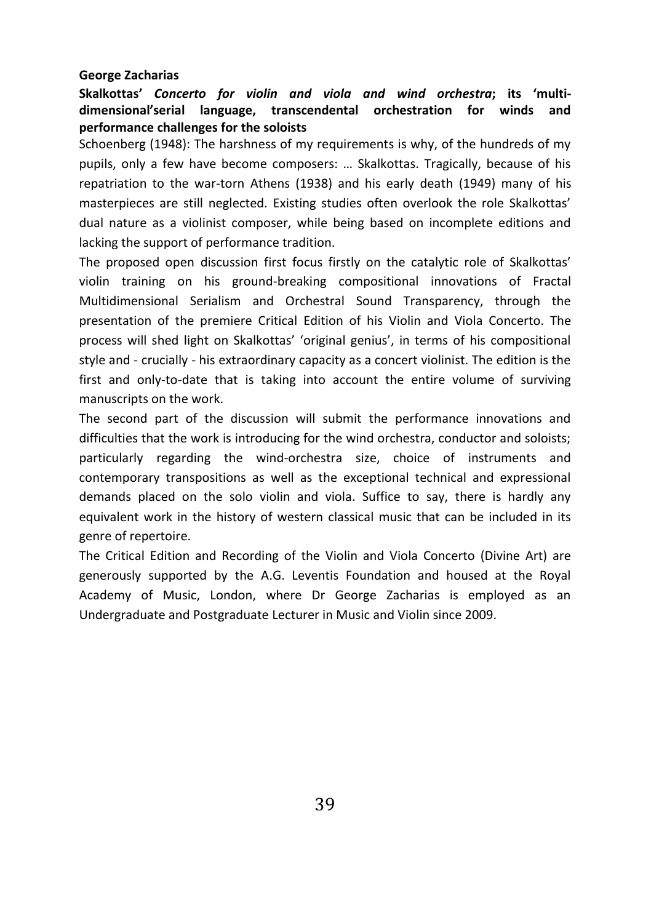#### **George Zacharias**

# **Skalkottas'** *Concerto for violin and viola and wind orchestra***; its 'multidimensional'serial language, transcendental orchestration for winds and performance challenges for the soloists**

Schoenberg (1948): The harshness of my requirements is why, of the hundreds of my pupils, only a few have become composers: … Skalkottas. Tragically, because of his repatriation to the war-torn Athens (1938) and his early death (1949) many of his masterpieces are still neglected. Existing studies often overlook the role Skalkottas' dual nature as a violinist composer, while being based on incomplete editions and lacking the support of performance tradition.

The proposed open discussion first focus firstly on the catalytic role of Skalkottas' violin training on his ground-breaking compositional innovations of Fractal Multidimensional Serialism and Orchestral Sound Transparency, through the presentation of the premiere Critical Edition of his Violin and Viola Concerto. The process will shed light on Skalkottas' 'original genius', in terms of his compositional style and - crucially - his extraordinary capacity as a concert violinist. The edition is the first and only-to-date that is taking into account the entire volume of surviving manuscripts on the work.

The second part of the discussion will submit the performance innovations and difficulties that the work is introducing for the wind orchestra, conductor and soloists; particularly regarding the wind-orchestra size, choice of instruments and contemporary transpositions as well as the exceptional technical and expressional demands placed on the solo violin and viola. Suffice to say, there is hardly any equivalent work in the history of western classical music that can be included in its genre of repertoire.

The Critical Edition and Recording of the Violin and Viola Concerto (Divine Art) are generously supported by the A.G. Leventis Foundation and housed at the Royal Academy of Music, London, where Dr George Zacharias is employed as an Undergraduate and Postgraduate Lecturer in Music and Violin since 2009.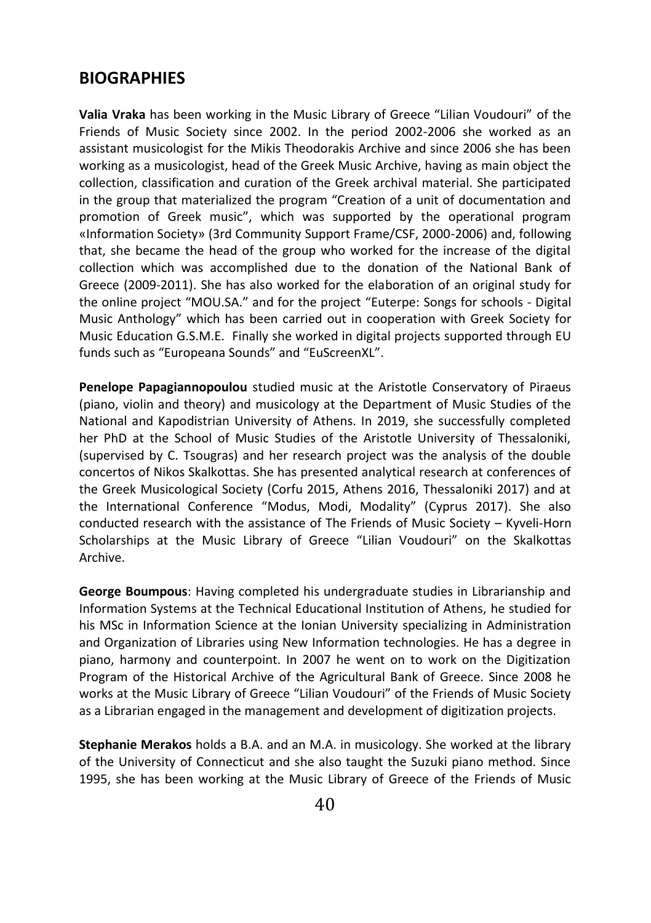# **BIOGRAPHIES**

**Valia Vraka** has been working in the Music Library of Greece "Lilian Voudouri" of the Friends of Music Society since 2002. In the period 2002-2006 she worked as an assistant musicologist for the Mikis Theodorakis Archive and since 2006 she has been working as a musicologist, head of the Greek Music Archive, having as main object the collection, classification and curation of the Greek archival material. She participated in the group that materialized the program "Creation of a unit of documentation and promotion of Greek music", which was supported by the operational program «Information Society» (3rd Community Support Frame/CSF, 2000-2006) and, following that, she became the head of the group who worked for the increase of the digital collection which was accomplished due to the donation of the National Bank of Greece (2009-2011). She has also worked for the elaboration of an original study for the online project "MOU.SA." and for the project "Εuterpe: Songs for schools - Digital Music Anthology" which has been carried out in cooperation with Greek Society for Music Education G.S.M.E. Finally she worked in digital projects supported through EU funds such as "Europeana Sounds" and "EuScreenXL".

**Penelope Papagiannopoulou** studied music at the Aristotle Conservatory of Piraeus (piano, violin and theory) and musicology at the Department of Music Studies of the National and Kapodistrian University of Athens. In 2019, she successfully completed her PhD at the School of Music Studies of the Aristotle University of Thessaloniki, (supervised by C. Tsougras) and her research project was the analysis of the double concertos of Nikos Skalkottas. She has presented analytical research at conferences of the Greek Musicological Society (Corfu 2015, Athens 2016, Thessaloniki 2017) and at the International Conference "Modus, Modi, Modality" (Cyprus 2017). She also conducted research with the assistance of The Friends of Music Society – Kyveli-Horn Scholarships at the Music Library of Greece "Lilian Voudouri" on the Skalkottas Archive.

**George Boumpous**: Having completed his undergraduate studies in Librarianship and Information Systems at the Technical Educational Institution of Athens, he studied for his MSc in Information Science at the Ionian University specializing in Administration and Organization of Libraries using New Information technologies. He has a degree in piano, harmony and counterpoint. In 2007 he went on to work on the Digitization Program of the Historical Archive of the Agricultural Bank of Greece. Since 2008 he works at the Music Library of Greece "Lilian Voudouri" of the Friends of Music Society as a Librarian engaged in the management and development of digitization projects.

**Stephanie Merakos** holds a B.A. and an M.A. in musicology. She worked at the library of the University of Connecticut and she also taught the Suzuki piano method. Since 1995, she has been working at the Music Library of Greece of the Friends of Music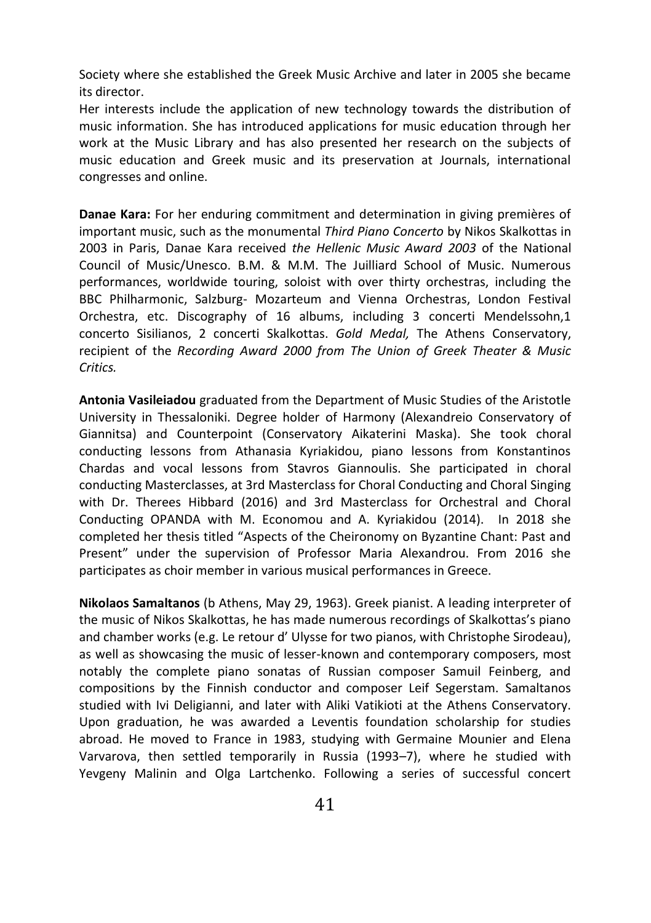Society where she established the Greek Music Archive and later in 2005 she became its director.

Her interests include the application of new technology towards the distribution of music information. She has introduced applications for music education through her work at the Music Library and has also presented her research on the subjects of music education and Greek music and its preservation at Journals, international congresses and online.

**Danae Kara:** For her enduring commitment and determination in giving premières of important music, such as the monumental *Third Piano Concerto* by Nikos Skalkottas in 2003 in Paris, Danae Kara received *the Hellenic Music Award 2003* of the National Council of Music/Unesco. B.M. & M.M. The Juilliard School of Music. Numerous performances, worldwide touring, soloist with over thirty orchestras, including the BBC Philharmonic, Salzburg- Mozarteum and Vienna Orchestras, London Festival Orchestra, etc. Discography of 16 albums, including 3 concerti Mendelssohn,1 concerto Sisilianos, 2 concerti Skalkottas. *Gold Medal,* The Athens Conservatory, recipient of the *Recording Award 2000 from The Union of Greek Theater & Music Critics.*

**Antonia Vasileiadou** graduated from the Department of Music Studies of the Aristotle University in Thessaloniki. Degree holder of Harmony (Alexandreio Conservatory of Giannitsa) and Counterpoint (Conservatory Aikaterini Maska). She took choral conducting lessons from Athanasia Kyriakidou, piano lessons from Konstantinos Chardas and vocal lessons from Stavros Giannoulis. She participated in choral conducting Masterclasses, at 3rd Masterclass for Choral Conducting and Choral Singing with Dr. Therees Hibbard (2016) and 3rd Masterclass for Orchestral and Choral Conducting OPANDA with Μ. Economou and Α. Kyriakidou (2014). In 2018 she completed her thesis titled "Aspects of the Cheironomy on Byzantine Chant: Past and Present" under the supervision of Professor Maria Alexandrou. From 2016 she participates as choir member in various musical performances in Greece.

**Nikolaos Samaltanos** (b Athens, May 29, 1963). Greek pianist. A leading interpreter of the music of Nikos Skalkottas, he has made numerous recordings of Skalkottas's piano and chamber works (e.g. Le retour d' Ulysse for two pianos, with Christophe Sirodeau), as well as showcasing the music of lesser-known and contemporary composers, most notably the complete piano sonatas of Russian composer Samuil Feinberg, and compositions by the Finnish conductor and composer Leif Segerstam. Samaltanos studied with Ivi Deligianni, and later with Aliki Vatikioti at the Athens Conservatory. Upon graduation, he was awarded a Leventis foundation scholarship for studies abroad. He moved to France in 1983, studying with Germaine Mounier and Elena Varvarova, then settled temporarily in Russia (1993–7), where he studied with Yevgeny Malinin and Olga Lartchenko. Following a series of successful concert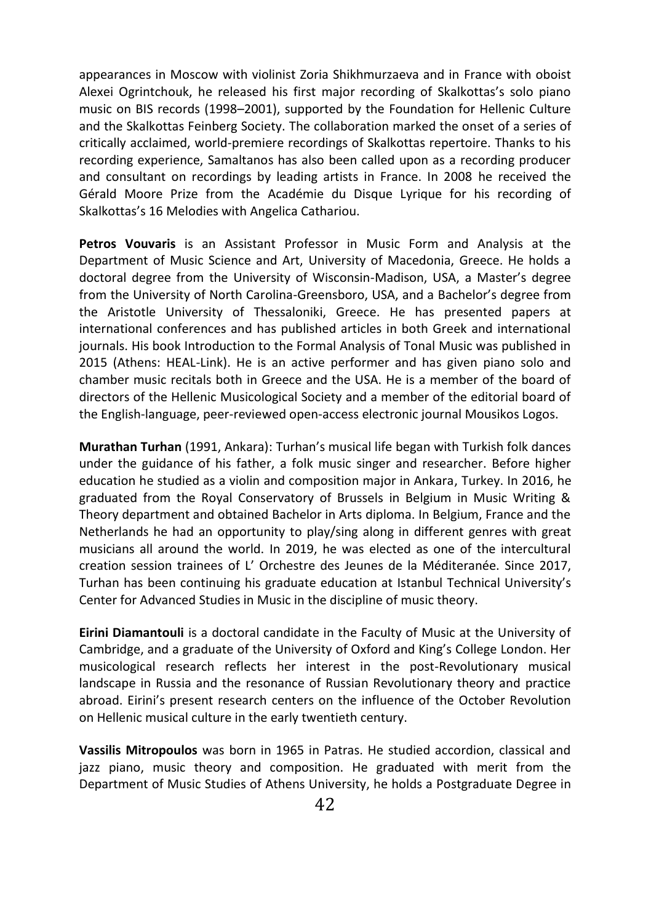appearances in Moscow with violinist Zoria Shikhmurzaeva and in France with oboist Alexei Ogrintchouk, he released his first major recording of Skalkottas's solo piano music on BIS records (1998–2001), supported by the Foundation for Hellenic Culture and the Skalkottas Feinberg Society. The collaboration marked the onset of a series of critically acclaimed, world-premiere recordings of Skalkottas repertoire. Thanks to his recording experience, Samaltanos has also been called upon as a recording producer and consultant on recordings by leading artists in France. In 2008 he received the Gérald Moore Prize from the Académie du Disque Lyrique for his recording of Skalkottas's 16 Melodies with Angelica Cathariou.

**Petros Vouvaris** is an Assistant Professor in Music Form and Analysis at the Department of Music Science and Art, University of Macedonia, Greece. He holds a doctoral degree from the University of Wisconsin-Madison, USA, a Master's degree from the University of North Carolina-Greensboro, USA, and a Bachelor's degree from the Aristotle University of Thessaloniki, Greece. He has presented papers at international conferences and has published articles in both Greek and international journals. His book Introduction to the Formal Analysis of Tonal Music was published in 2015 (Athens: HEAL-Link). He is an active performer and has given piano solo and chamber music recitals both in Greece and the USA. He is a member of the board of directors of the Hellenic Musicological Society and a member of the editorial board of the English-language, peer-reviewed open-access electronic journal Mousikos Logos.

**Murathan Turhan** (1991, Ankara): Turhan's musical life began with Turkish folk dances under the guidance of his father, a folk music singer and researcher. Before higher education he studied as a violin and composition major in Ankara, Turkey. In 2016, he graduated from the Royal Conservatory of Brussels in Belgium in Music Writing & Theory department and obtained Bachelor in Arts diploma. In Belgium, France and the Netherlands he had an opportunity to play/sing along in different genres with great musicians all around the world. In 2019, he was elected as one of the intercultural creation session trainees of L' Orchestre des Jeunes de la Méditeranée. Since 2017, Turhan has been continuing his graduate education at Istanbul Technical University's Center for Advanced Studies in Music in the discipline of music theory.

**Eirini Diamantouli** is a doctoral candidate in the Faculty of Music at the University of Cambridge, and a graduate of the University of Oxford and King's College London. Her musicological research reflects her interest in the post-Revolutionary musical landscape in Russia and the resonance of Russian Revolutionary theory and practice abroad. Eirini's present research centers on the influence of the October Revolution on Hellenic musical culture in the early twentieth century.

**Vassilis Mitropoulos** was born in 1965 in Patras. He studied accordion, classical and jazz piano, music theory and composition. He graduated with merit from the Department of Music Studies of Athens University, he holds a Postgraduate Degree in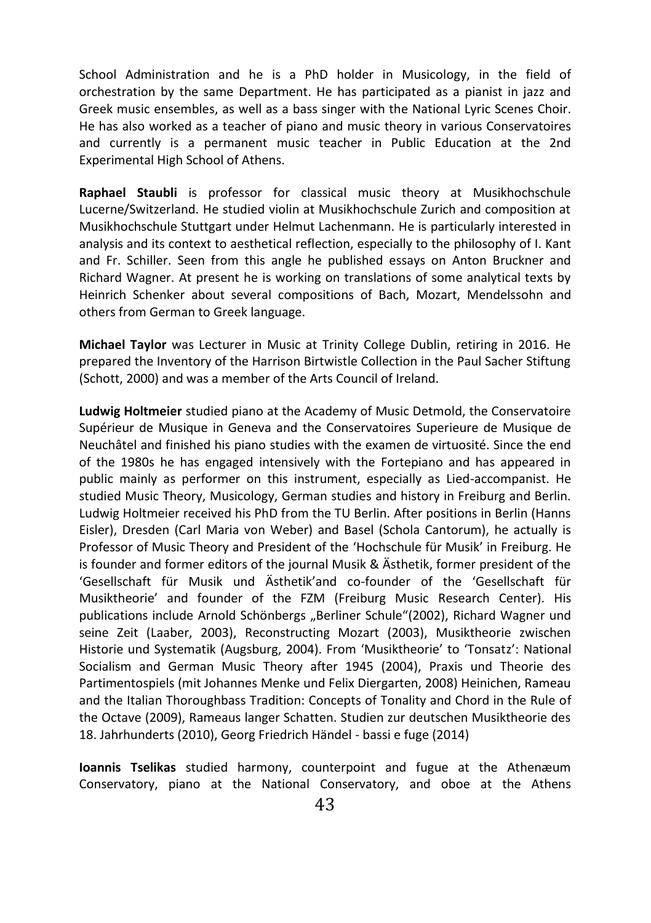School Administration and he is a PhD holder in Musicology, in the field of orchestration by the same Department. He has participated as a pianist in jazz and Greek music ensembles, as well as a bass singer with the National Lyric Scenes Choir. He has also worked as a teacher of piano and music theory in various Conservatoires and currently is a permanent music teacher in Public Education at the 2nd Experimental High School of Athens.

**Raphael Staubli** is professor for classical music theory at Musikhochschule Lucerne/Switzerland. He studied violin at Musikhochschule Zurich and composition at Musikhochschule Stuttgart under Helmut Lachenmann. He is particularly interested in analysis and its context to aesthetical reflection, especially to the philosophy of I. Kant and Fr. Schiller. Seen from this angle he published essays on Anton Bruckner and Richard Wagner. At present he is working on translations of some analytical texts by Heinrich Schenker about several compositions of Bach, Mozart, Mendelssohn and others from German to Greek language.

**Michael Taylor** was Lecturer in Music at Trinity College Dublin, retiring in 2016. He prepared the Inventory of the Harrison Birtwistle Collection in the Paul Sacher Stiftung (Schott, 2000) and was a member of the Arts Council of Ireland.

**Ludwig Holtmeier** studied piano at the Academy of Music Detmold, the Conservatoire Supérieur de Musique in Geneva and the Conservatoires Superieure de Musique de Neuchâtel and finished his piano studies with the examen de virtuosité. Since the end of the 1980s he has engaged intensively with the Fortepiano and has appeared in public mainly as performer on this instrument, especially as Lied-accompanist. He studied Music Theory, Musicology, German studies and history in Freiburg and Berlin. Ludwig Holtmeier received his PhD from the TU Berlin. After positions in Berlin (Hanns Eisler), Dresden (Carl Maria von Weber) and Basel (Schola Cantorum), he actually is Professor of Music Theory and President of the 'Hochschule für Musik' in Freiburg. He is founder and former editors of the journal Musik & Ästhetik, former president of the 'Gesellschaft für Musik und Ästhetik'and co-founder of the 'Gesellschaft für Musiktheorie' and founder of the FZM (Freiburg Music Research Center). His publications include Arnold Schönbergs "Berliner Schule"(2002), Richard Wagner und seine Zeit (Laaber, 2003), Reconstructing Mozart (2003), Musiktheorie zwischen Historie und Systematik (Augsburg, 2004). From 'Musiktheorie' to 'Tonsatz': National Socialism and German Music Theory after 1945 (2004), Praxis und Theorie des Partimentospiels (mit Johannes Menke und Felix Diergarten, 2008) Heinichen, Rameau and the Italian Thoroughbass Tradition: Concepts of Tonality and Chord in the Rule of the Octave (2009), Rameaus langer Schatten. Studien zur deutschen Musiktheorie des 18. Jahrhunderts (2010), Georg Friedrich Händel - bassi e fuge (2014)

**Ioannis Tselikas** studied harmony, counterpoint and fugue at the Athenæum Conservatory, piano at the National Conservatory, and oboe at the Athens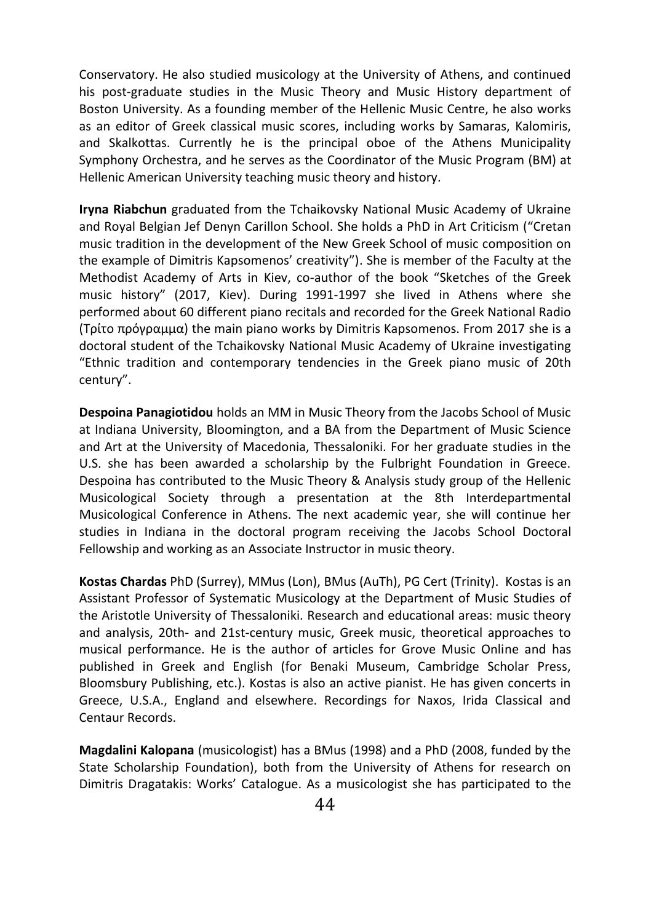Conservatory. He also studied musicology at the University of Athens, and continued his post-graduate studies in the Music Theory and Music History department of Boston University. As a founding member of the Hellenic Music Centre, he also works as an editor of Greek classical music scores, including works by Samaras, Kalomiris, and Skalkottas. Currently he is the principal oboe of the Athens Municipality Symphony Orchestra, and he serves as the Coordinator of the Music Program (BM) at Hellenic American University teaching music theory and history.

**Iryna Riabchun** graduated from the Tchaikovsky National Music Academy of Ukraine and Royal Belgian Jef Denyn Carillon School. She holds a PhD in Art Criticism ("Cretan music tradition in the development of the New Greek School of music composition on the example of Dimitris Kapsomenos' creativity"). She is member of the Faculty at the Methodist Academy of Arts in Kiev, co-author of the book "Sketches of the Greek music history" (2017, Kiev). During 1991-1997 she lived in Athens where she performed about 60 different piano recitals and recorded for the Greek National Radio (Τρίτο πρόγραμμα) the main piano works by Dimitris Kapsomenos. From 2017 she is a doctoral student of the Tchaikovsky National Music Academy of Ukraine investigating "Ethnic tradition and contemporary tendencies in the Greek piano music of 20th century".

**Despoina Panagiotidou** holds an MM in Music Theory from the Jacobs School of Music at Indiana University, Bloomington, and a BA from the Department of Music Science and Art at the University of Macedonia, Thessaloniki. For her graduate studies in the U.S. she has been awarded a scholarship by the Fulbright Foundation in Greece. Despoina has contributed to the Music Theory & Analysis study group of the Hellenic Musicological Society through a presentation at the 8th Interdepartmental Musicological Conference in Athens. The next academic year, she will continue her studies in Indiana in the doctoral program receiving the Jacobs School Doctoral Fellowship and working as an Associate Instructor in music theory.

**Kostas Chardas** PhD (Surrey), MMus (Lon), BMus (AuTh), PG Cert (Trinity). Kostas is an Assistant Professor of Systematic Musicology at the Department of Music Studies of the Aristotle University of Thessaloniki. Research and educational areas: music theory and analysis, 20th- and 21st-century music, Greek music, theoretical approaches to musical performance. He is the author of articles for Grove Music Online and has published in Greek and English (for Benaki Museum, Cambridge Scholar Press, Bloomsbury Publishing, etc.). Kostas is also an active pianist. He has given concerts in Greece, U.S.A., England and elsewhere. Recordings for Naxos, Irida Classical and Centaur Records.

**Magdalini Kalopana** (musicologist) has a BMus (1998) and a PhD (2008, funded by the State Scholarship Foundation), both from the University of Athens for research on Dimitris Dragatakis: Works' Catalogue. As a musicologist she has participated to the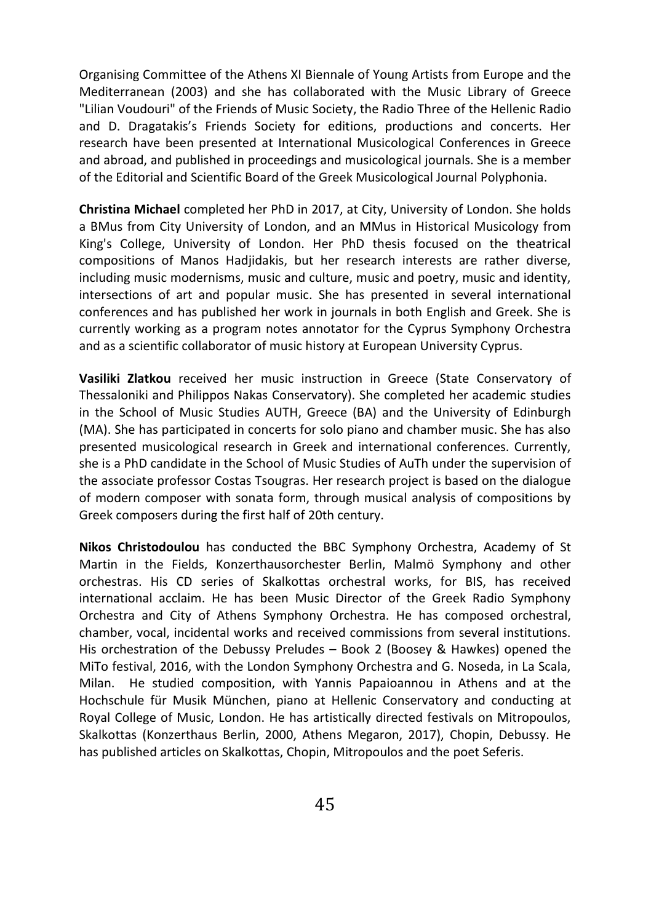Organising Committee of the Athens XI Biennale of Young Artists from Europe and the Mediterranean (2003) and she has collaborated with the Music Library of Greece "Lilian Voudouri" of the Friends of Music Society, the Radio Three of the Hellenic Radio and D. Dragatakis's Friends Society for editions, productions and concerts. Her research have been presented at International Musicological Conferences in Greece and abroad, and published in proceedings and musicological journals. She is a member of the Editorial and Scientific Board of the Greek Musicological Journal Polyphonia.

**Christina Michael** completed her PhD in 2017, at City, University of London. She holds a BMus from City University of London, and an MMus in Historical Musicology from King's College, University of London. Her PhD thesis focused on the theatrical compositions of Manos Hadjidakis, but her research interests are rather diverse, including music modernisms, music and culture, music and poetry, music and identity, intersections of art and popular music. She has presented in several international conferences and has published her work in journals in both English and Greek. She is currently working as a program notes annotator for the Cyprus Symphony Orchestra and as a scientific collaborator of music history at European University Cyprus.

**Vasiliki Zlatkou** received her music instruction in Greece (State Conservatory of Thessaloniki and Philippos Nakas Conservatory). She completed her academic studies in the School of Music Studies AUTH, Greece (BA) and the University of Edinburgh (MA). She has participated in concerts for solo piano and chamber music. She has also presented musicological research in Greek and international conferences. Currently, she is a PhD candidate in the School of Music Studies of AuTh under the supervision of the associate professor Costas Tsougras. Her research project is based on the dialogue of modern composer with sonata form, through musical analysis of compositions by Greek composers during the first half of 20th century.

**Nikos Christodoulou** has conducted the BBC Symphony Orchestra, Academy of St Martin in the Fields, Konzerthausorchester Berlin, Malmö Symphony and other orchestras. His CD series of Skalkottas orchestral works, for BIS, has received international acclaim. He has been Music Director of the Greek Radio Symphony Orchestra and City of Athens Symphony Orchestra. He has composed orchestral, chamber, vocal, incidental works and received commissions from several institutions. His orchestration of the Debussy Preludes – Book 2 (Boosey & Hawkes) opened the MiTo festival, 2016, with the London Symphony Orchestra and G. Noseda, in La Scala, Milan. He studied composition, with Yannis Papaioannou in Athens and at the Hochschule für Musik München, piano at Hellenic Conservatory and conducting at Royal College of Music, London. He has artistically directed festivals on Mitropoulos, Skalkottas (Konzerthaus Berlin, 2000, Athens Megaron, 2017), Chopin, Debussy. He has published articles on Skalkottas, Chopin, Mitropoulos and the poet Seferis.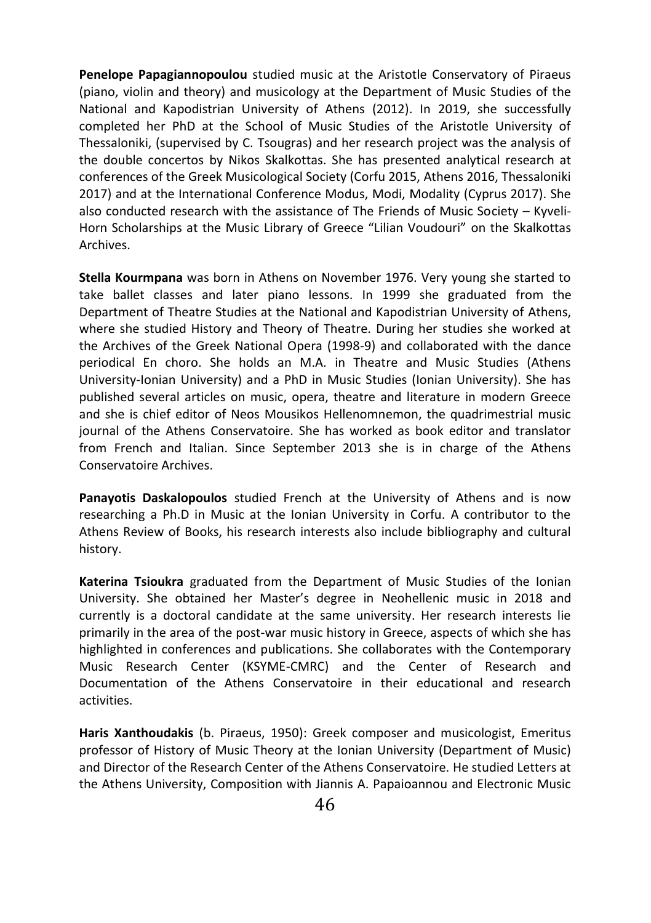**Penelope Papagiannopoulou** studied music at the Aristotle Conservatory of Piraeus (piano, violin and theory) and musicology at the Department of Music Studies of the National and Kapodistrian University of Athens (2012). In 2019, she successfully completed her PhD at the School of Music Studies of the Aristotle University of Thessaloniki, (supervised by C. Tsougras) and her research project was the analysis of the double concertos by Nikos Skalkottas. She has presented analytical research at conferences of the Greek Musicological Society (Corfu 2015, Athens 2016, Thessaloniki 2017) and at the International Conference Modus, Modi, Modality (Cyprus 2017). She also conducted research with the assistance of The Friends of Music Society – Kyveli-Horn Scholarships at the Music Library of Greece "Lilian Voudouri" on the Skalkottas Archives.

**Stella Kourmpana** was born in Athens on November 1976. Very young she started to take ballet classes and later piano lessons. In 1999 she graduated from the Department of Theatre Studies at the National and Kapodistrian University of Athens, where she studied History and Theory of Theatre. During her studies she worked at the Archives of the Greek National Opera (1998-9) and collaborated with the dance periodical En choro. She holds an M.A. in Theatre and Music Studies (Athens University-Ionian University) and a PhD in Music Studies (Ionian University). She has published several articles on music, opera, theatre and literature in modern Greece and she is chief editor of Neos Mousikos Hellenomnemon, the quadrimestrial music journal of the Athens Conservatoire. She has worked as book editor and translator from French and Italian. Since September 2013 she is in charge of the Athens Conservatoire Archives.

**Panayotis Daskalopoulos** studied French at the University of Athens and is now researching a Ph.D in Music at the Ionian University in Corfu. A contributor to the Athens Review of Books, his research interests also include bibliography and cultural history.

**Katerina Tsioukra** graduated from the Department of Music Studies of the Ionian University. She obtained her Master's degree in Neohellenic music in 2018 and currently is a doctoral candidate at the same university. Her research interests lie primarily in the area of the post-war music history in Greece, aspects of which she has highlighted in conferences and publications. She collaborates with the Contemporary Music Research Center (KSYME-CMRC) and the Center of Research and Documentation of the Athens Conservatoire in their educational and research activities.

**Haris Xanthoudakis** (b. Piraeus, 1950): Greek composer and musicologist, Emeritus professor of History of Music Theory at the Ionian University (Department of Music) and Director of the Research Center of the Athens Conservatoire. He studied Letters at the Athens University, Composition with Jiannis A. Papaioannou and Electronic Music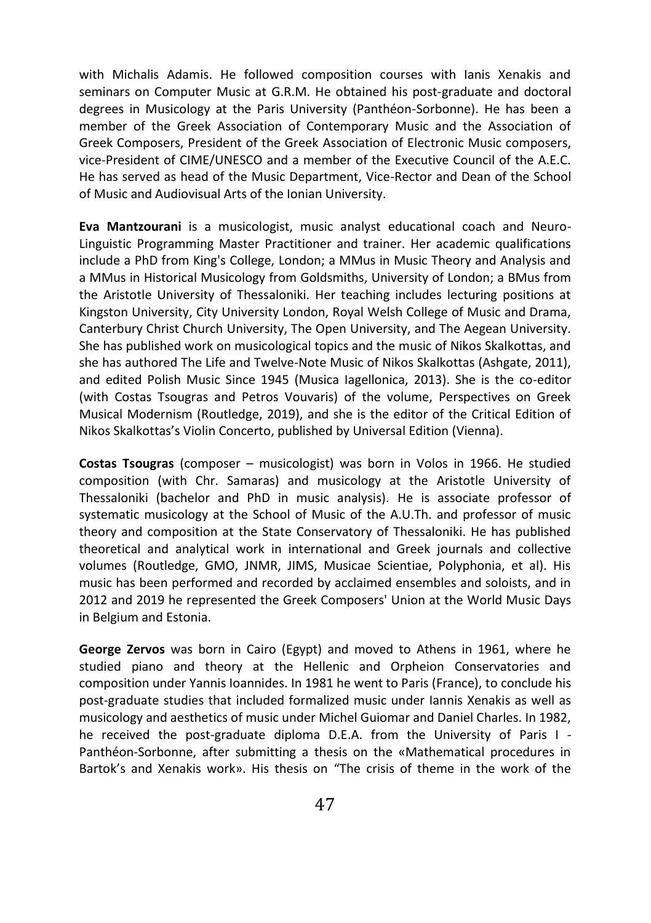with Michalis Adamis. He followed composition courses with Ianis Xenakis and seminars on Computer Music at G.R.M. He obtained his post-graduate and doctoral degrees in Musicology at the Paris University (Panthéon-Sorbonne). He has been a member of the Greek Association of Contemporary Music and the Association of Greek Composers, President of the Greek Association of Electronic Music composers, vice-President of CIME/UNESCO and a member of the Executive Council of the A.E.C. He has served as head of the Music Department, Vice-Rector and Dean of the School of Music and Audiovisual Arts of the Ionian University.

**Eva Mantzourani** is a musicologist, music analyst educational coach and Neuro-Linguistic Programming Master Practitioner and trainer. Her academic qualifications include a PhD from King's College, London; a MMus in Music Theory and Analysis and a MMus in Historical Musicology from Goldsmiths, University of London; a BMus from the Aristotle University of Thessaloniki. Her teaching includes lecturing positions at Kingston University, City University London, Royal Welsh College of Music and Drama, Canterbury Christ Church University, The Open University, and The Aegean University. She has published work on musicological topics and the music of Nikos Skalkottas, and she has authored The Life and Twelve-Note Music of Nikos Skalkottas (Ashgate, 2011), and edited Polish Music Since 1945 (Musica Iagellonica, 2013). She is the co-editor (with Costas Tsougras and Petros Vouvaris) of the volume, Perspectives on Greek Musical Modernism (Routledge, 2019), and she is the editor of the Critical Edition of Nikos Skalkottas's Violin Concerto, published by Universal Edition (Vienna).

**Costas Tsougras** (composer – musicologist) was born in Volos in 1966. He studied composition (with Chr. Samaras) and musicology at the Aristotle University of Thessaloniki (bachelor and PhD in music analysis). He is associate professor of systematic musicology at the School of Music of the A.U.Th. and professor of music theory and composition at the State Conservatory of Thessaloniki. He has published theoretical and analytical work in international and Greek journals and collective volumes (Routledge, GMO, JNMR, JIMS, Musicae Scientiae, Polyphonia, et al). His music has been performed and recorded by acclaimed ensembles and soloists, and in 2012 and 2019 he represented the Greek Composers' Union at the World Music Days in Belgium and Estonia.

**George Zervos** was born in Cairo (Egypt) and moved to Athens in 1961, where he studied piano and theory at the Hellenic and Orpheion Conservatories and composition under Yannis Ioannides. In 1981 he went to Paris (France), to conclude his post-graduate studies that included formalized music under Iannis Xenakis as well as musicology and aesthetics of music under Michel Guiomar and Daniel Charles. In 1982, he received the post-graduate diploma D.E.A. from the University of Paris I - Panthéon-Sorbonne, after submitting a thesis on the «Mathematical procedures in Bartok's and Xenakis work». His thesis on "The crisis of theme in the work of the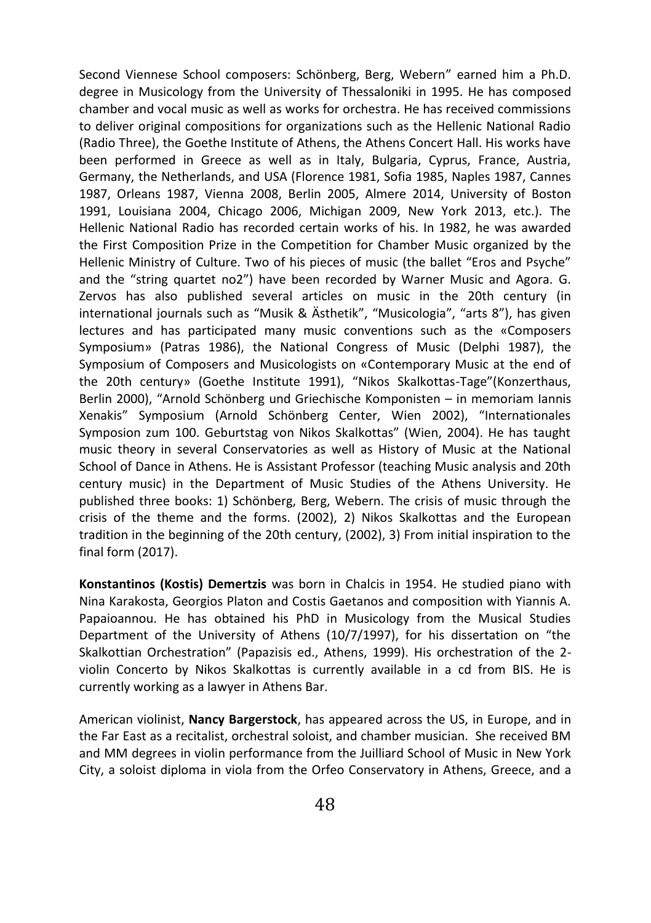Second Viennese School composers: Schönberg, Berg, Webern" earned him a Ph.D. degree in Musicology from the University of Thessaloniki in 1995. He has composed chamber and vocal music as well as works for orchestra. He has received commissions to deliver original compositions for organizations such as the Hellenic National Radio (Radio Three), the Goethe Institute of Athens, the Athens Concert Hall. His works have been performed in Greece as well as in Italy, Bulgaria, Cyprus, France, Austria, Germany, the Netherlands, and USA (Florence 1981, Sofia 1985, Naples 1987, Cannes 1987, Orleans 1987, Vienna 2008, Berlin 2005, Almere 2014, University of Boston 1991, Louisiana 2004, Chicago 2006, Michigan 2009, New York 2013, etc.). The Hellenic National Radio has recorded certain works of his. In 1982, he was awarded the First Composition Prize in the Competition for Chamber Music organized by the Hellenic Ministry of Culture. Two of his pieces of music (the ballet "Eros and Psyche" and the "string quartet no2") have been recorded by Warner Music and Agora. G. Zervos has also published several articles on music in the 20th century (in international journals such as "Musik & Ästhetik", "Musicologia", "arts 8"), has given lectures and has participated many music conventions such as the «Composers Symposium» (Patras 1986), the National Congress of Music (Delphi 1987), the Symposium of Composers and Musicologists on «Contemporary Music at the end of the 20th century» (Goethe Institute 1991), "Nikos Skalkottas-Tage"(Konzerthaus, Berlin 2000), "Arnold Schönberg und Griechische Komponisten – in memoriam Iannis Xenakis" Symposium (Arnold Schönberg Center, Wien 2002), "Internationales Symposion zum 100. Geburtstag von Nikos Skalkottas" (Wien, 2004). He has taught music theory in several Conservatories as well as History of Music at the National School of Dance in Athens. He is Assistant Professor (teaching Music analysis and 20th century music) in the Department of Music Studies of the Athens University. He published three books: 1) Schönberg, Berg, Webern. The crisis of music through the crisis of the theme and the forms. (2002), 2) Nikos Skalkottas and the European tradition in the beginning of the 20th century, (2002), 3) From initial inspiration to the final form (2017).

**Konstantinos (Kostis) Demertzis** was born in Chalcis in 1954. He studied piano with Nina Karakosta, Georgios Platon and Costis Gaetanos and composition with Yiannis A. Papaioannou. He has obtained his PhD in Musicology from the Musical Studies Department of the University of Athens (10/7/1997), for his dissertation on "the Skalkottian Orchestration" (Papazisis ed., Athens, 1999). His orchestration of the 2 violin Concerto by Nikos Skalkottas is currently available in a cd from BIS. He is currently working as a lawyer in Athens Bar.

American violinist, **Nancy Bargerstock**, has appeared across the US, in Europe, and in the Far East as a recitalist, orchestral soloist, and chamber musician. She received BM and MM degrees in violin performance from the Juilliard School of Music in New York City, a soloist diploma in viola from the Orfeo Conservatory in Athens, Greece, and a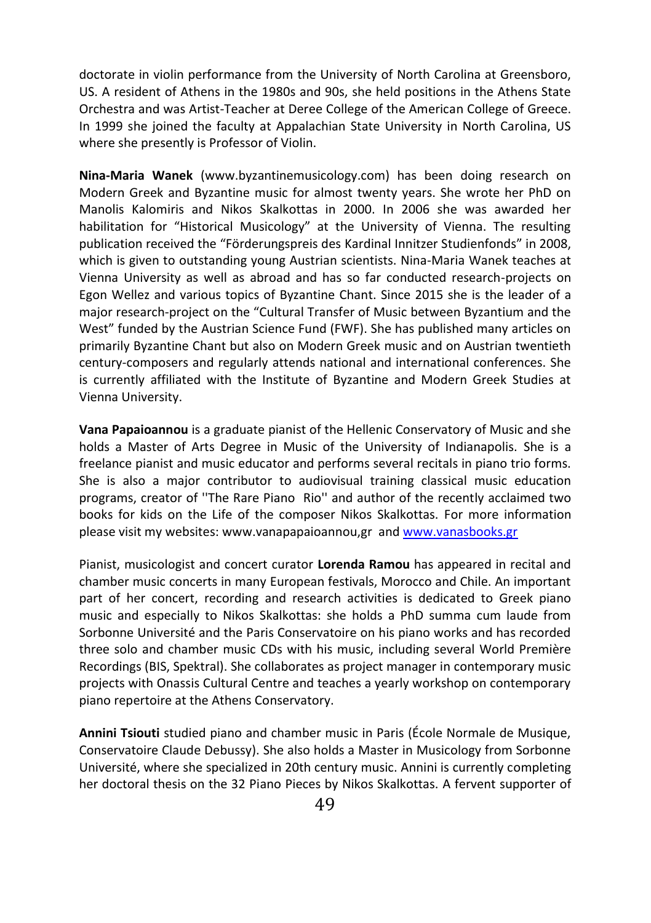doctorate in violin performance from the University of North Carolina at Greensboro, US. A resident of Athens in the 1980s and 90s, she held positions in the Athens State Orchestra and was Artist-Teacher at Deree College of the American College of Greece. In 1999 she joined the faculty at Appalachian State University in North Carolina, US where she presently is Professor of Violin.

**Nina-Maria Wanek** (www.byzantinemusicology.com) has been doing research on Modern Greek and Byzantine music for almost twenty years. She wrote her PhD on Manolis Kalomiris and Nikos Skalkottas in 2000. In 2006 she was awarded her habilitation for "Historical Musicology" at the University of Vienna. The resulting publication received the "Förderungspreis des Kardinal Innitzer Studienfonds" in 2008, which is given to outstanding young Austrian scientists. Nina-Maria Wanek teaches at Vienna University as well as abroad and has so far conducted research-projects on Egon Wellez and various topics of Byzantine Chant. Since 2015 she is the leader of a major research-project on the "Cultural Transfer of Music between Byzantium and the West" funded by the Austrian Science Fund (FWF). She has published many articles on primarily Byzantine Chant but also on Modern Greek music and on Austrian twentieth century-composers and regularly attends national and international conferences. She is currently affiliated with the Institute of Byzantine and Modern Greek Studies at Vienna University.

**Vana Papaioannou** is a graduate pianist of the Hellenic Conservatory of Music and she holds a Master of Arts Degree in Music of the University of Indianapolis. She is a freelance pianist and music educator and performs several recitals in piano trio forms. She is also a major contributor to audiovisual training classical music education programs, creator of ''The Rare Piano Rio'' and author of the recently acclaimed two books for kids on the Life of the composer Nikos Skalkottas. For more information please visit my websites: www.vanapapaioannou,gr and [www.vanasbooks.gr](http://www.vanasbooks.gr/)

Pianist, musicologist and concert curator **Lorenda Ramou** has appeared in recital and chamber music concerts in many European festivals, Morocco and Chile. An important part of her concert, recording and research activities is dedicated to Greek piano music and especially to Nikos Skalkottas: she holds a PhD summa cum laude from Sorbonne Université and the Paris Conservatoire on his piano works and has recorded three solo and chamber music CDs with his music, including several World Première Recordings (BIS, Spektral). She collaborates as project manager in contemporary music projects with Onassis Cultural Centre and teaches a yearly workshop on contemporary piano repertoire at the Athens Conservatory.

**Annini Tsiouti** studied piano and chamber music in Paris (École Normale de Musique, Conservatoire Claude Debussy). She also holds a Master in Musicology from Sorbonne Université, where she specialized in 20th century music. Annini is currently completing her doctoral thesis on the 32 Piano Pieces by Nikos Skalkottas. A fervent supporter of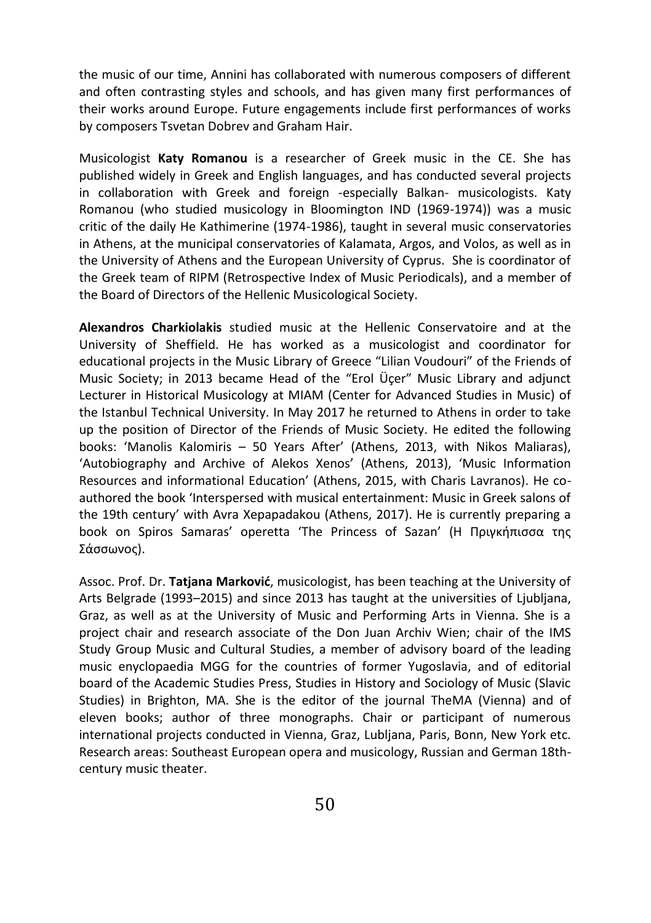the music of our time, Annini has collaborated with numerous composers of different and often contrasting styles and schools, and has given many first performances of their works around Europe. Future engagements include first performances of works by composers Tsvetan Dobrev and Graham Hair.

Musicologist **Katy Romanou** is a researcher of Greek music in the CE. She has published widely in Greek and English languages, and has conducted several projects in collaboration with Greek and foreign -especially Balkan- musicologists. Katy Romanou (who studied musicology in Bloomington IND (1969-1974)) was a music critic of the daily He Kathimerine (1974-1986), taught in several music conservatories in Athens, at the municipal conservatories of Kalamata, Argos, and Volos, as well as in the University of Athens and the European University of Cyprus. She is coordinator of the Greek team of RIPM (Retrospective Index of Music Periodicals), and a member of the Board of Directors of the Hellenic Musicological Society.

**Alexandros Charkiolakis** studied music at the Hellenic Conservatoire and at the University of Sheffield. He has worked as a musicologist and coordinator for educational projects in the Music Library of Greece "Lilian Voudouri" of the Friends of Music Society; in 2013 became Head of the "Erol Üçer" Music Library and adjunct Lecturer in Historical Musicology at MIAM (Center for Advanced Studies in Music) of the Istanbul Technical University. In May 2017 he returned to Athens in order to take up the position of Director of the Friends of Music Society. He edited the following books: 'Manolis Kalomiris – 50 Years After' (Athens, 2013, with Nikos Maliaras), 'Autobiography and Archive of Alekos Xenos' (Athens, 2013), 'Music Information Resources and informational Education' (Athens, 2015, with Charis Lavranos). He coauthored the book 'Interspersed with musical entertainment: Music in Greek salons of the 19th century' with Avra Xepapadakou (Athens, 2017). He is currently preparing a book on Spiros Samaras' operetta 'The Princess of Sazan' (Η Πριγκήπισσα της Σάσσωνος).

Assoc. Prof. Dr. **Tatjana Marković**, musicologist, has been teaching at the University of Arts Belgrade (1993–2015) and since 2013 has taught at the universities of Ljubljana, Graz, as well as at the University of Music and Performing Arts in Vienna. She is a project chair and research associate of the Don Juan Archiv Wien; chair of the IMS Study Group Music and Cultural Studies, a member of advisory board of the leading music enyclopaedia MGG for the countries of former Yugoslavia, and of editorial board of the Academic Studies Press, Studies in History and Sociology of Music (Slavic Studies) in Brighton, MA. She is the editor of the journal TheMA (Vienna) and of eleven books; author of three monographs. Chair or participant of numerous international projects conducted in Vienna, Graz, Lubljana, Paris, Bonn, New York etc. Research areas: Southeast European opera and musicology, Russian and German 18thcentury music theater.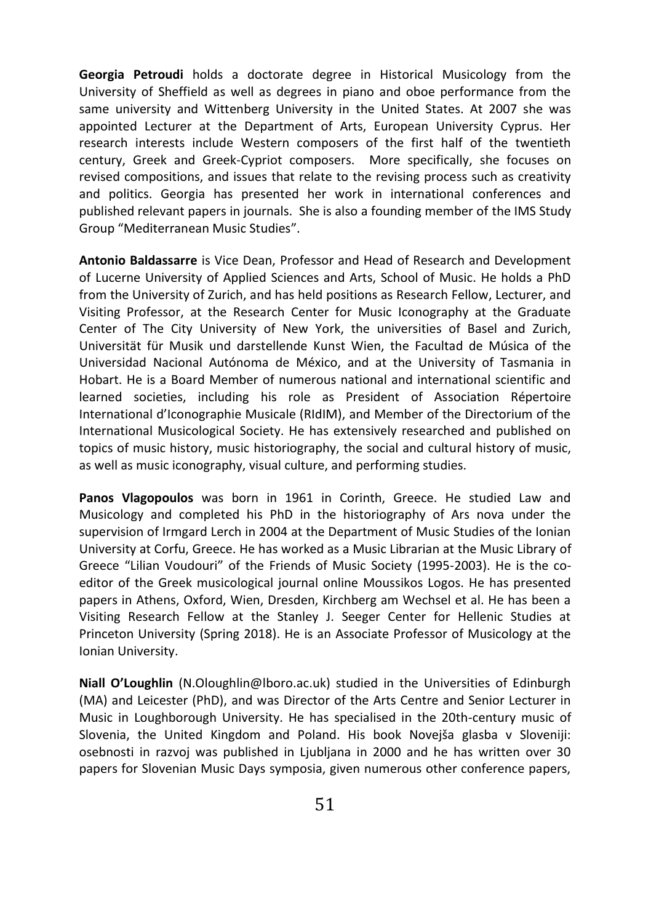**Georgia Petroudi** holds a doctorate degree in Historical Musicology from the University of Sheffield as well as degrees in piano and oboe performance from the same university and Wittenberg University in the United States. At 2007 she was appointed Lecturer at the Department of Arts, European University Cyprus. Her research interests include Western composers of the first half of the twentieth century, Greek and Greek-Cypriot composers. More specifically, she focuses on revised compositions, and issues that relate to the revising process such as creativity and politics. Georgia has presented her work in international conferences and published relevant papers in journals. She is also a founding member of the IMS Study Group "Mediterranean Music Studies".

**Antonio Baldassarre** is Vice Dean, Professor and Head of Research and Development of Lucerne University of Applied Sciences and Arts, School of Music. He holds a PhD from the University of Zurich, and has held positions as Research Fellow, Lecturer, and Visiting Professor, at the Research Center for Music Iconography at the Graduate Center of The City University of New York, the universities of Basel and Zurich, Universität für Musik und darstellende Kunst Wien, the Facultad de Música of the Universidad Nacional Autónoma de México, and at the University of Tasmania in Hobart. He is a Board Member of numerous national and international scientific and learned societies, including his role as President of Association Répertoire International d'Iconographie Musicale (RIdIM), and Member of the Directorium of the International Musicological Society. He has extensively researched and published on topics of music history, music historiography, the social and cultural history of music, as well as music iconography, visual culture, and performing studies.

**Panos Vlagopoulos** was born in 1961 in Corinth, Greece. He studied Law and Musicology and completed his PhD in the historiography of Ars nova under the supervision of Irmgard Lerch in 2004 at the Department of Music Studies of the Ionian University at Corfu, Greece. He has worked as a Music Librarian at the Music Library of Greece "Lilian Voudouri" of the Friends of Music Society (1995-2003). He is the coeditor of the Greek musicological journal online Moussikos Logos. He has presented papers in Athens, Oxford, Wien, Dresden, Kirchberg am Wechsel et al. He has been a Visiting Research Fellow at the Stanley J. Seeger Center for Hellenic Studies at Princeton University (Spring 2018). He is an Associate Professor of Musicology at the Ionian University.

**Niall O'Loughlin** (N.Oloughlin@lboro.ac.uk) studied in the Universities of Edinburgh (MA) and Leicester (PhD), and was Director of the Arts Centre and Senior Lecturer in Music in Loughborough University. He has specialised in the 20th-century music of Slovenia, the United Kingdom and Poland. His book Novejša glasba v Sloveniji: osebnosti in razvoj was published in Ljubljana in 2000 and he has written over 30 papers for Slovenian Music Days symposia, given numerous other conference papers,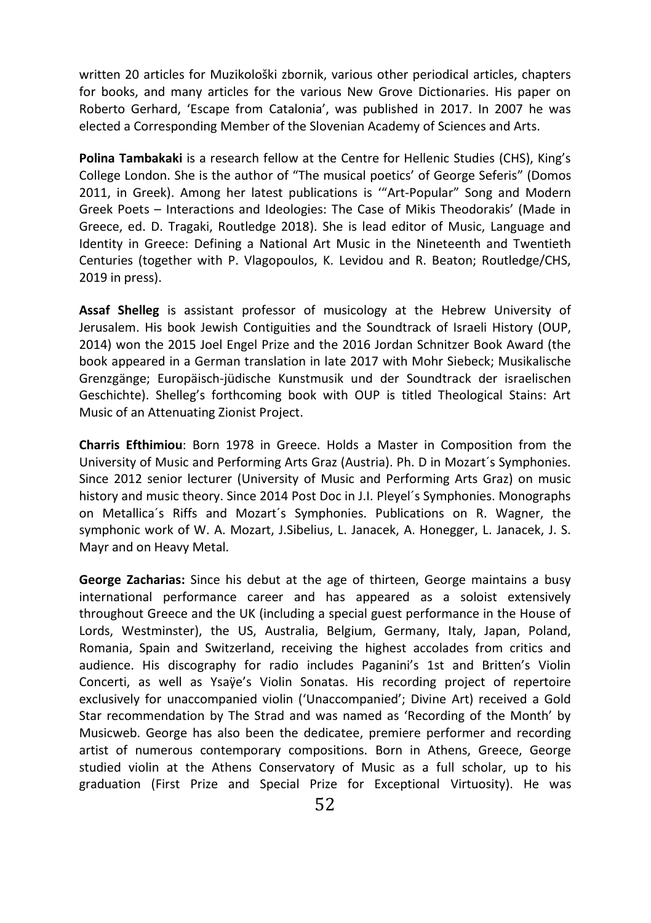written 20 articles for Muzikološki zbornik, various other periodical articles, chapters for books, and many articles for the various New Grove Dictionaries. His paper on Roberto Gerhard, 'Escape from Catalonia', was published in 2017. In 2007 he was elected a Corresponding Member of the Slovenian Academy of Sciences and Arts.

**Polina Tambakaki** is a research fellow at the Centre for Hellenic Studies (CHS), King's College London. She is the author of "The musical poetics' of George Seferis" (Domos 2011, in Greek). Among her latest publications is '"Art-Popular" Song and Modern Greek Poets – Interactions and Ideologies: The Case of Mikis Theodorakis' (Made in Greece, ed. D. Tragaki, Routledge 2018). She is lead editor of Music, Language and Identity in Greece: Defining a National Art Music in the Nineteenth and Twentieth Centuries (together with P. Vlagopoulos, K. Levidou and R. Beaton; Routledge/CHS, 2019 in press).

**Assaf Shelleg** is assistant professor of musicology at the Hebrew University of Jerusalem. His book Jewish Contiguities and the Soundtrack of Israeli History (OUP, 2014) won the 2015 Joel Engel Prize and the 2016 Jordan Schnitzer Book Award (the book appeared in a German translation in late 2017 with Mohr Siebeck; Musikalische Grenzgänge; Europäisch-jüdische Kunstmusik und der Soundtrack der israelischen Geschichte). Shelleg's forthcoming book with OUP is titled Theological Stains: Art Music of an Attenuating Zionist Project.

**Charris Efthimiou**: Born 1978 in Greece. Holds a Master in Composition from the University of Music and Performing Arts Graz (Austria). Ph. D in Mozart´s Symphonies. Since 2012 senior lecturer (University of Music and Performing Arts Graz) on music history and music theory. Since 2014 Post Doc in J.I. Pleyel´s Symphonies. Monographs on Metallica´s Riffs and Mozart´s Symphonies. Publications on R. Wagner, the symphonic work of W. A. Mozart, J.Sibelius, L. Janacek, A. Honegger, L. Janacek, J. S. Mayr and on Heavy Metal.

**George Zacharias:** Since his debut at the age of thirteen, George maintains a busy international performance career and has appeared as a soloist extensively throughout Greece and the UK (including a special guest performance in the House of Lords, Westminster), the US, Australia, Belgium, Germany, Italy, Japan, Poland, Romania, Spain and Switzerland, receiving the highest accolades from critics and audience. His discography for radio includes Paganini's 1st and Britten's Violin Concerti, as well as Ysaÿe's Violin Sonatas. His recording project of repertoire exclusively for unaccompanied violin ('Unaccompanied'; Divine Art) received a Gold Star recommendation by The Strad and was named as 'Recording of the Month' by Musicweb. George has also been the dedicatee, premiere performer and recording artist of numerous contemporary compositions. Born in Athens, Greece, George studied violin at the Athens Conservatory of Music as a full scholar, up to his graduation (First Prize and Special Prize for Exceptional Virtuosity). He was